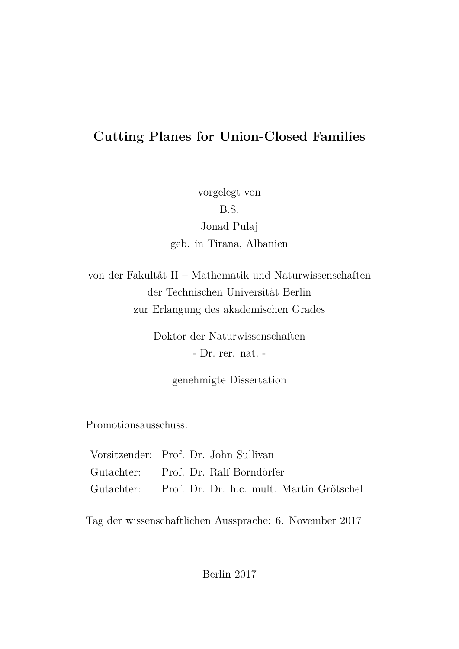## <span id="page-0-0"></span>**Cutting Planes for Union-Closed Families**

vorgelegt von B.S. Jonad Pulaj geb. in Tirana, Albanien

von der Fakultät II – Mathematik und Naturwissenschaften der Technischen Universität Berlin zur Erlangung des akademischen Grades

> Doktor der Naturwissenschaften - Dr. rer. nat. -

> > genehmigte Dissertation

Promotionsausschuss:

|  | Vorsitzender: Prof. Dr. John Sullivan                |
|--|------------------------------------------------------|
|  | Gutachter: Prof. Dr. Ralf Borndörfer                 |
|  | Gutachter: Prof. Dr. Dr. h.c. mult. Martin Grötschel |

Tag der wissenschaftlichen Aussprache: 6. November 2017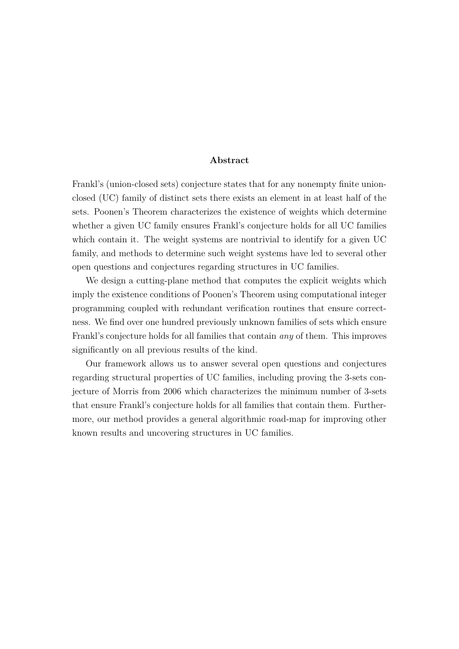#### **Abstract**

Frankl's (union-closed sets) conjecture states that for any nonempty finite unionclosed (UC) family of distinct sets there exists an element in at least half of the sets. Poonen's Theorem characterizes the existence of weights which determine whether a given UC family ensures Frankl's conjecture holds for all UC families which contain it. The weight systems are nontrivial to identify for a given UC family, and methods to determine such weight systems have led to several other open questions and conjectures regarding structures in UC families.

We design a cutting-plane method that computes the explicit weights which imply the existence conditions of Poonen's Theorem using computational integer programming coupled with redundant verification routines that ensure correctness. We find over one hundred previously unknown families of sets which ensure Frankl's conjecture holds for all families that contain *any* of them. This improves significantly on all previous results of the kind.

Our framework allows us to answer several open questions and conjectures regarding structural properties of UC families, including proving the 3-sets conjecture of Morris from 2006 which characterizes the minimum number of 3-sets that ensure Frankl's conjecture holds for all families that contain them. Furthermore, our method provides a general algorithmic road-map for improving other known results and uncovering structures in UC families.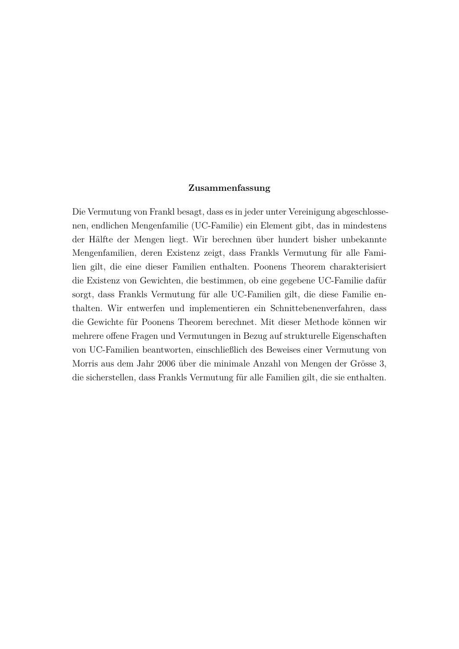#### **Zusammenfassung**

Die Vermutung von Frankl besagt, dass es in jeder unter Vereinigung abgeschlossenen, endlichen Mengenfamilie (UC-Familie) ein Element gibt, das in mindestens der Hälfte der Mengen liegt. Wir berechnen über hundert bisher unbekannte Mengenfamilien, deren Existenz zeigt, dass Frankls Vermutung für alle Familien gilt, die eine dieser Familien enthalten. Poonens Theorem charakterisiert die Existenz von Gewichten, die bestimmen, ob eine gegebene UC-Familie dafür sorgt, dass Frankls Vermutung für alle UC-Familien gilt, die diese Familie enthalten. Wir entwerfen und implementieren ein Schnittebenenverfahren, dass die Gewichte für Poonens Theorem berechnet. Mit dieser Methode können wir mehrere offene Fragen und Vermutungen in Bezug auf strukturelle Eigenschaften von UC-Familien beantworten, einschließlich des Beweises einer Vermutung von Morris aus dem Jahr 2006 über die minimale Anzahl von Mengen der Grösse 3, die sicherstellen, dass Frankls Vermutung für alle Familien gilt, die sie enthalten.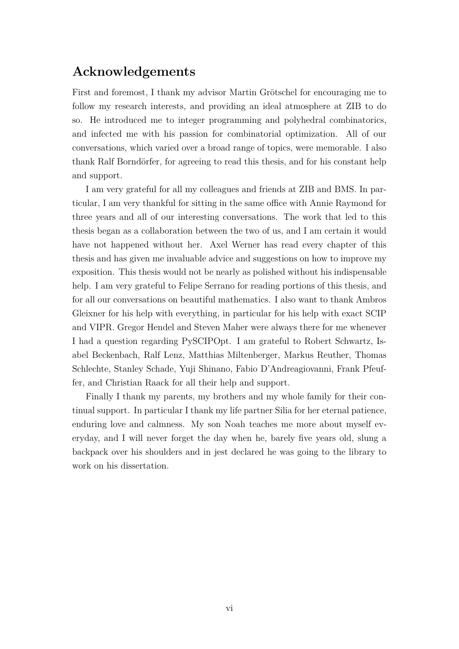## **Acknowledgements**

First and foremost, I thank my advisor Martin Grötschel for encouraging me to follow my research interests, and providing an ideal atmosphere at ZIB to do so. He introduced me to integer programming and polyhedral combinatorics, and infected me with his passion for combinatorial optimization. All of our conversations, which varied over a broad range of topics, were memorable. I also thank Ralf Borndörfer, for agreeing to read this thesis, and for his constant help and support.

I am very grateful for all my colleagues and friends at ZIB and BMS. In particular, I am very thankful for sitting in the same office with Annie Raymond for three years and all of our interesting conversations. The work that led to this thesis began as a collaboration between the two of us, and I am certain it would have not happened without her. Axel Werner has read every chapter of this thesis and has given me invaluable advice and suggestions on how to improve my exposition. This thesis would not be nearly as polished without his indispensable help. I am very grateful to Felipe Serrano for reading portions of this thesis, and for all our conversations on beautiful mathematics. I also want to thank Ambros Gleixner for his help with everything, in particular for his help with exact SCIP and VIPR. Gregor Hendel and Steven Maher were always there for me whenever I had a question regarding PySCIPOpt. I am grateful to Robert Schwartz, Isabel Beckenbach, Ralf Lenz, Matthias Miltenberger, Markus Reuther, Thomas Schlechte, Stanley Schade, Yuji Shinano, Fabio D'Andreagiovanni, Frank Pfeuffer, and Christian Raack for all their help and support.

Finally I thank my parents, my brothers and my whole family for their continual support. In particular I thank my life partner Silia for her eternal patience, enduring love and calmness. My son Noah teaches me more about myself everyday, and I will never forget the day when he, barely five years old, slung a backpack over his shoulders and in jest declared he was going to the library to work on his dissertation.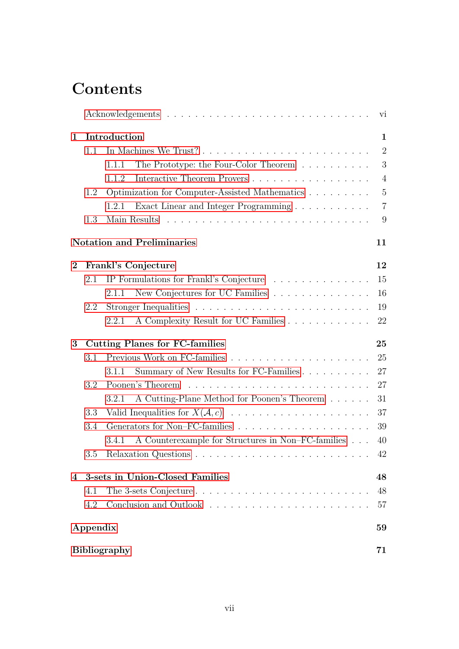# **Contents**

|          |          |                                                                                                                                                                                                                                                       | vi             |
|----------|----------|-------------------------------------------------------------------------------------------------------------------------------------------------------------------------------------------------------------------------------------------------------|----------------|
| 1        |          | Introduction                                                                                                                                                                                                                                          | $\mathbf 1$    |
|          |          | $\overline{2}$                                                                                                                                                                                                                                        |                |
|          |          | The Prototype: the Four-Color Theorem<br>1.1.1                                                                                                                                                                                                        | 3              |
|          |          | Interactive Theorem Provers<br>1.1.2                                                                                                                                                                                                                  | $\overline{4}$ |
|          | 1.2      | Optimization for Computer-Assisted Mathematics                                                                                                                                                                                                        | $\overline{5}$ |
|          |          | Exact Linear and Integer Programming<br>1.2.1                                                                                                                                                                                                         | $\overline{7}$ |
|          | 1.3      |                                                                                                                                                                                                                                                       | 9              |
|          |          | <b>Notation and Preliminaries</b>                                                                                                                                                                                                                     | 11             |
| $\bf{2}$ |          | Frankl's Conjecture                                                                                                                                                                                                                                   | 12             |
|          | 2.1      | IP Formulations for Frankl's Conjecture                                                                                                                                                                                                               | 15             |
|          |          | New Conjectures for UC Families $\ldots \ldots \ldots \ldots \ldots$<br>2.1.1                                                                                                                                                                         | 16             |
|          | 2.2      |                                                                                                                                                                                                                                                       | 19             |
|          |          | A Complexity Result for UC Families<br>2.2.1                                                                                                                                                                                                          | 22             |
| 3        |          | <b>Cutting Planes for FC-families</b>                                                                                                                                                                                                                 | 25             |
|          | $3.1\,$  |                                                                                                                                                                                                                                                       | 25             |
|          |          | Summary of New Results for FC-Families<br>3.1.1                                                                                                                                                                                                       | 27             |
|          | 3.2      |                                                                                                                                                                                                                                                       | 27             |
|          |          | A Cutting-Plane Method for Poonen's Theorem<br>3.2.1                                                                                                                                                                                                  | 31             |
|          | 3.3      |                                                                                                                                                                                                                                                       | 37             |
|          | 3.4      |                                                                                                                                                                                                                                                       | 39             |
|          |          | A Counterexample for Structures in Non–FC-families $\ldots$ .<br>3.4.1                                                                                                                                                                                | 40             |
|          | 3.5      | Relaxation Questions<br>a construction of the construction of the construction of the construction of the construction of the construction of the construction of the construction of the construction of the construction of the construction of the | 42             |
|          |          | 4 3-sets in Union-Closed Families                                                                                                                                                                                                                     | 48             |
|          | 4.1      | The 3-sets Conjecture $\dots \dots \dots \dots \dots \dots \dots \dots \dots \dots$                                                                                                                                                                   | 48             |
|          | 4.2      |                                                                                                                                                                                                                                                       | 57             |
|          | Appendix |                                                                                                                                                                                                                                                       | 59             |
|          |          | <b>Bibliography</b>                                                                                                                                                                                                                                   | 71             |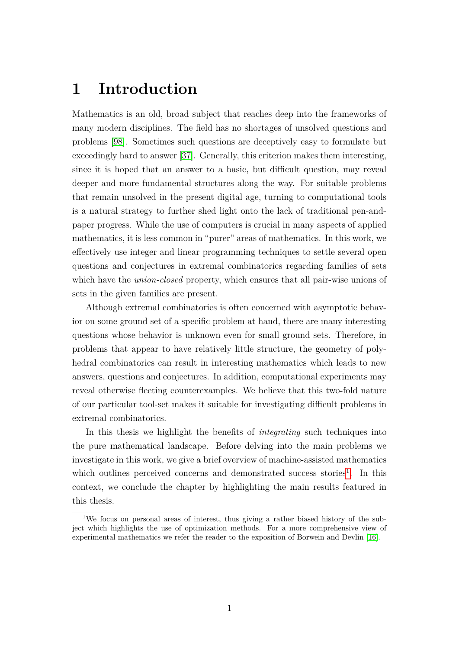## <span id="page-8-0"></span>**1 Introduction**

Mathematics is an old, broad subject that reaches deep into the frameworks of many modern disciplines. The field has no shortages of unsolved questions and problems [\[98\]](#page-84-0). Sometimes such questions are deceptively easy to formulate but exceedingly hard to answer [\[37\]](#page-80-0). Generally, this criterion makes them interesting, since it is hoped that an answer to a basic, but difficult question, may reveal deeper and more fundamental structures along the way. For suitable problems that remain unsolved in the present digital age, turning to computational tools is a natural strategy to further shed light onto the lack of traditional pen-andpaper progress. While the use of computers is crucial in many aspects of applied mathematics, it is less common in "purer" areas of mathematics. In this work, we effectively use integer and linear programming techniques to settle several open questions and conjectures in extremal combinatorics regarding families of sets which have the *union-closed* property, which ensures that all pair-wise unions of sets in the given families are present.

Although extremal combinatorics is often concerned with asymptotic behavior on some ground set of a specific problem at hand, there are many interesting questions whose behavior is unknown even for small ground sets. Therefore, in problems that appear to have relatively little structure, the geometry of polyhedral combinatorics can result in interesting mathematics which leads to new answers, questions and conjectures. In addition, computational experiments may reveal otherwise fleeting counterexamples. We believe that this two-fold nature of our particular tool-set makes it suitable for investigating difficult problems in extremal combinatorics.

In this thesis we highlight the benefits of *integrating* such techniques into the pure mathematical landscape. Before delving into the main problems we investigate in this work, we give a brief overview of machine-assisted mathematics which outlines perceived concerns and demonstrated success stories<sup>[1](#page-8-1)</sup>. In this context, we conclude the chapter by highlighting the main results featured in this thesis.

<span id="page-8-1"></span><sup>&</sup>lt;sup>1</sup>We focus on personal areas of interest, thus giving a rather biased history of the subject which highlights the use of optimization methods. For a more comprehensive view of experimental mathematics we refer the reader to the exposition of Borwein and Devlin [\[16\]](#page-79-0).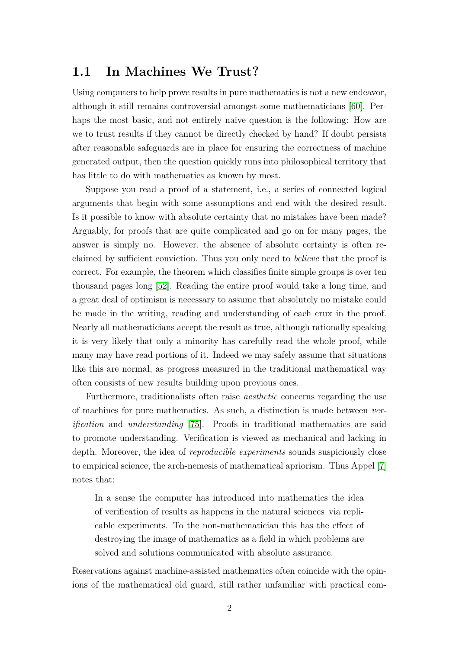### <span id="page-9-0"></span>**1.1 In Machines We Trust?**

Using computers to help prove results in pure mathematics is not a new endeavor, although it still remains controversial amongst some mathematicians [\[60\]](#page-82-0). Perhaps the most basic, and not entirely naive question is the following: How are we to trust results if they cannot be directly checked by hand? If doubt persists after reasonable safeguards are in place for ensuring the correctness of machine generated output, then the question quickly runs into philosophical territory that has little to do with mathematics as known by most.

Suppose you read a proof of a statement, i.e., a series of connected logical arguments that begin with some assumptions and end with the desired result. Is it possible to know with absolute certainty that no mistakes have been made? Arguably, for proofs that are quite complicated and go on for many pages, the answer is simply no. However, the absence of absolute certainty is often reclaimed by sufficient conviction. Thus you only need to *believe* that the proof is correct. For example, the theorem which classifies finite simple groups is over ten thousand pages long [\[52\]](#page-81-0). Reading the entire proof would take a long time, and a great deal of optimism is necessary to assume that absolutely no mistake could be made in the writing, reading and understanding of each crux in the proof. Nearly all mathematicians accept the result as true, although rationally speaking it is very likely that only a minority has carefully read the whole proof, while many may have read portions of it. Indeed we may safely assume that situations like this are normal, as progress measured in the traditional mathematical way often consists of new results building upon previous ones.

Furthermore, traditionalists often raise *aesthetic* concerns regarding the use of machines for pure mathematics. As such, a distinction is made between *verification* and *understanding* [\[75\]](#page-83-0). Proofs in traditional mathematics are said to promote understanding. Verification is viewed as mechanical and lacking in depth. Moreover, the idea of *reproducible experiments* sounds suspiciously close to empirical science, the arch-nemesis of mathematical apriorism. Thus Appel [\[7\]](#page-78-0) notes that:

In a sense the computer has introduced into mathematics the idea of verification of results as happens in the natural sciences–via replicable experiments. To the non-mathematician this has the effect of destroying the image of mathematics as a field in which problems are solved and solutions communicated with absolute assurance.

Reservations against machine-assisted mathematics often coincide with the opinions of the mathematical old guard, still rather unfamiliar with practical com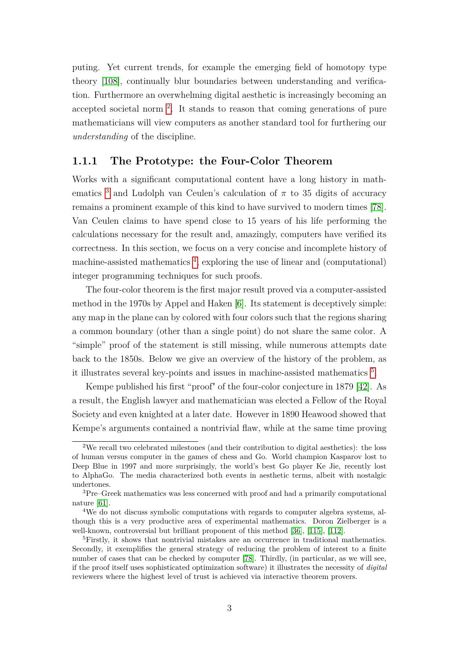puting. Yet current trends, for example the emerging field of homotopy type theory [\[108\]](#page-85-0), continually blur boundaries between understanding and verification. Furthermore an overwhelming digital aesthetic is increasingly becoming an accepted societal norm [2](#page-10-1) . It stands to reason that coming generations of pure mathematicians will view computers as another standard tool for furthering our *understanding* of the discipline.

### <span id="page-10-0"></span>**1.1.1 The Prototype: the Four-Color Theorem**

Works with a significant computational content have a long history in math-ematics <sup>[3](#page-10-2)</sup> and Ludolph van Ceulen's calculation of  $\pi$  to 35 digits of accuracy remains a prominent example of this kind to have survived to modern times [\[78\]](#page-83-1). Van Ceulen claims to have spend close to 15 years of his life performing the calculations necessary for the result and, amazingly, computers have verified its correctness. In this section, we focus on a very concise and incomplete history of machine-assisted mathematics<sup>[4](#page-10-3)</sup>, exploring the use of linear and (computational) integer programming techniques for such proofs.

The four-color theorem is the first major result proved via a computer-assisted method in the 1970s by Appel and Haken [\[6\]](#page-78-1). Its statement is deceptively simple: any map in the plane can by colored with four colors such that the regions sharing a common boundary (other than a single point) do not share the same color. A "simple" proof of the statement is still missing, while numerous attempts date back to the 1850s. Below we give an overview of the history of the problem, as it illustrates several key-points and issues in machine-assisted mathematics [5](#page-10-4) .

Kempe published his first "proof" of the four-color conjecture in 1879 [\[42\]](#page-80-1). As a result, the English lawyer and mathematician was elected a Fellow of the Royal Society and even knighted at a later date. However in 1890 Heawood showed that Kempe's arguments contained a nontrivial flaw, while at the same time proving

<span id="page-10-1"></span><sup>&</sup>lt;sup>2</sup>We recall two celebrated milestones (and their contribution to digital aesthetics): the loss of human versus computer in the games of chess and Go. World champion Kasparov lost to Deep Blue in 1997 and more surprisingly, the world's best Go player Ke Jie, recently lost to AlphaGo. The media characterized both events in aesthetic terms, albeit with nostalgic undertones.

<span id="page-10-2"></span><sup>3</sup>Pre–Greek mathematics was less concerned with proof and had a primarily computational nature [\[61\]](#page-82-1).

<span id="page-10-3"></span><sup>4</sup>We do not discuss symbolic computations with regards to computer algebra systems, although this is a very productive area of experimental mathematics. Doron Zielberger is a well-known, controversial but brilliant proponent of this method [\[36\]](#page-80-2), [\[115\]](#page-85-1), [\[112\]](#page-85-2).

<span id="page-10-4"></span><sup>&</sup>lt;sup>5</sup>Firstly, it shows that nontrivial mistakes are an occurrence in traditional mathematics. Secondly, it exemplifies the general strategy of reducing the problem of interest to a finite number of cases that can be checked by computer [\[78\]](#page-83-1). Thirdly, (in particular, as we will see, if the proof itself uses sophisticated optimization software) it illustrates the necessity of *digital* reviewers where the highest level of trust is achieved via interactive theorem provers.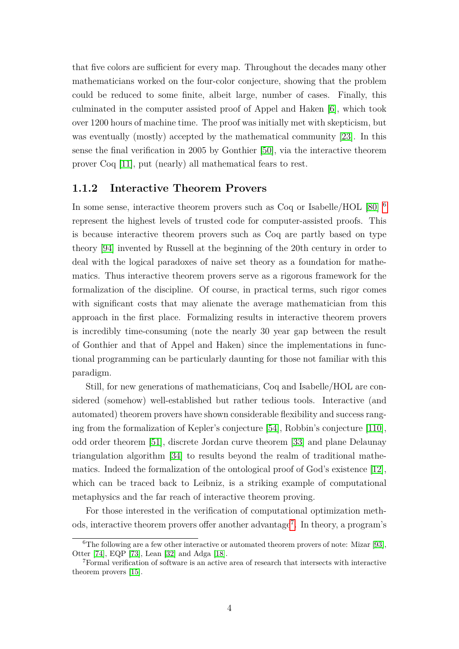that five colors are sufficient for every map. Throughout the decades many other mathematicians worked on the four-color conjecture, showing that the problem could be reduced to some finite, albeit large, number of cases. Finally, this culminated in the computer assisted proof of Appel and Haken [\[6\]](#page-78-1), which took over 1200 hours of machine time. The proof was initially met with skepticism, but was eventually (mostly) accepted by the mathematical community [\[23\]](#page-79-1). In this sense the final verification in 2005 by Gonthier [\[50\]](#page-81-1), via the interactive theorem prover Coq [\[11\]](#page-78-2), put (nearly) all mathematical fears to rest.

#### <span id="page-11-0"></span>**1.1.2 Interactive Theorem Provers**

In some sense, interactive theorem provers such as Coq or Isabelle/HOL [\[80\]](#page-83-2) [6](#page-11-1) represent the highest levels of trusted code for computer-assisted proofs. This is because interactive theorem provers such as Coq are partly based on type theory [\[94\]](#page-84-1) invented by Russell at the beginning of the 20th century in order to deal with the logical paradoxes of naive set theory as a foundation for mathematics. Thus interactive theorem provers serve as a rigorous framework for the formalization of the discipline. Of course, in practical terms, such rigor comes with significant costs that may alienate the average mathematician from this approach in the first place. Formalizing results in interactive theorem provers is incredibly time-consuming (note the nearly 30 year gap between the result of Gonthier and that of Appel and Haken) since the implementations in functional programming can be particularly daunting for those not familiar with this paradigm.

Still, for new generations of mathematicians, Coq and Isabelle/HOL are considered (somehow) well-established but rather tedious tools. Interactive (and automated) theorem provers have shown considerable flexibility and success ranging from the formalization of Kepler's conjecture [\[54\]](#page-81-2), Robbin's conjecture [\[110\]](#page-85-3), odd order theorem [\[51\]](#page-81-3), discrete Jordan curve theorem [\[33\]](#page-80-3) and plane Delaunay triangulation algorithm [\[34\]](#page-80-4) to results beyond the realm of traditional mathematics. Indeed the formalization of the ontological proof of God's existence [\[12\]](#page-78-3), which can be traced back to Leibniz, is a striking example of computational metaphysics and the far reach of interactive theorem proving.

For those interested in the verification of computational optimization meth-ods, interactive theorem provers offer another advantage<sup>[7](#page-11-2)</sup>. In theory, a program's

<span id="page-11-1"></span> ${}^{6}$ The following are a few other interactive or automated theorem provers of note: Mizar [\[93\]](#page-84-2), Otter [\[74\]](#page-83-3), EQP [\[73\]](#page-83-4), Lean [\[32\]](#page-80-5) and Adga [\[18\]](#page-79-2).

<span id="page-11-2"></span><sup>7</sup>Formal verification of software is an active area of research that intersects with interactive theorem provers [\[15\]](#page-79-3).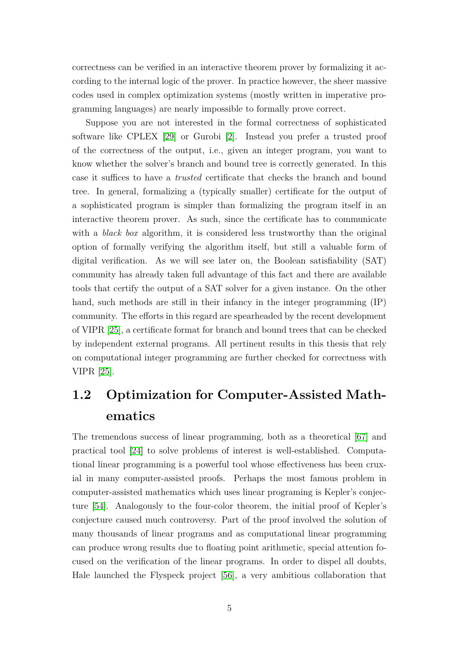correctness can be verified in an interactive theorem prover by formalizing it according to the internal logic of the prover. In practice however, the sheer massive codes used in complex optimization systems (mostly written in imperative programming languages) are nearly impossible to formally prove correct.

Suppose you are not interested in the formal correctness of sophisticated software like CPLEX [\[29\]](#page-80-6) or Gurobi [\[2\]](#page-78-4). Instead you prefer a trusted proof of the correctness of the output, i.e., given an integer program, you want to know whether the solver's branch and bound tree is correctly generated. In this case it suffices to have a *trusted* certificate that checks the branch and bound tree. In general, formalizing a (typically smaller) certificate for the output of a sophisticated program is simpler than formalizing the program itself in an interactive theorem prover. As such, since the certificate has to communicate with a *black box* algorithm, it is considered less trustworthy than the original option of formally verifying the algorithm itself, but still a valuable form of digital verification. As we will see later on, the Boolean satisfiability (SAT) community has already taken full advantage of this fact and there are available tools that certify the output of a SAT solver for a given instance. On the other hand, such methods are still in their infancy in the integer programming  $(IP)$ community. The efforts in this regard are spearheaded by the recent development of VIPR [\[25\]](#page-79-4), a certificate format for branch and bound trees that can be checked by independent external programs. All pertinent results in this thesis that rely on computational integer programming are further checked for correctness with VIPR [\[25\]](#page-79-4).

## <span id="page-12-0"></span>**1.2 Optimization for Computer-Assisted Mathematics**

The tremendous success of linear programming, both as a theoretical [\[67\]](#page-82-2) and practical tool [\[24\]](#page-79-5) to solve problems of interest is well-established. Computational linear programming is a powerful tool whose effectiveness has been cruxial in many computer-assisted proofs. Perhaps the most famous problem in computer-assisted mathematics which uses linear programing is Kepler's conjecture [\[54\]](#page-81-2). Analogously to the four-color theorem, the initial proof of Kepler's conjecture caused much controversy. Part of the proof involved the solution of many thousands of linear programs and as computational linear programming can produce wrong results due to floating point arithmetic, special attention focused on the verification of the linear programs. In order to dispel all doubts, Hale launched the Flyspeck project [\[56\]](#page-82-3), a very ambitious collaboration that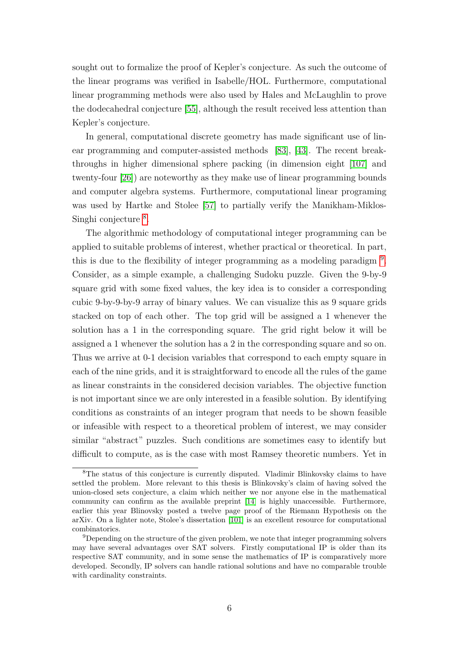sought out to formalize the proof of Kepler's conjecture. As such the outcome of the linear programs was verified in Isabelle/HOL. Furthermore, computational linear programming methods were also used by Hales and McLaughlin to prove the dodecahedral conjecture [\[55\]](#page-81-4), although the result received less attention than Kepler's conjecture.

In general, computational discrete geometry has made significant use of linear programming and computer-assisted methods [\[83\]](#page-83-5), [\[43\]](#page-81-5). The recent breakthroughs in higher dimensional sphere packing (in dimension eight [\[107\]](#page-85-4) and twenty-four [\[26\]](#page-79-6)) are noteworthy as they make use of linear programming bounds and computer algebra systems. Furthermore, computational linear programing was used by Hartke and Stolee [\[57\]](#page-82-4) to partially verify the Manikham-Miklos-Singhi conjecture<sup>[8](#page-13-0)</sup>.

The algorithmic methodology of computational integer programming can be applied to suitable problems of interest, whether practical or theoretical. In part, this is due to the flexibility of integer programming as a modeling paradigm<sup>[9](#page-13-1)</sup>. Consider, as a simple example, a challenging Sudoku puzzle. Given the 9-by-9 square grid with some fixed values, the key idea is to consider a corresponding cubic 9-by-9-by-9 array of binary values. We can visualize this as 9 square grids stacked on top of each other. The top grid will be assigned a 1 whenever the solution has a 1 in the corresponding square. The grid right below it will be assigned a 1 whenever the solution has a 2 in the corresponding square and so on. Thus we arrive at 0-1 decision variables that correspond to each empty square in each of the nine grids, and it is straightforward to encode all the rules of the game as linear constraints in the considered decision variables. The objective function is not important since we are only interested in a feasible solution. By identifying conditions as constraints of an integer program that needs to be shown feasible or infeasible with respect to a theoretical problem of interest, we may consider similar "abstract" puzzles. Such conditions are sometimes easy to identify but difficult to compute, as is the case with most Ramsey theoretic numbers. Yet in

<span id="page-13-0"></span><sup>&</sup>lt;sup>8</sup>The status of this conjecture is currently disputed. Vladimir Blinkovsky claims to have settled the problem. More relevant to this thesis is Blinkovsky's claim of having solved the union-closed sets conjecture, a claim which neither we nor anyone else in the mathematical community can confirm as the available preprint [\[14\]](#page-79-7) is highly unaccessible. Furthermore, earlier this year Blinovsky posted a twelve page proof of the Riemann Hypothesis on the arXiv. On a lighter note, Stolee's dissertation [\[101\]](#page-84-3) is an excellent resource for computational combinatorics.

<span id="page-13-1"></span><sup>9</sup>Depending on the structure of the given problem, we note that integer programming solvers may have several advantages over SAT solvers. Firstly computational IP is older than its respective SAT community, and in some sense the mathematics of IP is comparatively more developed. Secondly, IP solvers can handle rational solutions and have no comparable trouble with cardinality constraints.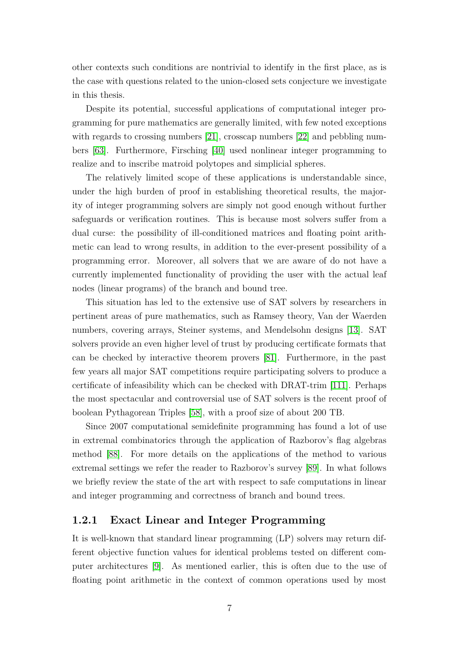other contexts such conditions are nontrivial to identify in the first place, as is the case with questions related to the union-closed sets conjecture we investigate in this thesis.

Despite its potential, successful applications of computational integer programming for pure mathematics are generally limited, with few noted exceptions with regards to crossing numbers [\[21\]](#page-79-8), crosscap numbers [\[22\]](#page-79-9) and pebbling numbers [\[63\]](#page-82-5). Furthermore, Firsching [\[40\]](#page-80-7) used nonlinear integer programming to realize and to inscribe matroid polytopes and simplicial spheres.

The relatively limited scope of these applications is understandable since, under the high burden of proof in establishing theoretical results, the majority of integer programming solvers are simply not good enough without further safeguards or verification routines. This is because most solvers suffer from a dual curse: the possibility of ill-conditioned matrices and floating point arithmetic can lead to wrong results, in addition to the ever-present possibility of a programming error. Moreover, all solvers that we are aware of do not have a currently implemented functionality of providing the user with the actual leaf nodes (linear programs) of the branch and bound tree.

This situation has led to the extensive use of SAT solvers by researchers in pertinent areas of pure mathematics, such as Ramsey theory, Van der Waerden numbers, covering arrays, Steiner systems, and Mendelsohn designs [\[13\]](#page-78-5). SAT solvers provide an even higher level of trust by producing certificate formats that can be checked by interactive theorem provers [\[81\]](#page-83-6). Furthermore, in the past few years all major SAT competitions require participating solvers to produce a certificate of infeasibility which can be checked with DRAT-trim [\[111\]](#page-85-5). Perhaps the most spectacular and controversial use of SAT solvers is the recent proof of boolean Pythagorean Triples [\[58\]](#page-82-6), with a proof size of about 200 TB.

Since 2007 computational semidefinite programming has found a lot of use in extremal combinatorics through the application of Razborov's flag algebras method [\[88\]](#page-84-4). For more details on the applications of the method to various extremal settings we refer the reader to Razborov's survey [\[89\]](#page-84-5). In what follows we briefly review the state of the art with respect to safe computations in linear and integer programming and correctness of branch and bound trees.

#### <span id="page-14-0"></span>**1.2.1 Exact Linear and Integer Programming**

It is well-known that standard linear programming (LP) solvers may return different objective function values for identical problems tested on different computer architectures [\[9\]](#page-78-6). As mentioned earlier, this is often due to the use of floating point arithmetic in the context of common operations used by most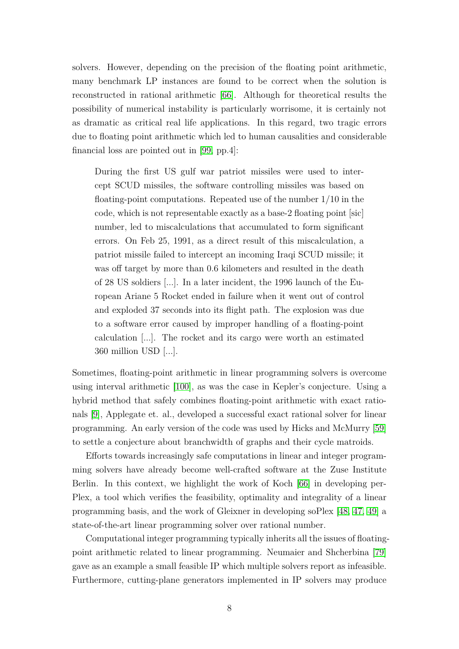solvers. However, depending on the precision of the floating point arithmetic, many benchmark LP instances are found to be correct when the solution is reconstructed in rational arithmetic [\[66\]](#page-82-7). Although for theoretical results the possibility of numerical instability is particularly worrisome, it is certainly not as dramatic as critical real life applications. In this regard, two tragic errors due to floating point arithmetic which led to human causalities and considerable financial loss are pointed out in [\[99,](#page-84-6) pp.4]:

During the first US gulf war patriot missiles were used to intercept SCUD missiles, the software controlling missiles was based on floating-point computations. Repeated use of the number 1/10 in the code, which is not representable exactly as a base-2 floating point [sic] number, led to miscalculations that accumulated to form significant errors. On Feb 25, 1991, as a direct result of this miscalculation, a patriot missile failed to intercept an incoming Iraqi SCUD missile; it was off target by more than 0.6 kilometers and resulted in the death of 28 US soldiers [...]. In a later incident, the 1996 launch of the European Ariane 5 Rocket ended in failure when it went out of control and exploded 37 seconds into its flight path. The explosion was due to a software error caused by improper handling of a floating-point calculation [...]. The rocket and its cargo were worth an estimated 360 million USD [...].

Sometimes, floating-point arithmetic in linear programming solvers is overcome using interval arithmetic [\[100\]](#page-84-7), as was the case in Kepler's conjecture. Using a hybrid method that safely combines floating-point arithmetic with exact rationals [\[9\]](#page-78-6), Applegate et. al., developed a successful exact rational solver for linear programming. An early version of the code was used by Hicks and McMurry [\[59\]](#page-82-8) to settle a conjecture about branchwidth of graphs and their cycle matroids.

Efforts towards increasingly safe computations in linear and integer programming solvers have already become well-crafted software at the Zuse Institute Berlin. In this context, we highlight the work of Koch [\[66\]](#page-82-7) in developing per-Plex, a tool which verifies the feasibility, optimality and integrality of a linear programming basis, and the work of Gleixner in developing soPlex [\[48,](#page-81-6) [47,](#page-81-7) [49\]](#page-81-8) a state-of-the-art linear programming solver over rational number.

Computational integer programming typically inherits all the issues of floatingpoint arithmetic related to linear programming. Neumaier and Shcherbina [\[79\]](#page-83-7) gave as an example a small feasible IP which multiple solvers report as infeasible. Furthermore, cutting-plane generators implemented in IP solvers may produce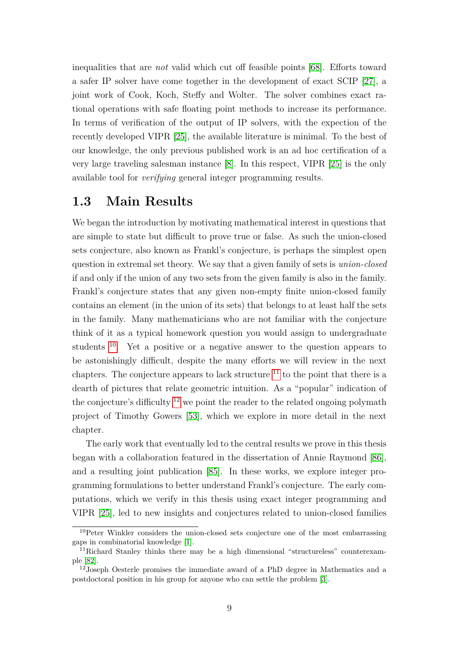inequalities that are *not* valid which cut off feasible points [\[68\]](#page-82-9). Efforts toward a safer IP solver have come together in the development of exact SCIP [\[27\]](#page-80-8), a joint work of Cook, Koch, Steffy and Wolter. The solver combines exact rational operations with safe floating point methods to increase its performance. In terms of verification of the output of IP solvers, with the expection of the recently developed VIPR [\[25\]](#page-79-4), the available literature is minimal. To the best of our knowledge, the only previous published work is an ad hoc certification of a very large traveling salesman instance [\[8\]](#page-78-7). In this respect, VIPR [\[25\]](#page-79-4) is the only available tool for *verifying* general integer programming results.

### <span id="page-16-0"></span>**1.3 Main Results**

We began the introduction by motivating mathematical interest in questions that are simple to state but difficult to prove true or false. As such the union-closed sets conjecture, also known as Frankl's conjecture, is perhaps the simplest open question in extremal set theory. We say that a given family of sets is *union-closed* if and only if the union of any two sets from the given family is also in the family. Frankl's conjecture states that any given non-empty finite union-closed family contains an element (in the union of its sets) that belongs to at least half the sets in the family. Many mathematicians who are not familiar with the conjecture think of it as a typical homework question you would assign to undergraduate students [10](#page-16-1). Yet a positive or a negative answer to the question appears to be astonishingly difficult, despite the many efforts we will review in the next chapters. The conjecture appears to lack structure  $^{11}$  $^{11}$  $^{11}$  to the point that there is a dearth of pictures that relate geometric intuition. As a "popular" indication of the conjecture's difficulty  $^{12}$  $^{12}$  $^{12}$  we point the reader to the related ongoing polymath project of Timothy Gowers [\[53\]](#page-81-9), which we explore in more detail in the next chapter.

The early work that eventually led to the central results we prove in this thesis began with a collaboration featured in the dissertation of Annie Raymond [\[86\]](#page-83-8), and a resulting joint publication [\[85\]](#page-83-9). In these works, we explore integer programming formulations to better understand Frankl's conjecture. The early computations, which we verify in this thesis using exact integer programming and VIPR [\[25\]](#page-79-4), led to new insights and conjectures related to union-closed families

<span id="page-16-1"></span><sup>&</sup>lt;sup>10</sup>Peter Winkler considers the union-closed sets conjecture one of the most embarrassing gaps in combinatorial knowledge [\[1\]](#page-78-8).

<span id="page-16-2"></span><sup>11</sup>Richard Stanley thinks there may be a high dimensional "structureless" counterexample [\[82\]](#page-83-10).

<span id="page-16-3"></span><sup>12</sup>Joseph Oesterle promises the immediate award of a PhD degree in Mathematics and a postdoctoral position in his group for anyone who can settle the problem [\[3\]](#page-78-9).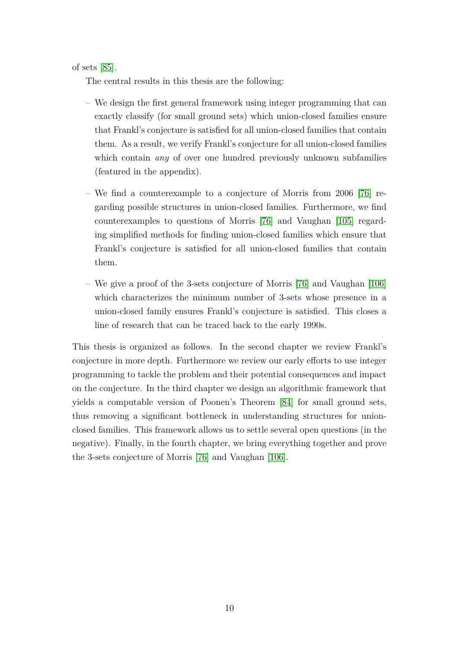of sets [\[85\]](#page-83-9).

The central results in this thesis are the following:

- We design the first general framework using integer programming that can exactly classify (for small ground sets) which union-closed families ensure that Frankl's conjecture is satisfied for all union-closed families that contain them. As a result, we verify Frankl's conjecture for all union-closed families which contain *any* of over one hundred previously unknown subfamilies (featured in the appendix).
- We find a counterexample to a conjecture of Morris from 2006 [\[76\]](#page-83-11) regarding possible structures in union-closed families. Furthermore, we find counterexamples to questions of Morris [\[76\]](#page-83-11) and Vaughan [\[105\]](#page-85-6) regarding simplified methods for finding union-closed families which ensure that Frankl's conjecture is satisfied for all union-closed families that contain them.
- We give a proof of the 3-sets conjecture of Morris [\[76\]](#page-83-11) and Vaughan [\[106\]](#page-85-7) which characterizes the minimum number of 3-sets whose presence in a union-closed family ensures Frankl's conjecture is satisfied. This closes a line of research that can be traced back to the early 1990s.

This thesis is organized as follows. In the second chapter we review Frankl's conjecture in more depth. Furthermore we review our early efforts to use integer programming to tackle the problem and their potential consequences and impact on the conjecture. In the third chapter we design an algorithmic framework that yields a computable version of Poonen's Theorem [\[84\]](#page-83-12) for small ground sets, thus removing a significant bottleneck in understanding structures for unionclosed families. This framework allows us to settle several open questions (in the negative). Finally, in the fourth chapter, we bring everything together and prove the 3-sets conjecture of Morris [\[76\]](#page-83-11) and Vaughan [\[106\]](#page-85-7).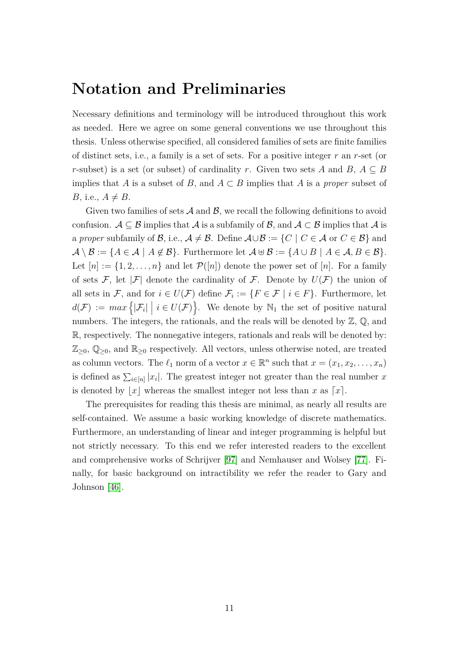# <span id="page-18-0"></span>**Notation and Preliminaries**

Necessary definitions and terminology will be introduced throughout this work as needed. Here we agree on some general conventions we use throughout this thesis. Unless otherwise specified, all considered families of sets are finite families of distinct sets, i.e., a family is a set of sets. For a positive integer *r* an *r*-set (or *r*-subset) is a set (or subset) of cardinality *r*. Given two sets *A* and  $B, A \subseteq B$ implies that *A* is a subset of *B*, and  $A \subset B$  implies that *A* is a *proper* subset of *B*, i.e.,  $A \neq B$ .

Given two families of sets  $\mathcal A$  and  $\mathcal B$ , we recall the following definitions to avoid confusion.  $\mathcal{A} \subseteq \mathcal{B}$  implies that  $\mathcal{A}$  is a subfamily of  $\mathcal{B}$ , and  $\mathcal{A} \subseteq \mathcal{B}$  implies that  $\mathcal{A}$  is a *proper* subfamily of B, i.e.,  $A \neq B$ . Define  $A \cup B := \{C \mid C \in A \text{ or } C \in B\}$  and  $\mathcal{A} \setminus \mathcal{B} := \{A \in \mathcal{A} \mid A \notin \mathcal{B}\}.$  Furthermore let  $\mathcal{A} \oplus \mathcal{B} := \{A \cup B \mid A \in \mathcal{A}, B \in \mathcal{B}\}.$ Let  $[n] := \{1, 2, \ldots, n\}$  and let  $\mathcal{P}([n])$  denote the power set of  $[n]$ . For a family of sets F, let |F| denote the cardinality of F. Denote by  $U(F)$  the union of all sets in F, and for  $i \in U(\mathcal{F})$  define  $\mathcal{F}_i := \{F \in \mathcal{F} \mid i \in F\}$ . Furthermore, let  $d(\mathcal{F}) := max \{ |\mathcal{F}_i| \mid i \in U(\mathcal{F}) \}.$  We denote by  $\mathbb{N}_1$  the set of positive natural numbers. The integers, the rationals, and the reals will be denoted by  $\mathbb{Z}, \mathbb{Q}$ , and R, respectively. The nonnegative integers, rationals and reals will be denoted by:  $\mathbb{Z}_{\geq 0}$ ,  $\mathbb{Q}_{\geq 0}$ , and  $\mathbb{R}_{\geq 0}$  respectively. All vectors, unless otherwise noted, are treated as column vectors. The  $\ell_1$  norm of a vector  $x \in \mathbb{R}^n$  such that  $x = (x_1, x_2, \dots, x_n)$ is defined as  $\sum_{i\in[n]} |x_i|$ . The greatest integer not greater than the real number *x* is denoted by  $|x|$  whereas the smallest integer not less than *x* as  $[x]$ .

The prerequisites for reading this thesis are minimal, as nearly all results are self-contained. We assume a basic working knowledge of discrete mathematics. Furthermore, an understanding of linear and integer programming is helpful but not strictly necessary. To this end we refer interested readers to the excellent and comprehensive works of Schrijver [\[97\]](#page-84-8) and Nemhauser and Wolsey [\[77\]](#page-83-13). Finally, for basic background on intractibility we refer the reader to Gary and Johnson [\[46\]](#page-81-10).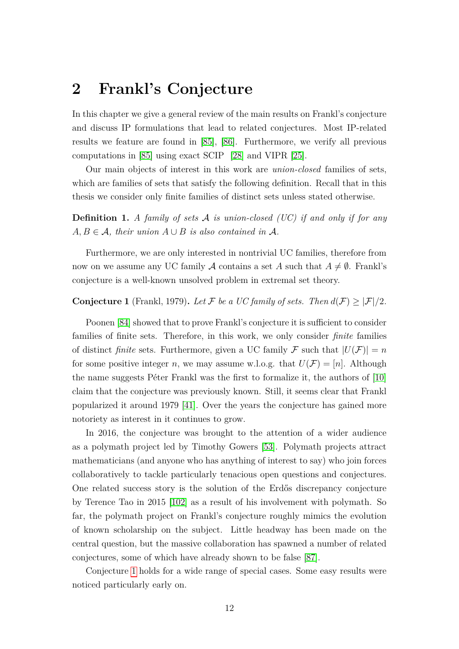## <span id="page-19-0"></span>**2 Frankl's Conjecture**

In this chapter we give a general review of the main results on Frankl's conjecture and discuss IP formulations that lead to related conjectures. Most IP-related results we feature are found in [\[85\]](#page-83-9), [\[86\]](#page-83-8). Furthermore, we verify all previous computations in [\[85\]](#page-83-9) using exact SCIP [\[28\]](#page-80-9) and VIPR [\[25\]](#page-79-4).

Our main objects of interest in this work are *union-closed* families of sets, which are families of sets that satisfy the following definition. Recall that in this thesis we consider only finite families of distinct sets unless stated otherwise.

**Definition 1.** *A family of sets* A *is union-closed (UC) if and only if for any*  $A, B \in \mathcal{A}$ , their union  $A \cup B$  is also contained in  $\mathcal{A}$ .

Furthermore, we are only interested in nontrivial UC families, therefore from now on we assume any UC family A contains a set A such that  $A \neq \emptyset$ . Frankl's conjecture is a well-known unsolved problem in extremal set theory.

### <span id="page-19-1"></span>**Conjecture 1** (Frankl, 1979). Let F be a UC family of sets. Then  $d(\mathcal{F}) \geq |\mathcal{F}|/2$ .

Poonen [\[84\]](#page-83-12) showed that to prove Frankl's conjecture it is sufficient to consider families of finite sets. Therefore, in this work, we only consider *finite* families of distinct *finite* sets. Furthermore, given a UC family F such that  $|U(\mathcal{F})| = n$ for some positive integer *n*, we may assume w.l.o.g. that  $U(\mathcal{F}) = [n]$ . Although the name suggests Péter Frankl was the first to formalize it, the authors of [\[10\]](#page-78-10) claim that the conjecture was previously known. Still, it seems clear that Frankl popularized it around 1979 [\[41\]](#page-80-10). Over the years the conjecture has gained more notoriety as interest in it continues to grow.

In 2016, the conjecture was brought to the attention of a wider audience as a polymath project led by Timothy Gowers [\[53\]](#page-81-9). Polymath projects attract mathematicians (and anyone who has anything of interest to say) who join forces collaboratively to tackle particularly tenacious open questions and conjectures. One related success story is the solution of the Erdős discrepancy conjecture by Terence Tao in 2015 [\[102\]](#page-84-9) as a result of his involvement with polymath. So far, the polymath project on Frankl's conjecture roughly mimics the evolution of known scholarship on the subject. Little headway has been made on the central question, but the massive collaboration has spawned a number of related conjectures, some of which have already shown to be false [\[87\]](#page-84-10).

Conjecture [1](#page-19-1) holds for a wide range of special cases. Some easy results were noticed particularly early on.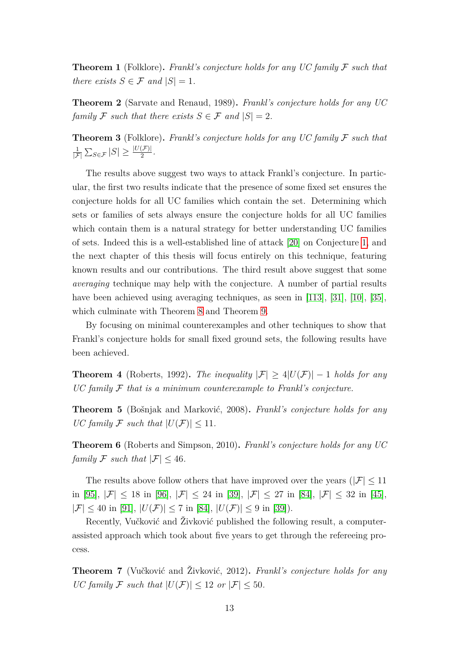<span id="page-20-0"></span>**Theorem 1** (Folklore)**.** *Frankl's conjecture holds for any UC family* F *such that there exists*  $S \in \mathcal{F}$  *and*  $|S| = 1$ *.* 

<span id="page-20-1"></span>**Theorem 2** (Sarvate and Renaud, 1989)**.** *Frankl's conjecture holds for any UC family*  $\mathcal{F}$  *such that there exists*  $S \in \mathcal{F}$  *and*  $|S| = 2$ *.* 

**Theorem 3** (Folklore)**.** *Frankl's conjecture holds for any UC family* F *such that* 1  $\frac{1}{|\mathcal{F}|}\sum_{S\in\mathcal{F}}|S|\geq\frac{|U(\mathcal{F})|}{2}.$ 

The results above suggest two ways to attack Frankl's conjecture. In particular, the first two results indicate that the presence of some fixed set ensures the conjecture holds for all UC families which contain the set. Determining which sets or families of sets always ensure the conjecture holds for all UC families which contain them is a natural strategy for better understanding UC families of sets. Indeed this is a well-established line of attack [\[20\]](#page-79-10) on Conjecture [1,](#page-19-1) and the next chapter of this thesis will focus entirely on this technique, featuring known results and our contributions. The third result above suggest that some *averaging* technique may help with the conjecture. A number of partial results have been achieved using averaging techniques, as seen in [\[113\]](#page-85-8), [\[31\]](#page-80-11), [\[10\]](#page-78-10), [\[35\]](#page-80-12), which culminate with Theorem [8](#page-21-0) and Theorem [9.](#page-21-1)

By focusing on minimal counterexamples and other techniques to show that Frankl's conjecture holds for small fixed ground sets, the following results have been achieved.

**Theorem 4** (Roberts, 1992). *The inequality*  $|\mathcal{F}| \geq 4|U(\mathcal{F})| - 1$  *holds for any UC family* F *that is a minimum counterexample to Frankl's conjecture.*

**Theorem 5** (Bošnjak and Marković, 2008)**.** *Frankl's conjecture holds for any UC family*  $\mathcal{F}$  *such that*  $|U(\mathcal{F})| < 11$ *.* 

**Theorem 6** (Roberts and Simpson, 2010)**.** *Frankl's conjecture holds for any UC family*  $\mathcal{F}$  *such that*  $|\mathcal{F}| \leq 46$ *.* 

The results above follow others that have improved over the years ( $|\mathcal{F}| \leq 11$ ) in [\[95\]](#page-84-11),  $|\mathcal{F}| \le 18$  in [\[96\]](#page-84-12),  $|\mathcal{F}| \le 24$  in [\[39\]](#page-80-13),  $|\mathcal{F}| \le 27$  in [\[84\]](#page-83-12),  $|\mathcal{F}| \le 32$  in [\[45\]](#page-81-11),  $|\mathcal{F}| \leq 40$  in [\[91\]](#page-84-13),  $|U(\mathcal{F})| \leq 7$  in [\[84\]](#page-83-12),  $|U(\mathcal{F})| \leq 9$  in [\[39\]](#page-80-13)).

Recently, Vučković and Živković published the following result, a computerassisted approach which took about five years to get through the refereeing process.

<span id="page-20-2"></span>**Theorem 7** (Vučković and Živković, 2012)**.** *Frankl's conjecture holds for any UC family*  $\mathcal{F}$  *such that*  $|U(\mathcal{F})| \leq 12$  *or*  $|\mathcal{F}| \leq 50$ *.*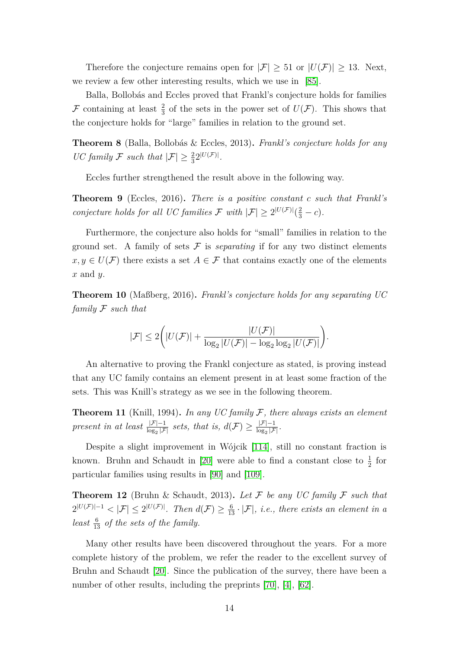Therefore the conjecture remains open for  $|\mathcal{F}| \geq 51$  or  $|U(\mathcal{F})| \geq 13$ . Next, we review a few other interesting results, which we use in [\[85\]](#page-83-9).

Balla, Bollobás and Eccles proved that Frankl's conjecture holds for families F containing at least  $\frac{2}{3}$  of the sets in the power set of  $U(\mathcal{F})$ . This shows that the conjecture holds for "large" families in relation to the ground set.

<span id="page-21-0"></span>**Theorem 8** (Balla, Bollobás & Eccles, 2013)**.** *Frankl's conjecture holds for any UC family*  $\mathcal{F}$  *such that*  $|\mathcal{F}| \geq \frac{2}{3}2^{|U(\mathcal{F})|}$ *.* 

Eccles further strengthened the result above in the following way.

<span id="page-21-1"></span>**Theorem 9** (Eccles, 2016)**.** *There is a positive constant c such that Frankl's conjecture holds for all UC families*  $\mathcal{F}$  *with*  $|\mathcal{F}| \geq 2^{|U(\mathcal{F})|}(\frac{2}{3} - c)$ *.* 

Furthermore, the conjecture also holds for "small" families in relation to the ground set. A family of sets  $\mathcal F$  is *separating* if for any two distinct elements  $x, y \in U(\mathcal{F})$  there exists a set  $A \in \mathcal{F}$  that contains exactly one of the elements *x* and *y*.

**Theorem 10** (Maßberg, 2016)**.** *Frankl's conjecture holds for any separating UC family* F *such that*

$$
|\mathcal{F}| \leq 2 \bigg( |U(\mathcal{F})| + \frac{|U(\mathcal{F})|}{\log_2 |U(\mathcal{F})| - \log_2 \log_2 |U(\mathcal{F})|} \bigg).
$$

An alternative to proving the Frankl conjecture as stated, is proving instead that any UC family contains an element present in at least some fraction of the sets. This was Knill's strategy as we see in the following theorem.

**Theorem 11** (Knill, 1994)**.** *In any UC family* F*, there always exists an element present in at least*  $\frac{|\mathcal{F}| - 1}{\log_2 |\mathcal{F}|}$  *sets, that is,*  $d(\mathcal{F}) \ge \frac{|\mathcal{F}| - 1}{\log_2 |\mathcal{F}|}$  $\frac{|{\cal F}|-1}{\log_2|{\cal F}|}.$ 

Despite a slight improvement in Wójcik [\[114\]](#page-85-9), still no constant fraction is known. Bruhn and Schaudt in [\[20\]](#page-79-10) were able to find a constant close to  $\frac{1}{2}$  for particular families using results in [\[90\]](#page-84-14) and [\[109\]](#page-85-10).

**Theorem 12** (Bruhn & Schaudt, 2013). Let  $\mathcal F$  be any UC family  $\mathcal F$  such that  $2^{|U(\mathcal{F})|-1} < |\mathcal{F}| \leq 2^{|U(\mathcal{F})|}$ . Then  $d(\mathcal{F}) \geq \frac{6}{13} \cdot |\mathcal{F}|$ , *i.e.*, there exists an element in a *least*  $\frac{6}{13}$  *of the sets of the family.* 

Many other results have been discovered throughout the years. For a more complete history of the problem, we refer the reader to the excellent survey of Bruhn and Schaudt [\[20\]](#page-79-10). Since the publication of the survey, there have been a number of other results, including the preprints [\[70\]](#page-82-10), [\[4\]](#page-78-11), [\[62\]](#page-82-11).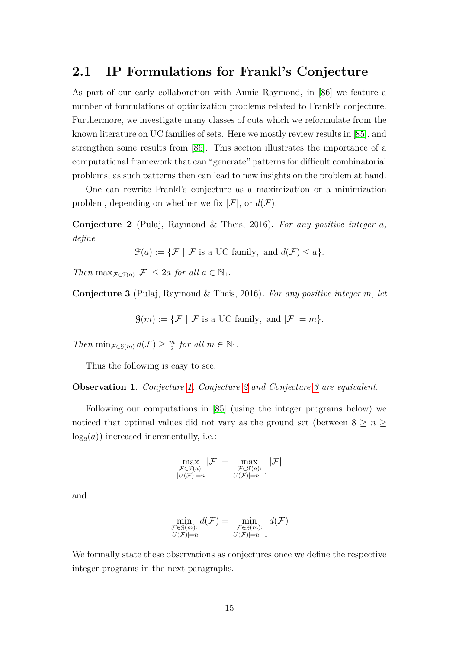### <span id="page-22-0"></span>**2.1 IP Formulations for Frankl's Conjecture**

As part of our early collaboration with Annie Raymond, in [\[86\]](#page-83-8) we feature a number of formulations of optimization problems related to Frankl's conjecture. Furthermore, we investigate many classes of cuts which we reformulate from the known literature on UC families of sets. Here we mostly review results in [\[85\]](#page-83-9), and strengthen some results from [\[86\]](#page-83-8). This section illustrates the importance of a computational framework that can "generate" patterns for difficult combinatorial problems, as such patterns then can lead to new insights on the problem at hand.

One can rewrite Frankl's conjecture as a maximization or a minimization problem, depending on whether we fix  $|\mathcal{F}|$ , or  $d(\mathcal{F})$ .

<span id="page-22-1"></span>**Conjecture 2** (Pulaj, Raymond & Theis, 2016)**.** *For any positive integer a, define*

$$
\mathcal{F}(a) := \{ \mathcal{F} \mid \mathcal{F} \text{ is a UC family, and } d(\mathcal{F}) \le a \}.
$$

*Then*  $\max_{\mathcal{F} \in \mathcal{F}(a)} |\mathcal{F}| \leq 2a$  *for all*  $a \in \mathbb{N}_1$ *.* 

<span id="page-22-2"></span>**Conjecture 3** (Pulaj, Raymond & Theis, 2016)**.** *For any positive integer m, let*

 $\mathcal{G}(m) := \{ \mathcal{F} \mid \mathcal{F} \text{ is a UC family, and } |\mathcal{F}| = m \}.$ 

*Then* min $_{\mathcal{F}\in\mathcal{G}(m)} d(\mathcal{F}) \geq \frac{m}{2}$  $\frac{m}{2}$  *for all*  $m \in \mathbb{N}_1$ .

Thus the following is easy to see.

**Observation 1.** *Conjecture [1,](#page-19-1) Conjecture [2](#page-22-1) and Conjecture [3](#page-22-2) are equivalent.*

Following our computations in [\[85\]](#page-83-9) (using the integer programs below) we noticed that optimal values did not vary as the ground set (between  $8 \ge n \ge$  $log<sub>2</sub>(a)$ ) increased incrementally, i.e.:

$$
\max_{\substack{\mathcal{F}\in\mathcal{F}(a):\\|U(\mathcal{F})|=n}}|\mathcal{F}|=\max_{\substack{\mathcal{F}\in\mathcal{F}(a):\\|U(\mathcal{F})|=n+1}}|\mathcal{F}|
$$

and

$$
\min_{\substack{\mathcal{F}\in\mathcal{G}(m):\\|U(\mathcal{F})|=n}} d(\mathcal{F}) = \min_{\substack{\mathcal{F}\in\mathcal{G}(m):\\|U(\mathcal{F})|=n+1}} d(\mathcal{F})
$$

We formally state these observations as conjectures once we define the respective integer programs in the next paragraphs.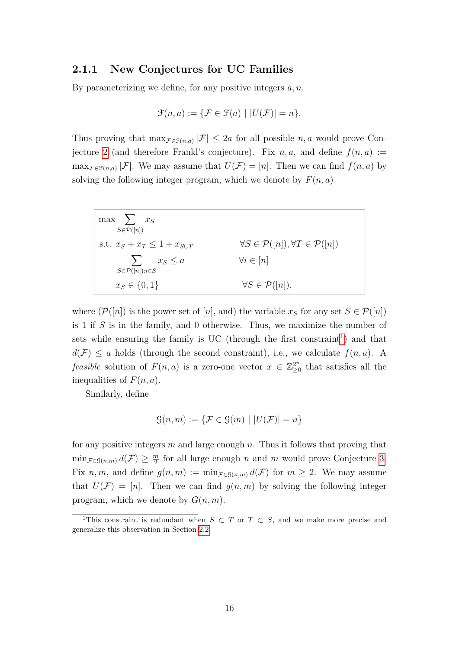#### <span id="page-23-0"></span>**2.1.1 New Conjectures for UC Families**

By parameterizing we define, for any positive integers *a, n*,

$$
\mathcal{F}(n, a) := \{ \mathcal{F} \in \mathcal{F}(a) \mid |U(\mathcal{F})| = n \}.
$$

Thus proving that  $\max_{\mathcal{F} \in \mathcal{F}(n,a)} |\mathcal{F}| \leq 2a$  for all possible *n*, *a* would prove Con-jecture [2](#page-22-1) (and therefore Frankl's conjecture). Fix  $n, a$ , and define  $f(n, a) :=$  $\max_{\mathcal{F} \in \mathcal{F}(n,a)} |\mathcal{F}|$ . We may assume that  $U(\mathcal{F}) = [n]$ . Then we can find  $f(n, a)$  by solving the following integer program, which we denote by  $F(n, a)$ 

| $\max$ $\sum x_S$<br>$S \in \mathcal{P}([n])$           |                                                                  |
|---------------------------------------------------------|------------------------------------------------------------------|
| s.t. $x_S + x_T \leq 1 + x_{S \cup T}$                  | $\forall S \in \mathcal{P}([n]), \forall T \in \mathcal{P}([n])$ |
| $\sum x_S \leq a$<br>$S \in \mathcal{P}([n]) : i \in S$ | $\forall i \in [n]$                                              |
| $x_S \in \{0, 1\}$                                      | $\forall S \in \mathcal{P}([n]),$                                |

where  $(\mathcal{P}([n])$  is the power set of [*n*], and) the variable  $x_s$  for any set  $S \in \mathcal{P}([n])$ is 1 if *S* is in the family, and 0 otherwise. Thus, we maximize the number of sets while ensuring the family is UC (through the first constraint<sup>[1](#page-23-1)</sup>) and that  $d(\mathcal{F}) \leq a$  holds (through the second constraint), i.e., we calculate  $f(n, a)$ . A *feasible* solution of  $F(n, a)$  is a zero-one vector  $\bar{x} \in \mathbb{Z}_{\geq 0}^{2^n}$  $\sum_{i=0}^{2^n}$  that satisfies all the inequalities of *F*(*n, a*).

Similarly, define

$$
\mathcal{G}(n,m) := \{ \mathcal{F} \in \mathcal{G}(m) \mid |U(\mathcal{F})| = n \}
$$

for any positive integers *m* and large enough *n*. Thus it follows that proving that  $\min_{\mathcal{F}\in\mathcal{G}(n,m)} d(\mathcal{F}) \geq \frac{m}{2}$  $\frac{m}{2}$  for all large enough *n* and *m* would prove Conjecture [3.](#page-22-2) Fix *n, m,* and define  $g(n, m) := \min_{\mathcal{F} \in \mathcal{G}(n,m)} d(\mathcal{F})$  for  $m \geq 2$ . We may assume that  $U(\mathcal{F}) = [n]$ . Then we can find  $q(n,m)$  by solving the following integer program, which we denote by *G*(*n, m*).

<span id="page-23-1"></span><sup>&</sup>lt;sup>1</sup>This constraint is redundant when  $S \subset T$  or  $T \subset S$ , and we make more precise and generalize this observation in Section [2.2.](#page-26-0)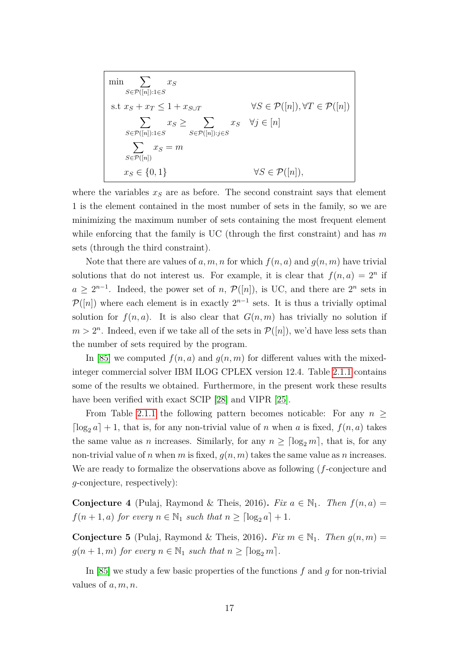$$
\min \sum_{S \in \mathcal{P}([n]): 1 \in S} x_S
$$
\n
$$
\text{s.t } x_S + x_T \le 1 + x_{S \cup T} \qquad \forall S \in \mathcal{P}([n]), \forall T \in \mathcal{P}([n])
$$
\n
$$
\sum_{S \in \mathcal{P}([n]): 1 \in S} x_S \ge \sum_{S \in \mathcal{P}([n]): j \in S} x_S \qquad \forall j \in [n]
$$
\n
$$
\sum_{S \in \mathcal{P}([n])} x_S = m
$$
\n
$$
x_S \in \{0, 1\} \qquad \forall S \in \mathcal{P}([n]),
$$

where the variables  $x<sub>S</sub>$  are as before. The second constraint says that element 1 is the element contained in the most number of sets in the family, so we are minimizing the maximum number of sets containing the most frequent element while enforcing that the family is UC (through the first constraint) and has *m* sets (through the third constraint).

Note that there are values of a, m, n for which  $f(n, a)$  and  $g(n, m)$  have trivial solutions that do not interest us. For example, it is clear that  $f(n, a) = 2^n$  if  $a \geq 2^{n-1}$ . Indeed, the power set of *n*,  $\mathcal{P}([n])$ , is UC, and there are  $2^n$  sets in  $\mathcal{P}([n])$  where each element is in exactly  $2^{n-1}$  sets. It is thus a trivially optimal solution for  $f(n, a)$ . It is also clear that  $G(n, m)$  has trivially no solution if  $m > 2<sup>n</sup>$ . Indeed, even if we take all of the sets in  $\mathcal{P}([n])$ , we'd have less sets than the number of sets required by the program.

In [\[85\]](#page-83-9) we computed  $f(n, a)$  and  $g(n, m)$  for different values with the mixedinteger commercial solver IBM ILOG CPLEX version 12.4. Table [2.1.1](#page-23-0) contains some of the results we obtained. Furthermore, in the present work these results have been verified with exact SCIP [\[28\]](#page-80-9) and VIPR [\[25\]](#page-79-4).

From Table [2.1.1](#page-23-0) the following pattern becomes noticable: For any  $n \geq$  $\lceil \log_2 a \rceil + 1$ , that is, for any non-trivial value of *n* when *a* is fixed,  $f(n, a)$  takes the same value as *n* increases. Similarly, for any  $n \geq \lceil \log_2 m \rceil$ , that is, for any non-trivial value of *n* when *m* is fixed,  $g(n, m)$  takes the same value as *n* increases. We are ready to formalize the observations above as following (*f*-conjecture and *g*-conjecture, respectively):

**Conjecture 4** (Pulaj, Raymond & Theis, 2016). *Fix*  $a \in \mathbb{N}_1$ . *Then*  $f(n, a) =$  $f(n+1, a)$  *for every*  $n \in \mathbb{N}_1$  *such that*  $n \geq \lceil \log_2 a \rceil + 1$ *.* 

**Conjecture 5** (Pulaj, Raymond & Theis, 2016). *Fix*  $m \in \mathbb{N}_1$ . *Then*  $g(n, m) =$  $g(n+1,m)$  *for every*  $n \in \mathbb{N}_1$  *such that*  $n \geq \lceil \log_2 m \rceil$ *.* 

In [\[85\]](#page-83-9) we study a few basic properties of the functions *f* and *g* for non-trivial values of *a, m, n*.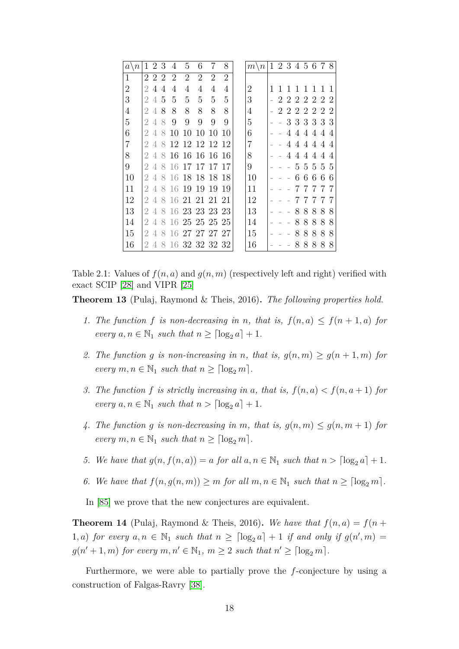| $\overline{n}$<br>a <sup>1</sup> |                             | 2              | 3 | 4                           | 5              | 6                |                | 8              | $\setminus n$<br>m <sub>1</sub> |                             | 1 2 3 4 5 6 7 8 |              |              |             |                |                |
|----------------------------------|-----------------------------|----------------|---|-----------------------------|----------------|------------------|----------------|----------------|---------------------------------|-----------------------------|-----------------|--------------|--------------|-------------|----------------|----------------|
| $\mathbf{1}$                     |                             | 222            |   | $\mathcal{D}_{\mathcal{L}}$ | $\overline{2}$ | $\overline{2}$   | $\overline{2}$ | $\overline{2}$ |                                 |                             |                 |              |              |             |                |                |
| $\overline{2}$                   | 2                           | 4              | 4 | 4                           | 4              | 4                | 4              | 4              | 2                               | 1                           | 1               | $\mathbf{1}$ | $\mathbf{1}$ | 1 1         |                | $\overline{1}$ |
| 3                                | 2                           | $\overline{4}$ | 5 | 5                           | 5              | 5                | 5              | 5              | 3                               | $\mathcal{D}_{\mathcal{L}}$ | $\overline{2}$  |              |              | 2222        |                | $\overline{2}$ |
| 4                                | 2                           | 4              | 8 | 8                           | 8              | 8                | 8              | 8              | 4                               | 2                           | 222222          |              |              |             |                |                |
| 5                                | 2                           | 4              | 8 | 9                           | 9              | 9                | 9              | 9              | 5                               |                             |                 |              |              | 3 3 3 3 3 3 |                |                |
| 6                                | 2                           | 4              | 8 | 10                          | 10             | 10               | 10             | 10             | 6                               |                             | 4               | 4            | 4            |             | 44             | $\overline{4}$ |
| 7                                | 2                           | 4              | 8 |                             |                | 12 12 12 12      |                | 12             | $\overline{7}$                  |                             | 4               | 4            |              | 444         |                | 4              |
| 8                                | 2                           | $\overline{4}$ | 8 |                             |                | 16 16 16         | -16            | -16            | 8                               |                             | 4               |              | 44           | 4           | $\overline{4}$ | $\overline{4}$ |
| 9                                | 2                           | 4              | 8 |                             |                | 16 17 17 17      |                | 17             | 9                               |                             |                 |              |              | 5 5 5 5 5   |                |                |
| 10                               | 2                           | 4              | 8 | 16                          | 18             | 18               | -18            | 18             | 10                              |                             |                 | 6            | 6            | 6           | 6              | 6              |
| 11                               | 2                           | 4              | 8 | 16 19                       |                | 19               | -19            | 19             | 11                              |                             |                 |              |              | 7           | 7              |                |
| 12                               | $\overline{2}$              | 4              | 8 |                             |                | 16 21 21 21 21   |                |                | 12                              |                             |                 |              | 7            | 7           | 7              |                |
| 13                               | $\overline{2}$              | 4              |   |                             |                | 8 16 23 23 23 23 |                |                | 13                              |                             |                 | 8            | 8            | 8           | 8              | 8              |
| 14                               | 2                           | 4              | 8 |                             |                | 16 25 25 25 25   |                |                | 14                              |                             |                 | 8            | 8            | 8           | 8              | 8              |
| 15                               | $\mathcal{D}_{\mathcal{A}}$ | 4              | 8 |                             |                | 16 27 27 27 27   |                |                | 15                              |                             |                 | 8            | 8            | 8           | 8              | 8              |
| 16                               | 2                           | $\overline{4}$ |   |                             |                | 8 16 32 32 32 32 |                |                | 16                              |                             |                 | 8            | 8            | 8           | 8              | 8              |

Table 2.1: Values of  $f(n, a)$  and  $g(n, m)$  (respectively left and right) verified with exact SCIP [\[28\]](#page-80-9) and VIPR [\[25\]](#page-79-4)

**Theorem 13** (Pulaj, Raymond & Theis, 2016)**.** *The following properties hold.*

- *1. The function*  $f$  *is non-decreasing in*  $n$ *, that is,*  $f(n, a) \leq f(n + 1, a)$  *for every*  $a, n \in \mathbb{N}_1$  *such that*  $n \geq \lceil \log_2 a \rceil + 1$ *.*
- 2. The function *g* is non-increasing in *n*, that is,  $g(n, m) \ge g(n + 1, m)$  for *every*  $m, n \in \mathbb{N}_1$  *such that*  $n \geq \lceil \log_2 m \rceil$ *.*
- *3. The function*  $f$  *is strictly increasing in*  $a$ *, that is,*  $f(n, a) < f(n, a+1)$  *for every*  $a, n \in \mathbb{N}_1$  *such that*  $n > \lfloor \log_2 a \rfloor + 1$ *.*
- 4. The function g is non-decreasing in m, that is,  $g(n, m) \leq g(n, m + 1)$  for *every*  $m, n \in \mathbb{N}_1$  *such that*  $n \geq \lceil \log_2 m \rceil$ *.*
- *5. We have that*  $g(n, f(n, a)) = a$  *for all*  $a, n \in \mathbb{N}_1$  *such that*  $n > \lfloor \log_2 a \rfloor + 1$ *.*
- 6. We have that  $f(n, g(n, m)) \geq m$  *for all*  $m, n \in \mathbb{N}_1$  *such that*  $n \geq \lceil \log_2 m \rceil$ *.*

In [\[85\]](#page-83-9) we prove that the new conjectures are equivalent.

**Theorem 14** (Pulaj, Raymond & Theis, 2016). We have that  $f(n, a) = f(n + a)$ 1, a) for every  $a, n \in \mathbb{N}_1$  such that  $n \geq \lceil \log_2 a \rceil + 1$  if and only if  $g(n', m) =$  $g(n'+1,m)$  *for every*  $m, n' \in \mathbb{N}_1$ ,  $m \geq 2$  *such that*  $n' \geq \lceil \log_2 m \rceil$ *.* 

Furthermore, we were able to partially prove the *f*-conjecture by using a construction of Falgas-Ravry [\[38\]](#page-80-14).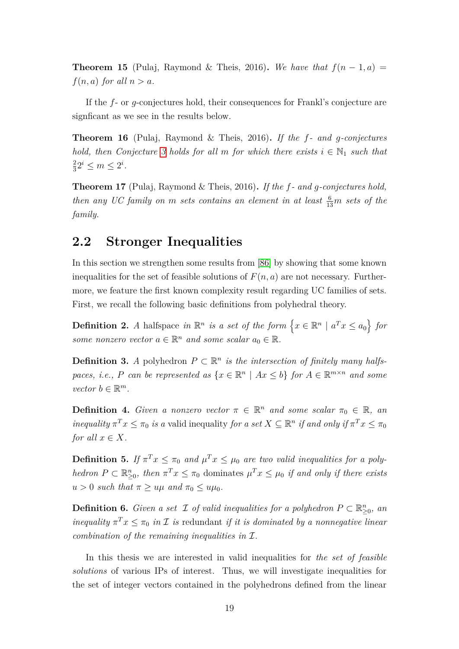**Theorem 15** (Pulaj, Raymond & Theis, 2016). We have that  $f(n-1, a)$  $f(n, a)$  *for all*  $n > a$ *.* 

If the *f*- or *g*-conjectures hold, their consequences for Frankl's conjecture are signficant as we see in the results below.

**Theorem 16** (Pulaj, Raymond & Theis, 2016)**.** *If the f- and g-conjectures hold, then Conjecture* [3](#page-22-2) *holds for all m for which there exists*  $i \in \mathbb{N}_1$  *such that* 2  $\frac{2}{3}2^i \le m \le 2^i$ .

**Theorem 17** (Pulaj, Raymond & Theis, 2016)**.** *If the f- and g-conjectures hold, then any UC family on m sets contains an element in at least*  $\frac{6}{13}m$  *sets of the family.*

### <span id="page-26-0"></span>**2.2 Stronger Inequalities**

In this section we strengthen some results from [\[86\]](#page-83-8) by showing that some known inequalities for the set of feasible solutions of  $F(n, a)$  are not necessary. Furthermore, we feature the first known complexity result regarding UC families of sets. First, we recall the following basic definitions from polyhedral theory.

**Definition 2.** *A* halfspace in  $\mathbb{R}^n$  is a set of the form  $\{x \in \mathbb{R}^n \mid a^T x \le a_0\}$  for *some nonzero vector*  $a \in \mathbb{R}^n$  *and some scalar*  $a_0 \in \mathbb{R}$ *.* 

**Definition 3.** *A* polyhedron  $P \subset \mathbb{R}^n$  *is the intersection of finitely many halfspaces, i.e., P can be represented as*  $\{x \in \mathbb{R}^n \mid Ax \leq b\}$  *for*  $A \in \mathbb{R}^{m \times n}$  *and some*  $vector b \in \mathbb{R}^m$ .

**Definition 4.** *Given a nonzero vector*  $\pi \in \mathbb{R}^n$  *and some scalar*  $\pi_0 \in \mathbb{R}$ *, an inequality*  $\pi^T x \leq \pi_0$  *is a* valid inequality *for a set*  $X \subseteq \mathbb{R}^n$  *if and only if*  $\pi^T x \leq \pi_0$ *for all*  $x \in X$ *.* 

**Definition 5.** If  $\pi^T x \leq \pi_0$  and  $\mu^T x \leq \mu_0$  are two valid inequalities for a poly*hedron*  $P \subset \mathbb{R}_{\geq 0}^n$ , then  $\pi^T x \leq \pi_0$  dominates  $\mu^T x \leq \mu_0$  *if and only if there exists*  $u > 0$  *such that*  $\pi \geq u\mu$  *and*  $\pi_0 \leq u\mu_0$ *.* 

**Definition 6.** *Given a set*  $\mathcal I$  *of valid inequalities for a polyhedron*  $P \subset \mathbb{R}^n_{\geq 0}$ *, an inequality*  $\pi^T x \leq \pi_0$  *in*  $\mathcal{I}$  *is* redundant *if it is dominated by a nonnegative linear combination of the remaining inequalities in* I*.*

In this thesis we are interested in valid inequalities for *the set of feasible solutions* of various IPs of interest. Thus, we will investigate inequalities for the set of integer vectors contained in the polyhedrons defined from the linear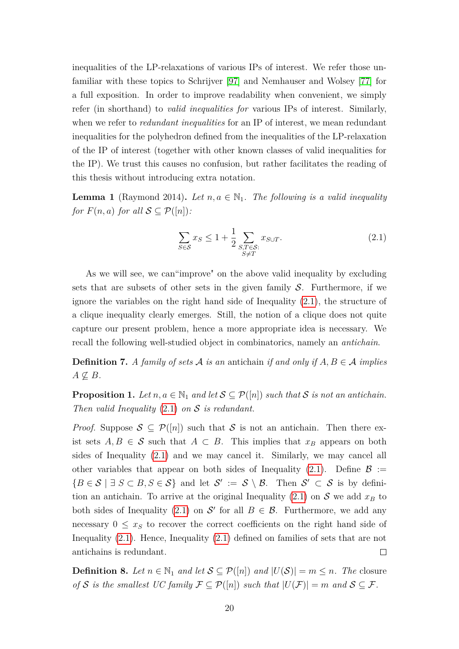inequalities of the LP-relaxations of various IPs of interest. We refer those unfamiliar with these topics to Schrijver [\[97\]](#page-84-8) and Nemhauser and Wolsey [\[77\]](#page-83-13) for a full exposition. In order to improve readability when convenient, we simply refer (in shorthand) to *valid inequalities for* various IPs of interest. Similarly, when we refer to *redundant inequalities* for an IP of interest, we mean redundant inequalities for the polyhedron defined from the inequalities of the LP-relaxation of the IP of interest (together with other known classes of valid inequalities for the IP). We trust this causes no confusion, but rather facilitates the reading of this thesis without introducing extra notation.

**Lemma 1** (Raymond 2014). Let  $n, a \in \mathbb{N}_1$ . The following is a valid inequality *for*  $F(n, a)$  *for all*  $S \subseteq \mathcal{P}([n])$ *:* 

<span id="page-27-0"></span>
$$
\sum_{S \in \mathcal{S}} x_S \le 1 + \frac{1}{2} \sum_{\substack{S, T \in \mathcal{S}: \\ S \neq T}} x_{S \cup T}.\tag{2.1}
$$

As we will see, we can"improve" on the above valid inequality by excluding sets that are subsets of other sets in the given family  $S$ . Furthermore, if we ignore the variables on the right hand side of Inequality [\(2.1\)](#page-27-0), the structure of a clique inequality clearly emerges. Still, the notion of a clique does not quite capture our present problem, hence a more appropriate idea is necessary. We recall the following well-studied object in combinatorics, namely an *antichain*.

**Definition 7.** A family of sets A is an antichain if and only if  $A, B \in \mathcal{A}$  implies  $A \not\subseteq B$ *.* 

**Proposition 1.** Let  $n, a \in \mathbb{N}_1$  and let  $S \subseteq \mathcal{P}([n])$  such that S is not an antichain. *Then valid Inequality* [\(2.1\)](#page-27-0) *on* S *is redundant.*

*Proof.* Suppose  $S \subseteq \mathcal{P}([n])$  such that S is not an antichain. Then there exist sets  $A, B \in \mathcal{S}$  such that  $A \subset B$ . This implies that  $x_B$  appears on both sides of Inequality [\(2.1\)](#page-27-0) and we may cancel it. Similarly, we may cancel all other variables that appear on both sides of Inequality [\(2.1\)](#page-27-0). Define  $\mathcal{B} :=$  ${B \in S \mid \exists S \subset B, S \in S}$  and let  $S' := S \setminus B$ . Then  $S' \subset S$  is by defini-tion an antichain. To arrive at the original Inequality [\(2.1\)](#page-27-0) on  $S$  we add  $x_B$  to both sides of Inequality [\(2.1\)](#page-27-0) on S' for all  $B \in \mathcal{B}$ . Furthermore, we add any necessary  $0 \leq x_s$  to recover the correct coefficients on the right hand side of Inequality [\(2.1\)](#page-27-0). Hence, Inequality [\(2.1\)](#page-27-0) defined on families of sets that are not antichains is redundant.  $\Box$ 

**Definition 8.** Let  $n \in \mathbb{N}_1$  and let  $\mathcal{S} \subseteq \mathcal{P}([n])$  and  $|U(\mathcal{S})| = m \leq n$ . The closure *of*  $S$  *is the smallest UC family*  $\mathcal{F} \subseteq \mathcal{P}([n])$  *such that*  $|U(\mathcal{F})| = m$  *and*  $S \subseteq \mathcal{F}$ *.*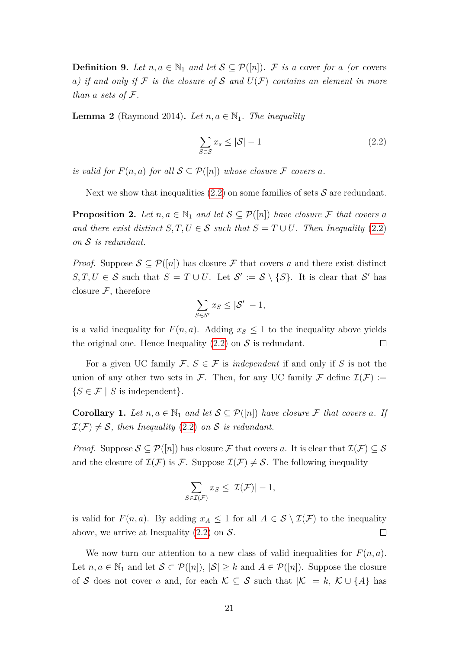**Definition 9.** Let  $n, a \in \mathbb{N}_1$  and let  $\mathcal{S} \subseteq \mathcal{P}([n])$ . F is a cover for a (or covers *a*) if and only if F is the closure of S and  $U(F)$  contains an element in more *than*  $a$  *sets of*  $\mathcal{F}$ *.* 

**Lemma 2** (Raymond 2014). Let  $n, a \in \mathbb{N}_1$ . The inequality

<span id="page-28-0"></span>
$$
\sum_{S \in \mathcal{S}} x_s \le |\mathcal{S}| - 1 \tag{2.2}
$$

*is valid for*  $F(n, a)$  *for all*  $S \subseteq \mathcal{P}([n])$  *whose closure*  $\mathcal F$  *covers*  $a$ *.* 

Next we show that inequalities  $(2.2)$  on some families of sets S are redundant.

**Proposition 2.** Let  $n, a \in \mathbb{N}_1$  and let  $\mathcal{S} \subseteq \mathcal{P}([n])$  have closure F that covers a *and there exist distinct*  $S, T, U \in S$  *such that*  $S = T \cup U$ *. Then Inequality* [\(2.2\)](#page-28-0) *on* S *is redundant.*

*Proof.* Suppose  $S \subseteq \mathcal{P}([n])$  has closure F that covers a and there exist distinct  $S, T, U \in S$  such that  $S = T \cup U$ . Let  $S' := S \setminus \{S\}$ . It is clear that S' has closure  $\mathcal{F}$ , therefore

<span id="page-28-1"></span>
$$
\sum_{S \in \mathcal{S}'} x_S \le |\mathcal{S}'| - 1,
$$

is a valid inequality for  $F(n, a)$ . Adding  $x<sub>S</sub> \leq 1$  to the inequality above yields the original one. Hence Inequality  $(2.2)$  on S is redundant.  $\Box$ 

For a given UC family  $\mathcal{F}, S \in \mathcal{F}$  is *independent* if and only if S is not the union of any other two sets in F. Then, for any UC family F define  $\mathcal{I}(\mathcal{F}) :=$  ${S \in \mathcal{F} \mid S \text{ is independent}}.$ 

**Corollary 1.** Let  $n, a \in \mathbb{N}_1$  and let  $\mathcal{S} \subseteq \mathcal{P}([n])$  have closure F that covers a. If  $\mathcal{I}(\mathcal{F}) \neq \mathcal{S}$ , then Inequality [\(2.2\)](#page-28-0) on S is redundant.

*Proof.* Suppose  $S \subseteq \mathcal{P}([n])$  has closure F that covers a. It is clear that  $\mathcal{I}(\mathcal{F}) \subseteq S$ and the closure of  $\mathcal{I}(\mathcal{F})$  is  $\mathcal{F}$ . Suppose  $\mathcal{I}(\mathcal{F}) \neq \mathcal{S}$ . The following inequality

$$
\sum_{S \in \mathcal{I}(\mathcal{F})} x_S \le |\mathcal{I}(\mathcal{F})| - 1,
$$

is valid for  $F(n, a)$ . By adding  $x_A \leq 1$  for all  $A \in S \setminus \mathcal{I}(\mathcal{F})$  to the inequality above, we arrive at Inequality  $(2.2)$  on  $\mathcal{S}$ .  $\Box$ 

We now turn our attention to a new class of valid inequalities for  $F(n, a)$ . Let  $n, a \in \mathbb{N}_1$  and let  $S \subset \mathcal{P}([n])$ ,  $|S| \geq k$  and  $A \in \mathcal{P}([n])$ . Suppose the closure of S does not cover *a* and, for each  $\mathcal{K} \subseteq S$  such that  $|\mathcal{K}| = k$ ,  $\mathcal{K} \cup \{A\}$  has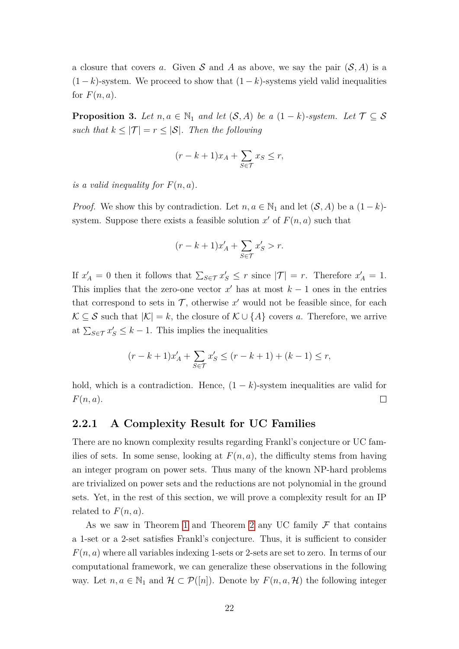a closure that covers *a*. Given S and A as above, we say the pair  $(S, A)$  is a  $(1 - k)$ -system. We proceed to show that  $(1 - k)$ -systems yield valid inequalities for  $F(n, a)$ .

**Proposition 3.** Let  $n, a \in \mathbb{N}_1$  and let  $(\mathcal{S}, A)$  be a  $(1 - k)$ *-system. Let*  $\mathcal{T} \subseteq \mathcal{S}$ *such that*  $k \leq |\mathcal{T}| = r \leq |\mathcal{S}|$ *. Then the following* 

$$
(r - k + 1)x_A + \sum_{S \in \mathcal{T}} x_S \le r,
$$

*is a valid inequality for*  $F(n, a)$ *.* 

*Proof.* We show this by contradiction. Let  $n, a \in \mathbb{N}_1$  and let  $(\mathcal{S}, A)$  be a  $(1 - k)$ system. Suppose there exists a feasible solution  $x'$  of  $F(n, a)$  such that

$$
(r-k+1)x'_{A} + \sum_{S \in \mathcal{T}} x'_{S} > r.
$$

If  $x'_A = 0$  then it follows that  $\sum_{S \in \mathcal{T}} x'_S \leq r$  since  $|\mathcal{T}| = r$ . Therefore  $x'_A = 1$ . This implies that the zero-one vector  $x'$  has at most  $k-1$  ones in the entries that correspond to sets in  $\mathcal{T}$ , otherwise  $x'$  would not be feasible since, for each  $\mathcal{K} \subseteq \mathcal{S}$  such that  $|\mathcal{K}| = k$ , the closure of  $\mathcal{K} \cup \{A\}$  covers *a*. Therefore, we arrive at  $\sum_{S \in \mathcal{T}} x_S \leq k - 1$ . This implies the inequalities

$$
(r - k + 1)x'_{A} + \sum_{S \in \mathcal{T}} x'_{S} \le (r - k + 1) + (k - 1) \le r,
$$

hold, which is a contradiction. Hence,  $(1 - k)$ -system inequalities are valid for *F*(*n, a*).  $\Box$ 

#### <span id="page-29-0"></span>**2.2.1 A Complexity Result for UC Families**

There are no known complexity results regarding Frankl's conjecture or UC families of sets. In some sense, looking at  $F(n, a)$ , the difficulty stems from having an integer program on power sets. Thus many of the known NP-hard problems are trivialized on power sets and the reductions are not polynomial in the ground sets. Yet, in the rest of this section, we will prove a complexity result for an IP related to  $F(n, a)$ .

As we saw in Theorem [1](#page-20-0) and Theorem [2](#page-20-1) any UC family  $\mathcal F$  that contains a 1-set or a 2-set satisfies Frankl's conjecture. Thus, it is sufficient to consider *F*(*n, a*) where all variables indexing 1-sets or 2-sets are set to zero. In terms of our computational framework, we can generalize these observations in the following way. Let  $n, a \in \mathbb{N}_1$  and  $\mathcal{H} \subset \mathcal{P}([n])$ . Denote by  $F(n, a, \mathcal{H})$  the following integer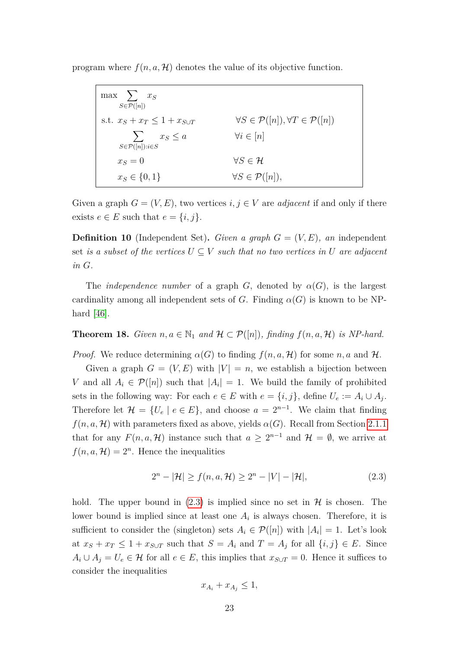program where  $f(n, a, \mathcal{H})$  denotes the value of its objective function.

| $\max$ $\sum x_S$<br>$S\in\mathcal{P}([n])$             |                                                                  |
|---------------------------------------------------------|------------------------------------------------------------------|
| s.t. $x_S + x_T \leq 1 + x_{S \cup T}$                  | $\forall S \in \mathcal{P}([n]), \forall T \in \mathcal{P}([n])$ |
| $\sum x_S \leq a$<br>$S \in \mathcal{P}([n]) : i \in S$ | $\forall i \in [n]$                                              |
| $x_S=0$                                                 | $\forall S \in \mathcal{H}$                                      |
| $x_S \in \{0, 1\}$                                      | $\forall S \in \mathcal{P}([n]),$                                |

Given a graph  $G = (V, E)$ , two vertices  $i, j \in V$  are *adjacent* if and only if there exists  $e \in E$  such that  $e = \{i, j\}.$ 

**Definition 10** (Independent Set). *Given a graph*  $G = (V, E)$ , an independent set *is a subset of the vertices*  $U \subseteq V$  *such that no two vertices in*  $U$  *are adjacent in G.*

The *independence number* of a graph *G*, denoted by  $\alpha(G)$ , is the largest cardinality among all independent sets of *G*. Finding  $\alpha(G)$  is known to be NPhard [\[46\]](#page-81-10).

**Theorem 18.** *Given*  $n, a \in \mathbb{N}_1$  *and*  $\mathcal{H} \subset \mathcal{P}([n])$ *, finding*  $f(n, a, \mathcal{H})$  *is NP-hard.* 

*Proof.* We reduce determining  $\alpha(G)$  to finding  $f(n, a, \mathcal{H})$  for some  $n, a$  and  $\mathcal{H}$ .

Given a graph  $G = (V, E)$  with  $|V| = n$ , we establish a bijection between *V* and all  $A_i \in \mathcal{P}([n])$  such that  $|A_i| = 1$ . We build the family of prohibited sets in the following way: For each  $e \in E$  with  $e = \{i, j\}$ , define  $U_e := A_i \cup A_j$ . Therefore let  $\mathcal{H} = \{U_e \mid e \in E\}$ , and choose  $a = 2^{n-1}$ . We claim that finding  $f(n, a, \mathcal{H})$  with parameters fixed as above, yields  $\alpha(G)$ . Recall from Section [2.1.1](#page-23-0) that for any  $F(n, a, \mathcal{H})$  instance such that  $a \geq 2^{n-1}$  and  $\mathcal{H} = \emptyset$ , we arrive at  $f(n, a, \mathcal{H}) = 2^n$ . Hence the inequalities

$$
2n - |\mathcal{H}| \ge f(n, a, \mathcal{H}) \ge 2n - |V| - |\mathcal{H}|,
$$
\n(2.3)

hold. The upper bound in  $(2.3)$  is implied since no set in  $\mathcal H$  is chosen. The lower bound is implied since at least one  $A_i$  is always chosen. Therefore, it is sufficient to consider the (singleton) sets  $A_i \in \mathcal{P}([n])$  with  $|A_i| = 1$ . Let's look at  $x_S + x_T \leq 1 + x_{S \cup T}$  such that  $S = A_i$  and  $T = A_j$  for all  $\{i, j\} \in E$ . Since *A*<sup>*i*</sup> ∪ *A*<sup>*j*</sup> = *U*<sup>*e*</sup> ∈ *H* for all *e* ∈ *E*, this implies that *x*<sub>*S*∪*T*</sub> = 0. Hence it suffices to consider the inequalities

$$
x_{A_i} + x_{A_j} \le 1,
$$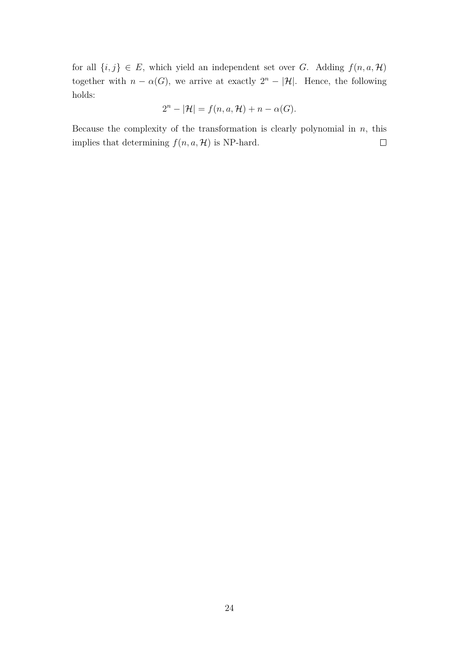for all  $\{i, j\} \in E$ , which yield an independent set over *G*. Adding  $f(n, a, \mathcal{H})$ together with  $n - \alpha(G)$ , we arrive at exactly  $2^n - |\mathcal{H}|$ . Hence, the following holds:

$$
2^{n} - |\mathcal{H}| = f(n, a, \mathcal{H}) + n - \alpha(G).
$$

Because the complexity of the transformation is clearly polynomial in *n*, this implies that determining  $f(n, a, \mathcal{H})$  is NP-hard.  $\Box$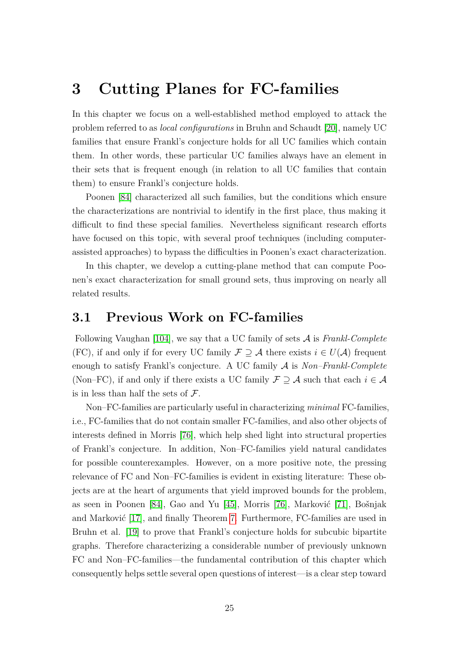## <span id="page-32-0"></span>**3 Cutting Planes for FC-families**

In this chapter we focus on a well-established method employed to attack the problem referred to as *local configurations* in Bruhn and Schaudt [\[20\]](#page-79-10), namely UC families that ensure Frankl's conjecture holds for all UC families which contain them. In other words, these particular UC families always have an element in their sets that is frequent enough (in relation to all UC families that contain them) to ensure Frankl's conjecture holds.

Poonen [\[84\]](#page-83-12) characterized all such families, but the conditions which ensure the characterizations are nontrivial to identify in the first place, thus making it difficult to find these special families. Nevertheless significant research efforts have focused on this topic, with several proof techniques (including computerassisted approaches) to bypass the difficulties in Poonen's exact characterization.

In this chapter, we develop a cutting-plane method that can compute Poonen's exact characterization for small ground sets, thus improving on nearly all related results.

### <span id="page-32-1"></span>**3.1 Previous Work on FC-families**

Following Vaughan [\[104\]](#page-84-15), we say that a UC family of sets A is *Frankl-Complete* (FC), if and only if for every UC family  $\mathcal{F} \supseteq \mathcal{A}$  there exists  $i \in U(\mathcal{A})$  frequent enough to satisfy Frankl's conjecture. A UC family A is *Non–Frankl-Complete* (Non–FC), if and only if there exists a UC family  $\mathcal{F} \supseteq \mathcal{A}$  such that each  $i \in \mathcal{A}$ is in less than half the sets of  $\mathcal{F}$ .

Non–FC-families are particularly useful in characterizing *minimal* FC-families, i.e., FC-families that do not contain smaller FC-families, and also other objects of interests defined in Morris [\[76\]](#page-83-11), which help shed light into structural properties of Frankl's conjecture. In addition, Non–FC-families yield natural candidates for possible counterexamples. However, on a more positive note, the pressing relevance of FC and Non–FC-families is evident in existing literature: These objects are at the heart of arguments that yield improved bounds for the problem, as seen in Poonen [\[84\]](#page-83-12), Gao and Yu [\[45\]](#page-81-11), Morris [\[76\]](#page-83-11), Marković [\[71\]](#page-82-12), Bošnjak and Marković [\[17\]](#page-79-11), and finally Theorem [7.](#page-20-2) Furthermore, FC-families are used in Bruhn et al. [\[19\]](#page-79-12) to prove that Frankl's conjecture holds for subcubic bipartite graphs. Therefore characterizing a considerable number of previously unknown FC and Non–FC-families—the fundamental contribution of this chapter which consequently helps settle several open questions of interest—is a clear step toward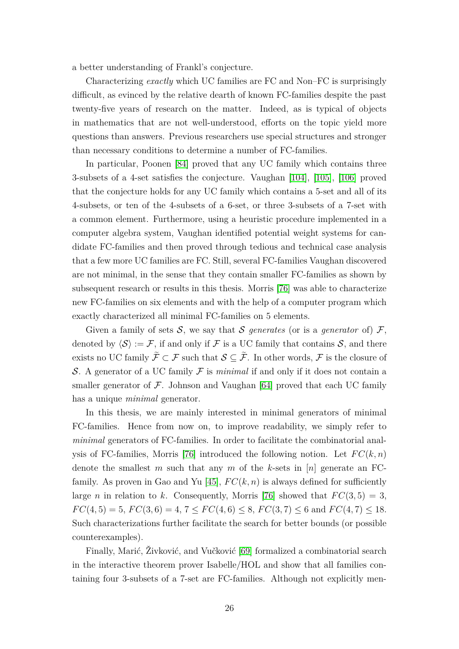a better understanding of Frankl's conjecture.

Characterizing *exactly* which UC families are FC and Non–FC is surprisingly difficult, as evinced by the relative dearth of known FC-families despite the past twenty-five years of research on the matter. Indeed, as is typical of objects in mathematics that are not well-understood, efforts on the topic yield more questions than answers. Previous researchers use special structures and stronger than necessary conditions to determine a number of FC-families.

In particular, Poonen [\[84\]](#page-83-12) proved that any UC family which contains three 3-subsets of a 4-set satisfies the conjecture. Vaughan [\[104\]](#page-84-15), [\[105\]](#page-85-6), [\[106\]](#page-85-7) proved that the conjecture holds for any UC family which contains a 5-set and all of its 4-subsets, or ten of the 4-subsets of a 6-set, or three 3-subsets of a 7-set with a common element. Furthermore, using a heuristic procedure implemented in a computer algebra system, Vaughan identified potential weight systems for candidate FC-families and then proved through tedious and technical case analysis that a few more UC families are FC. Still, several FC-families Vaughan discovered are not minimal, in the sense that they contain smaller FC-families as shown by subsequent research or results in this thesis. Morris [\[76\]](#page-83-11) was able to characterize new FC-families on six elements and with the help of a computer program which exactly characterized all minimal FC-families on 5 elements.

Given a family of sets  $S$ , we say that S *generates* (or is a *generator* of)  $\mathcal{F}$ , denoted by  $\langle \mathcal{S} \rangle := \mathcal{F}$ , if and only if F is a UC family that contains S, and there exists no UC family  $\widetilde{\mathcal{F}} \subset \mathcal{F}$  such that  $\mathcal{S} \subseteq \widetilde{\mathcal{F}}$ . In other words,  $\mathcal{F}$  is the closure of S. A generator of a UC family  $\mathcal F$  is *minimal* if and only if it does not contain a smaller generator of  $\mathcal F$ . Johnson and Vaughan [\[64\]](#page-82-13) proved that each UC family has a unique *minimal* generator.

In this thesis, we are mainly interested in minimal generators of minimal FC-families. Hence from now on, to improve readability, we simply refer to *minimal* generators of FC-families. In order to facilitate the combinatorial anal-ysis of FC-families, Morris [\[76\]](#page-83-11) introduced the following notion. Let  $FC(k, n)$ denote the smallest *m* such that any *m* of the *k*-sets in [*n*] generate an FC-family. As proven in Gao and Yu [\[45\]](#page-81-11),  $FC(k, n)$  is always defined for sufficiently large *n* in relation to *k*. Consequently, Morris [\[76\]](#page-83-11) showed that  $FC(3, 5) = 3$ ,  $FC(4, 5) = 5, FC(3, 6) = 4, 7 \leq FC(4, 6) \leq 8, FC(3, 7) \leq 6 \text{ and } FC(4, 7) \leq 18.$ Such characterizations further facilitate the search for better bounds (or possible counterexamples).

Finally, Marić, Živković, and Vučković [\[69\]](#page-82-14) formalized a combinatorial search in the interactive theorem prover Isabelle/HOL and show that all families containing four 3-subsets of a 7-set are FC-families. Although not explicitly men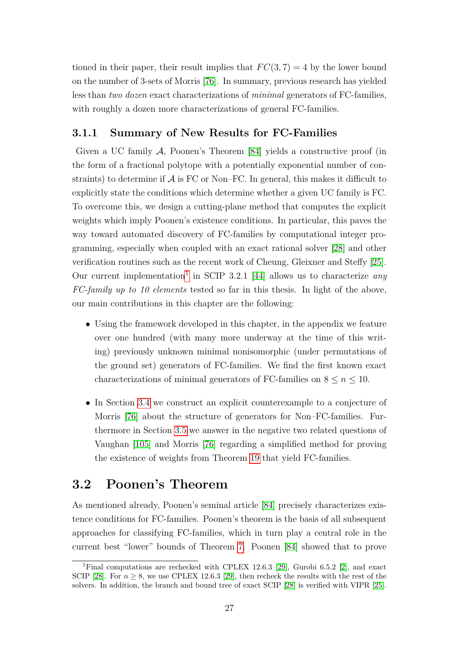tioned in their paper, their result implies that  $FC(3, 7) = 4$  by the lower bound on the number of 3-sets of Morris [\[76\]](#page-83-11). In summary, previous research has yielded less than *two dozen* exact characterizations of *minimal* generators of FC-families, with roughly a dozen more characterizations of general FC-families.

### <span id="page-34-0"></span>**3.1.1 Summary of New Results for FC-Families**

Given a UC family  $A$ , Poonen's Theorem [\[84\]](#page-83-12) yields a constructive proof (in the form of a fractional polytope with a potentially exponential number of constraints) to determine if  $\mathcal A$  is FC or Non–FC. In general, this makes it difficult to explicitly state the conditions which determine whether a given UC family is FC. To overcome this, we design a cutting-plane method that computes the explicit weights which imply Poonen's existence conditions. In particular, this paves the way toward automated discovery of FC-families by computational integer programming, especially when coupled with an exact rational solver [\[28\]](#page-80-9) and other verification routines such as the recent work of Cheung, Gleixner and Steffy [\[25\]](#page-79-4). Our current implementation<sup>[1](#page-34-2)</sup> in SCIP 3.2.1 [\[44\]](#page-81-12) allows us to characterize *any FC-family up to 10 elements* tested so far in this thesis. In light of the above, our main contributions in this chapter are the following:

- Using the framework developed in this chapter, in the appendix we feature over one hundred (with many more underway at the time of this writing) previously unknown minimal nonisomorphic (under permutations of the ground set) generators of FC-families. We find the first known exact characterizations of minimal generators of FC-families on  $8 \le n \le 10$ .
- In Section [3.4](#page-46-0) we construct an explicit counterexample to a conjecture of Morris [\[76\]](#page-83-11) about the structure of generators for Non–FC-families. Furthermore in Section [3.5](#page-49-0) we answer in the negative two related questions of Vaughan [\[105\]](#page-85-6) and Morris [\[76\]](#page-83-11) regarding a simplified method for proving the existence of weights from Theorem [19](#page-35-0) that yield FC-families.

## <span id="page-34-1"></span>**3.2 Poonen's Theorem**

As mentioned already, Poonen's seminal article [\[84\]](#page-83-12) precisely characterizes existence conditions for FC-families. Poonen's theorem is the basis of all subsequent approaches for classifying FC-families, which in turn play a central role in the current best "lower" bounds of Theorem [7.](#page-20-2) Poonen [\[84\]](#page-83-12) showed that to prove

<span id="page-34-2"></span><sup>&</sup>lt;sup>1</sup>Final computations are rechecked with CPLEX 12.6.3 [\[29\]](#page-80-6), Gurobi 6.5.2 [\[2\]](#page-78-4), and exact SCIP [\[28\]](#page-80-9). For  $n \geq 8$ , we use CPLEX 12.6.3 [\[29\]](#page-80-6), then recheck the results with the rest of the solvers. In addition, the branch and bound tree of exact SCIP [\[28\]](#page-80-9) is verified with VIPR [\[25\]](#page-79-4).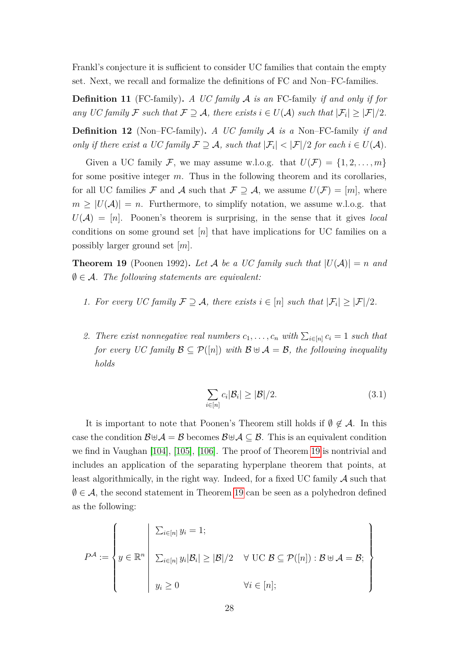Frankl's conjecture it is sufficient to consider UC families that contain the empty set. Next, we recall and formalize the definitions of FC and Non–FC-families.

**Definition 11** (FC-family)**.** *A UC family* A *is an* FC-family *if and only if for any* UC family F such that  $\mathcal{F} \supseteq \mathcal{A}$ , there exists  $i \in U(\mathcal{A})$  such that  $|\mathcal{F}_i| \geq |\mathcal{F}|/2$ .

**Definition 12** (Non–FC-family)**.** *A UC family* A *is a* Non–FC-family *if and only if there exist a UC family*  $\mathcal{F} \supseteq \mathcal{A}$ *, such that*  $|\mathcal{F}_i| < |\mathcal{F}|/2$  *for each*  $i \in U(\mathcal{A})$ *.* 

Given a UC family F, we may assume w.l.o.g. that  $U(\mathcal{F}) = \{1, 2, \ldots, m\}$ for some positive integer *m*. Thus in the following theorem and its corollaries, for all UC families F and A such that  $\mathcal{F} \supseteq \mathcal{A}$ , we assume  $U(\mathcal{F}) = [m]$ , where  $m \geq |U(\mathcal{A})| = n$ . Furthermore, to simplify notation, we assume w.l.o.g. that  $U(\mathcal{A}) = [n]$ . Poonen's theorem is surprising, in the sense that it gives *local* conditions on some ground set [*n*] that have implications for UC families on a possibly larger ground set [*m*].

<span id="page-35-0"></span>**Theorem 19** (Poonen 1992). Let A be a UC family such that  $|U(A)| = n$  and  $\emptyset \in \mathcal{A}$ . The following statements are equivalent:

- *1. For every UC family*  $\mathcal{F} \supseteq \mathcal{A}$ , there exists  $i \in [n]$  such that  $|\mathcal{F}_i| \geq |\mathcal{F}|/2$ .
- 2. There exist nonnegative real numbers  $c_1, \ldots, c_n$  with  $\sum_{i \in [n]} c_i = 1$  such that *for every UC family*  $\mathcal{B} \subseteq \mathcal{P}([n])$  *with*  $\mathcal{B} \oplus \mathcal{A} = \mathcal{B}$ *, the following inequality holds*

$$
\sum_{i \in [n]} c_i |\mathcal{B}_i| \ge |\mathcal{B}|/2. \tag{3.1}
$$

It is important to note that Poonen's Theorem still holds if  $\emptyset \notin \mathcal{A}$ . In this case the condition  $\mathcal{B} \oplus \mathcal{A} = \mathcal{B}$  becomes  $\mathcal{B} \oplus \mathcal{A} \subseteq \mathcal{B}$ . This is an equivalent condition we find in Vaughan [\[104\]](#page-84-15), [\[105\]](#page-85-6), [\[106\]](#page-85-7). The proof of Theorem [19](#page-35-0) is nontrivial and includes an application of the separating hyperplane theorem that points, at least algorithmically, in the right way. Indeed, for a fixed UC family  $\mathcal A$  such that  $\emptyset \in \mathcal{A}$ , the second statement in Theorem [19](#page-35-0) can be seen as a polyhedron defined as the following:

$$
P^{A} := \left\{ y \in \mathbb{R}^{n} \middle| \begin{array}{l} \sum_{i \in [n]} y_{i} = 1; \\ \sum_{i \in [n]} y_{i} |B_{i}| \geq |\mathcal{B}|/2 \quad \forall \, \, \text{UC } \mathcal{B} \subseteq \mathcal{P}([n]) : \mathcal{B} \cup \mathcal{A} = \mathcal{B}; \\ y_{i} \geq 0 \qquad \qquad \forall i \in [n]; \end{array} \right\}
$$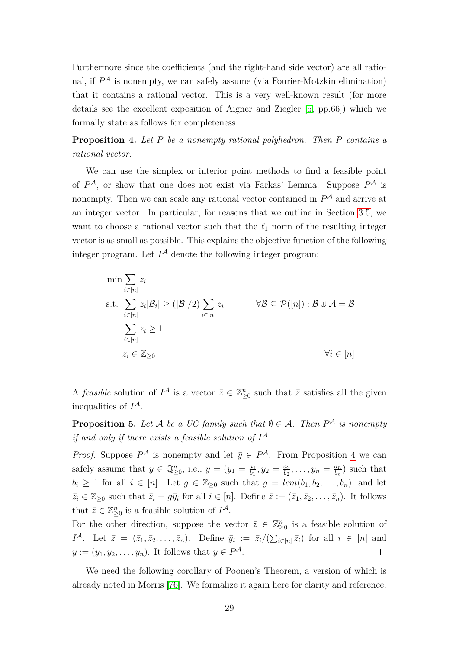Furthermore since the coefficients (and the right-hand side vector) are all rational, if  $P^{\mathcal{A}}$  is nonempty, we can safely assume (via Fourier-Motzkin elimination) that it contains a rational vector. This is a very well-known result (for more details see the excellent exposition of Aigner and Ziegler [\[5,](#page-78-0) pp.66]) which we formally state as follows for completeness.

<span id="page-36-0"></span>**Proposition 4.** *Let P be a nonempty rational polyhedron. Then P contains a rational vector.*

We can use the simplex or interior point methods to find a feasible point of *P* <sup>A</sup>, or show that one does not exist via Farkas' Lemma. Suppose *P* <sup>A</sup> is nonempty. Then we can scale any rational vector contained in  $P^{\mathcal{A}}$  and arrive at an integer vector. In particular, for reasons that we outline in Section [3.5,](#page-49-0) we want to choose a rational vector such that the  $\ell_1$  norm of the resulting integer vector is as small as possible. This explains the objective function of the following integer program. Let  $I^{\mathcal{A}}$  denote the following integer program:

$$
\min \sum_{i \in [n]} z_i
$$
\n
$$
\text{s.t.} \sum_{i \in [n]} z_i |\mathcal{B}_i| \ge (|\mathcal{B}|/2) \sum_{i \in [n]} z_i \qquad \forall \mathcal{B} \subseteq \mathcal{P}([n]) : \mathcal{B} \cup \mathcal{A} = \mathcal{B}
$$
\n
$$
\sum_{i \in [n]} z_i \ge 1
$$
\n
$$
z_i \in \mathbb{Z}_{\ge 0} \qquad \forall i \in [n]
$$

A *feasible* solution of  $I^{\mathcal{A}}$  is a vector  $\bar{z} \in \mathbb{Z}_{\geq 0}^n$  such that  $\bar{z}$  satisfies all the given inequalities of *I* A.

<span id="page-36-1"></span>**Proposition 5.** Let A be a UC family such that  $\emptyset \in \mathcal{A}$ . Then  $P^{\mathcal{A}}$  is nonempty *if and only if there exists a feasible solution of I* A*.*

*Proof.* Suppose  $P^{\mathcal{A}}$  is nonempty and let  $\bar{y} \in P^{\mathcal{A}}$ . From Proposition [4](#page-36-0) we can safely assume that  $\bar{y} \in \mathbb{Q}_{\geq 0}^n$ , i.e.,  $\bar{y} = (\bar{y}_1 = \frac{a_1}{b_1})$  $\frac{a_1}{b_1}, \bar{y}_2 = \frac{a_2}{b_2}$  $\frac{a_2}{b_2},\ldots,\bar{y}_n = \frac{a_n}{b_n}$  $\frac{a_n}{b_n}$  such that  $b_i \geq 1$  for all  $i \in [n]$ . Let  $g \in \mathbb{Z}_{\geq 0}$  such that  $g = lcm(b_1, b_2, \ldots, b_n)$ , and let  $\overline{z}_i \in \mathbb{Z}_{\geq 0}$  such that  $\overline{z}_i = g\overline{y}_i$  for all  $i \in [n]$ . Define  $\overline{z} := (\overline{z}_1, \overline{z}_2, \dots, \overline{z}_n)$ . It follows that  $\bar{z} \in \mathbb{Z}_{\geq 0}^n$  is a feasible solution of  $I^{\mathcal{A}}$ .

For the other direction, suppose the vector  $\bar{z} \in \mathbb{Z}_{\geq 0}^n$  is a feasible solution of *I*<sup>A</sup>. Let  $\bar{z} = (\bar{z}_1, \bar{z}_2, \dots, \bar{z}_n)$ . Define  $\bar{y}_i := \bar{z}_i/(\sum_{i \in [n]} \bar{z}_i)$  for all  $i \in [n]$  and  $\bar{y} := (\bar{y}_1, \bar{y}_2, \dots, \bar{y}_n)$ . It follows that  $\bar{y} \in P^{\mathcal{A}}$ .  $\Box$ 

We need the following corollary of Poonen's Theorem, a version of which is already noted in Morris [\[76\]](#page-83-0). We formalize it again here for clarity and reference.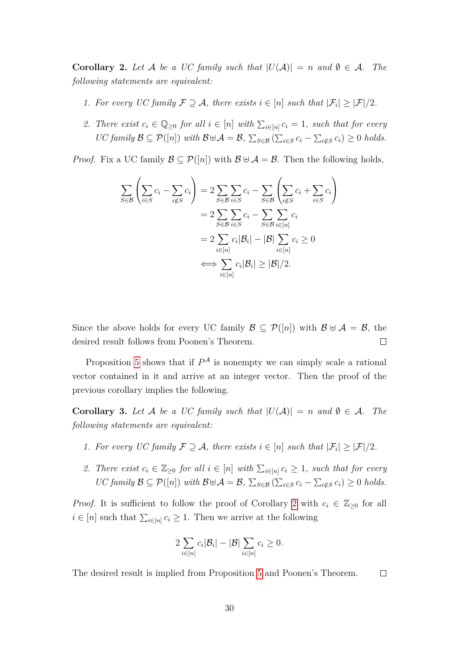<span id="page-37-0"></span>**Corollary 2.** Let A be a UC family such that  $|U(A)| = n$  and  $\emptyset \in A$ . The *following statements are equivalent:*

- *1. For every UC family*  $\mathcal{F} \supseteq \mathcal{A}$ , there exists  $i \in [n]$  such that  $|\mathcal{F}_i| \geq |\mathcal{F}|/2$ .
- 2. There exist  $c_i \in \mathbb{Q}_{\geq 0}$  for all  $i \in [n]$  with  $\sum_{i \in [n]} c_i = 1$ , such that for every  $\mathcal{U}C$  family  $\mathcal{B} \subseteq \mathcal{P}([n])$  with  $\mathcal{B} \oplus \mathcal{A} = \mathcal{B}$ ,  $\sum_{S \in \mathcal{B}} (\sum_{i \in S} c_i - \sum_{i \notin S} c_i) \geq 0$  holds.

*Proof.* Fix a UC family  $\mathcal{B} \subseteq \mathcal{P}([n])$  with  $\mathcal{B} \cup \mathcal{A} = \mathcal{B}$ . Then the following holds,

$$
\sum_{S \in \mathcal{B}} \left( \sum_{i \in S} c_i - \sum_{i \notin S} c_i \right) = 2 \sum_{S \in \mathcal{B}} \sum_{i \in S} c_i - \sum_{S \in \mathcal{B}} \left( \sum_{i \notin S} c_i + \sum_{i \in S} c_i \right)
$$

$$
= 2 \sum_{S \in \mathcal{B}} \sum_{i \in S} c_i - \sum_{S \in \mathcal{B}} \sum_{i \in [n]} c_i
$$

$$
= 2 \sum_{i \in [n]} c_i |\mathcal{B}_i| - |\mathcal{B}| \sum_{i \in [n]} c_i \ge 0
$$

$$
\iff \sum_{i \in [n]} c_i |\mathcal{B}_i| \ge |\mathcal{B}|/2.
$$

Since the above holds for every UC family  $\mathcal{B} \subseteq \mathcal{P}([n])$  with  $\mathcal{B} \oplus \mathcal{A} = \mathcal{B}$ , the desired result follows from Poonen's Theorem.  $\Box$ 

Proposition [5](#page-36-1) shows that if  $P^{\mathcal{A}}$  is nonempty we can simply scale a rational vector contained in it and arrive at an integer vector. Then the proof of the previous corollary implies the following.

<span id="page-37-1"></span>**Corollary 3.** Let A be a UC family such that  $|U(A)| = n$  and  $\emptyset \in A$ . The *following statements are equivalent:*

- *1. For every UC family*  $\mathcal{F} \supseteq \mathcal{A}$ , there exists  $i \in [n]$  such that  $|\mathcal{F}_i| \geq |\mathcal{F}|/2$ .
- 2. There exist  $c_i \in \mathbb{Z}_{\geq 0}$  for all  $i \in [n]$  with  $\sum_{i \in [n]} c_i \geq 1$ , such that for every  $\mathcal{U}C$  family  $\mathcal{B} \subseteq \mathcal{P}([n])$  with  $\mathcal{B} \oplus \mathcal{A} = \mathcal{B}$ ,  $\sum_{S \in \mathcal{B}} (\sum_{i \in S} c_i - \sum_{i \notin S} c_i) \geq 0$  holds.

*Proof.* It is sufficient to follow the proof of Corollary [2](#page-37-0) with  $c_i \in \mathbb{Z}_{\geq 0}$  for all  $i \in [n]$  such that  $\sum_{i \in [n]} c_i \geq 1$ . Then we arrive at the following

<span id="page-37-2"></span>
$$
2\sum_{i\in[n]}c_i|\mathcal{B}_i| - |\mathcal{B}|\sum_{i\in[n]}c_i \geq 0.
$$

The desired result is implied from Proposition [5](#page-36-1) and Poonen's Theorem.  $\Box$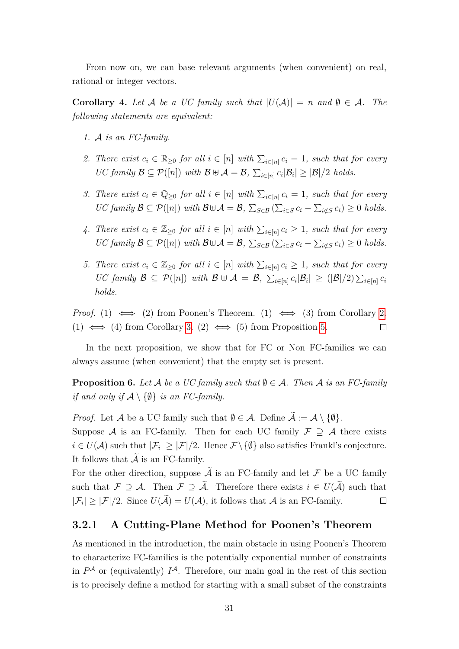From now on, we can base relevant arguments (when convenient) on real, rational or integer vectors.

<span id="page-38-0"></span>**Corollary 4.** Let A be a UC family such that  $|U(A)| = n$  and  $\emptyset \in A$ . The *following statements are equivalent:*

- *1.* A *is an FC-family.*
- 2. There exist  $c_i \in \mathbb{R}_{\geq 0}$  for all  $i \in [n]$  with  $\sum_{i \in [n]} c_i = 1$ , such that for every  $\mathcal{U}C$  family  $\mathcal{B} \subseteq \mathcal{P}([n])$  with  $\mathcal{B} \cup \mathcal{A} = \mathcal{B}$ ,  $\sum_{i \in [n]} c_i |\mathcal{B}_i| \geq |\mathcal{B}|/2$  holds.
- *3. There exist*  $c_i \in \mathbb{Q}_{\geq 0}$  *for all*  $i \in [n]$  *with*  $\sum_{i \in [n]} c_i = 1$ *, such that for every*  $\mathcal{U}C$  family  $\mathcal{B} \subseteq \mathcal{P}([n])$  with  $\mathcal{B} \oplus \mathcal{A} = \mathcal{B}$ ,  $\sum_{S \in \mathcal{B}} (\sum_{i \in S} c_i - \sum_{i \notin S} c_i) \geq 0$  holds.
- *4. There exist*  $c_i \in \mathbb{Z}_{\geq 0}$  *for all*  $i \in [n]$  *with*  $\sum_{i \in [n]} c_i \geq 1$ *, such that for every*  $\mathcal{U}C$  family  $\mathcal{B} \subseteq \mathcal{P}([n])$  with  $\mathcal{B} \oplus \mathcal{A} = \mathcal{B}$ ,  $\sum_{S \in \mathcal{B}} (\sum_{i \in S} c_i - \sum_{i \notin S} c_i) \geq 0$  holds.
- *5. There exist*  $c_i \in \mathbb{Z}_{\geq 0}$  *for all*  $i \in [n]$  *with*  $\sum_{i \in [n]} c_i \geq 1$ *, such that for every*  $\mathcal{U}\mathcal{C}$  family  $\mathcal{B} \subseteq \mathcal{P}([n])$  with  $\mathcal{B} \oplus \mathcal{A} = \mathcal{B}$ ,  $\sum_{i \in [n]} c_i |\mathcal{B}_i| \geq (|\mathcal{B}|/2) \sum_{i \in [n]} c_i$ *holds.*

*Proof.* (1)  $\iff$  (2) from Poonen's Theorem. (1)  $\iff$  (3) from Corollary [2.](#page-37-0) (1)  $\iff$  (4) from Corollary [3.](#page-37-1) (2)  $\iff$  (5) from Proposition [5.](#page-36-1)  $\Box$ 

In the next proposition, we show that for FC or Non–FC-families we can always assume (when convenient) that the empty set is present.

<span id="page-38-1"></span>**Proposition 6.** Let A be a UC family such that  $\emptyset \in \mathcal{A}$ . Then A is an FC-family *if and only if*  $A \setminus \{\emptyset\}$  *is an FC-family.* 

*Proof.* Let A be a UC family such that  $\emptyset \in \mathcal{A}$ . Define  $\widetilde{\mathcal{A}} := \mathcal{A} \setminus \{\emptyset\}.$ 

Suppose A is an FC-family. Then for each UC family  $\mathcal{F} \supseteq \mathcal{A}$  there exists  $i \in U(\mathcal{A})$  such that  $|\mathcal{F}_i| \geq |\mathcal{F}|/2$ . Hence  $\mathcal{F} \setminus \{\emptyset\}$  also satisfies Frankl's conjecture. It follows that  $\tilde{A}$  is an FC-family.

For the other direction, suppose  $\tilde{\mathcal{A}}$  is an FC-family and let  $\mathcal F$  be a UC family such that  $\mathcal{F} \supseteq \mathcal{A}$ . Then  $\mathcal{F} \supseteq \tilde{\mathcal{A}}$ . Therefore there exists  $i \in U(\tilde{\mathcal{A}})$  such that  $|\mathcal{F}_i| \geq |\mathcal{F}|/2$ . Since  $U(\mathcal{A}) = U(\mathcal{A})$ , it follows that  $\mathcal{A}$  is an FC-family.  $\Box$ 

#### **3.2.1 A Cutting-Plane Method for Poonen's Theorem**

As mentioned in the introduction, the main obstacle in using Poonen's Theorem to characterize FC-families is the potentially exponential number of constraints in  $P^{\mathcal{A}}$  or (equivalently)  $I^{\mathcal{A}}$ . Therefore, our main goal in the rest of this section is to precisely define a method for starting with a small subset of the constraints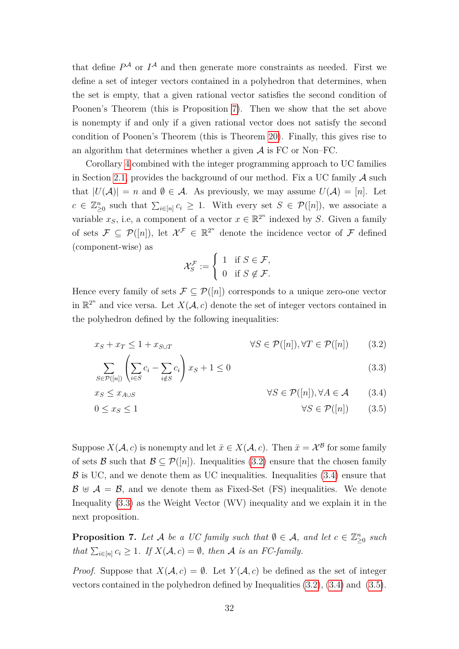that define  $P^{\mathcal{A}}$  or  $I^{\mathcal{A}}$  and then generate more constraints as needed. First we define a set of integer vectors contained in a polyhedron that determines, when the set is empty, that a given rational vector satisfies the second condition of Poonen's Theorem (this is Proposition [7\)](#page-39-0). Then we show that the set above is nonempty if and only if a given rational vector does not satisfy the second condition of Poonen's Theorem (this is Theorem [20\)](#page-40-0). Finally, this gives rise to an algorithm that determines whether a given  $A$  is FC or Non–FC.

Corollary [4](#page-38-0) combined with the integer programming approach to UC families in Section [2.1,](#page-22-0) provides the background of our method. Fix a UC family  $\mathcal A$  such that  $|U(\mathcal{A})| = n$  and  $\emptyset \in \mathcal{A}$ . As previously, we may assume  $U(\mathcal{A}) = [n]$ . Let  $c \in \mathbb{Z}_{\geq 0}^n$  such that  $\sum_{i \in [n]} c_i \geq 1$ . With every set  $S \in \mathcal{P}([n])$ , we associate a variable  $x_S$ , i.e, a component of a vector  $x \in \mathbb{R}^{2^n}$  indexed by *S*. Given a family of sets  $\mathcal{F} \subseteq \mathcal{P}([n])$ , let  $\mathcal{X}^{\mathcal{F}} \in \mathbb{R}^{2^n}$  denote the incidence vector of  $\mathcal{F}$  defined (component-wise) as

<span id="page-39-3"></span><span id="page-39-2"></span><span id="page-39-1"></span>
$$
\mathcal{X}_S^{\mathcal{F}} := \left\{ \begin{array}{ll} 1 & \text{if } S \in \mathcal{F}, \\ 0 & \text{if } S \notin \mathcal{F}. \end{array} \right.
$$

Hence every family of sets  $\mathcal{F} \subseteq \mathcal{P}([n])$  corresponds to a unique zero-one vector in  $\mathbb{R}^{2^n}$  and vice versa. Let  $X(\mathcal{A}, c)$  denote the set of integer vectors contained in the polyhedron defined by the following inequalities:

$$
x_S + x_T \le 1 + x_{S \cup T} \qquad \forall S \in \mathcal{P}([n]), \forall T \in \mathcal{P}([n]) \qquad (3.2)
$$

$$
\sum_{S \in \mathcal{P}([n])} \left( \sum_{i \in S} c_i - \sum_{i \notin S} c_i \right) x_S + 1 \le 0 \tag{3.3}
$$

$$
x_S \le x_{A \cup S} \qquad \forall S \in \mathcal{P}([n]), \forall A \in \mathcal{A} \qquad (3.4)
$$

$$
0 \le x_S \le 1 \qquad \forall S \in \mathcal{P}([n]) \qquad (3.5)
$$

Suppose  $X(\mathcal{A}, c)$  is nonempty and let  $\bar{x} \in X(\mathcal{A}, c)$ . Then  $\bar{x} = \mathcal{X}^{\mathcal{B}}$  for some family of sets B such that  $\mathcal{B} \subset \mathcal{P}([n])$ . Inequalities [\(3.2\)](#page-37-2) ensure that the chosen family  $\beta$  is UC, and we denote them as UC inequalities. Inequalities [\(3.4\)](#page-39-1) ensure that  $\mathcal{B} \oplus \mathcal{A} = \mathcal{B}$ , and we denote them as Fixed-Set (FS) inequalities. We denote Inequality [\(3.3\)](#page-39-2) as the Weight Vector (WV) inequality and we explain it in the next proposition.

<span id="page-39-0"></span>**Proposition 7.** Let A be a UC family such that  $\emptyset \in A$ , and let  $c \in \mathbb{Z}_{\geq 0}^n$  such *that*  $\sum_{i \in [n]} c_i \geq 1$ *. If*  $X(A, c) = \emptyset$ *, then* A *is an FC-family.* 

*Proof.* Suppose that  $X(A, c) = \emptyset$ . Let  $Y(A, c)$  be defined as the set of integer vectors contained in the polyhedron defined by Inequalities [\(3.2\)](#page-37-2), [\(3.4\)](#page-39-1) and [\(3.5\)](#page-39-3).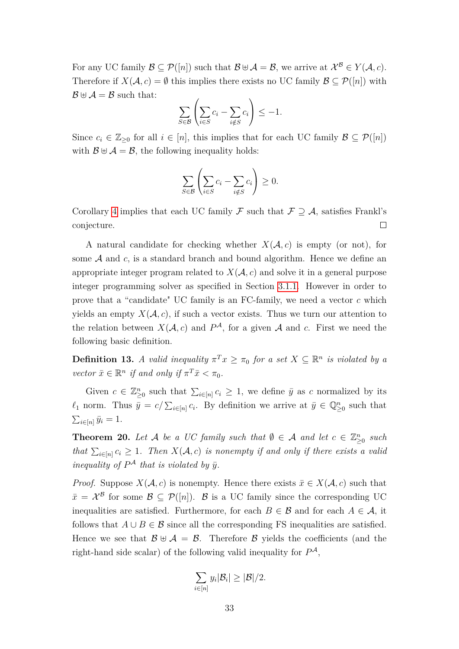For any UC family  $\mathcal{B} \subseteq \mathcal{P}([n])$  such that  $\mathcal{B} \oplus \mathcal{A} = \mathcal{B}$ , we arrive at  $\mathcal{X}^{\mathcal{B}} \in Y(\mathcal{A}, c)$ . Therefore if  $X(\mathcal{A}, c) = \emptyset$  this implies there exists no UC family  $\mathcal{B} \subseteq \mathcal{P}([n])$  with  $\mathcal{B} \oplus \mathcal{A} = \mathcal{B}$  such that:

$$
\sum_{S \in \mathcal{B}} \left( \sum_{i \in S} c_i - \sum_{i \notin S} c_i \right) \le -1.
$$

Since  $c_i \in \mathbb{Z}_{\geq 0}$  for all  $i \in [n]$ , this implies that for each UC family  $\mathcal{B} \subseteq \mathcal{P}([n])$ with  $\mathcal{B} \oplus \mathcal{A} = \mathcal{B}$ , the following inequality holds:

$$
\sum_{S \in \mathcal{B}} \left( \sum_{i \in S} c_i - \sum_{i \notin S} c_i \right) \ge 0.
$$

Corollary [4](#page-38-0) implies that each UC family F such that  $\mathcal{F} \supseteq \mathcal{A}$ , satisfies Frankl's  $\Box$ conjecture.

A natural candidate for checking whether  $X(A, c)$  is empty (or not), for some  $A$  and  $c$ , is a standard branch and bound algorithm. Hence we define an appropriate integer program related to  $X(\mathcal{A}, c)$  and solve it in a general purpose integer programming solver as specified in Section [3.1.1.](#page-34-0) However in order to prove that a "candidate" UC family is an FC-family, we need a vector *c* which yields an empty  $X(\mathcal{A}, c)$ , if such a vector exists. Thus we turn our attention to the relation between  $X(\mathcal{A}, c)$  and  $P^{\mathcal{A}}$ , for a given  $\mathcal{A}$  and  $c$ . First we need the following basic definition.

**Definition 13.** *A valid inequality*  $\pi^T x \ge \pi_0$  *for a set*  $X \subseteq \mathbb{R}^n$  *is violated by a vector*  $\bar{x} \in \mathbb{R}^n$  *if and only if*  $\pi^T \bar{x} < \pi_0$ *.* 

Given  $c \in \mathbb{Z}_{\geq 0}^n$  such that  $\sum_{i \in [n]} c_i \geq 1$ , we define  $\bar{y}$  as *c* normalized by its  $\ell_1$  norm. Thus  $\bar{y} = c/\sum_{i \in [n]} c_i$ . By definition we arrive at  $\bar{y} \in \mathbb{Q}_{\geq 0}^n$  such that  $\sum_{i\in[n]} \bar{y}_i = 1.$ 

<span id="page-40-0"></span>**Theorem 20.** *Let*  $\mathcal{A}$  *be a UC family such that*  $\emptyset \in \mathcal{A}$  *and let*  $c \in \mathbb{Z}_{\geq 0}^n$  *such that*  $\sum_{i \in [n]} c_i \geq 1$ . Then  $X(A, c)$  *is nonempty if and only if there exists a valid inequality of*  $P^A$  *that is violated by*  $\bar{y}$ *.* 

*Proof.* Suppose  $X(A, c)$  is nonempty. Hence there exists  $\bar{x} \in X(A, c)$  such that  $\bar{x} = \mathcal{X}^{\mathcal{B}}$  for some  $\mathcal{B} \subseteq \mathcal{P}([n])$ .  $\mathcal{B}$  is a UC family since the corresponding UC inequalities are satisfied. Furthermore, for each  $B \in \mathcal{B}$  and for each  $A \in \mathcal{A}$ , it follows that  $A \cup B \in \mathcal{B}$  since all the corresponding FS inequalities are satisfied. Hence we see that  $\mathcal{B} \oplus \mathcal{A} = \mathcal{B}$ . Therefore  $\mathcal{B}$  yields the coefficients (and the right-hand side scalar) of the following valid inequality for  $P^{\mathcal{A}}$ ,

$$
\sum_{i\in[n]}y_i|\mathcal{B}_i|\geq|\mathcal{B}|/2.
$$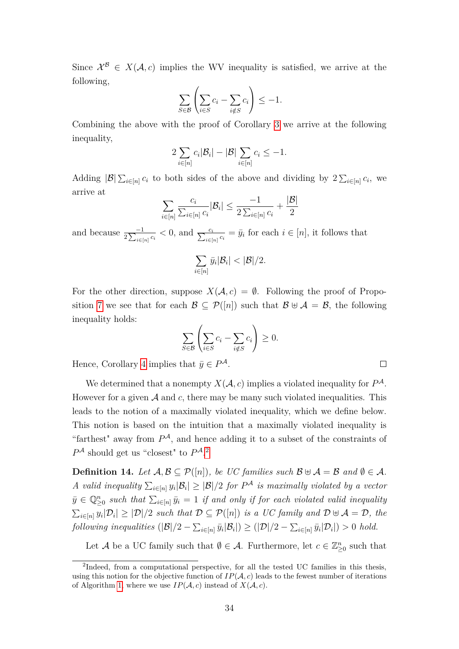Since  $\mathcal{X}^{\mathcal{B}} \in X(\mathcal{A}, c)$  implies the WV inequality is satisfied, we arrive at the following,

$$
\sum_{S \in \mathcal{B}} \left( \sum_{i \in S} c_i - \sum_{i \notin S} c_i \right) \le -1.
$$

Combining the above with the proof of Corollary [3](#page-37-1) we arrive at the following inequality,

$$
2\sum_{i\in[n]}c_i|\mathcal{B}_i| - |\mathcal{B}|\sum_{i\in[n]}c_i \leq -1.
$$

Adding  $|\mathcal{B}| \sum_{i \in [n]} c_i$  to both sides of the above and dividing by  $2 \sum_{i \in [n]} c_i$ , we arrive at

$$
\sum_{i\in[n]}\frac{c_i}{\sum_{i\in[n]}c_i}|\mathcal{B}_i|\leq \frac{-1}{2\sum_{i\in[n]}c_i}+\frac{|\mathcal{B}|}{2}
$$

and because  $\frac{-1}{2\sum_{i\in[n]}c_i} < 0$ , and  $\frac{c_i}{\sum_{i\in[n]}c_i} = \bar{y}_i$  for each  $i \in [n]$ , it follows that

$$
\sum_{i\in[n]} \bar{y}_i |\mathcal{B}_i| < |\mathcal{B}|/2.
$$

For the other direction, suppose  $X(\mathcal{A}, c) = \emptyset$ . Following the proof of Propo-sition [7](#page-39-0) we see that for each  $\mathcal{B} \subseteq \mathcal{P}([n])$  such that  $\mathcal{B} \oplus \mathcal{A} = \mathcal{B}$ , the following inequality holds:

$$
\sum_{S \in \mathcal{B}} \left( \sum_{i \in S} c_i - \sum_{i \notin S} c_i \right) \ge 0.
$$

 $\Box$ 

Hence, Corollary [4](#page-38-0) implies that  $\bar{y} \in P^{\mathcal{A}}$ .

We determined that a nonempty  $X(\mathcal{A}, c)$  implies a violated inequality for  $P^{\mathcal{A}}$ . However for a given  $A$  and  $c$ , there may be many such violated inequalities. This leads to the notion of a maximally violated inequality, which we define below. This notion is based on the intuition that a maximally violated inequality is "farthest" away from  $P^{\mathcal{A}}$ , and hence adding it to a subset of the constraints of *P* <sup>A</sup> should get us "closest" to *P* A. [2](#page-41-0)

**Definition 14.** *Let*  $A, B \subseteq \mathcal{P}([n])$ *, be UC families such*  $B \oplus A = B$  *and*  $\emptyset \in \mathcal{A}$ *. A* valid inequality  $\sum_{i \in [n]} y_i |B_i| \geq |\mathcal{B}|/2$  for  $P^{\mathcal{A}}$  is maximally violated by a vector  $\bar{y} \in \mathbb{Q}_{\geq 0}^n$  such that  $\sum_{i \in [n]} \bar{y}_i = 1$  *if and only if for each violated valid inequality*  $\sum_{i\in[n]} y_i|\mathcal{D}_i| \geq |\mathcal{D}|/2$  such that  $\mathcal{D} \subseteq \mathcal{P}([n])$  is a UC family and  $\mathcal{D} \cup \mathcal{A} = \mathcal{D}$ , the  $\mathcal{L}[\text{following inequalities } (|\mathcal{B}|/2 - \sum_{i \in [n]} \bar{y}_i | \mathcal{B}_i|) \geq (|\mathcal{D}|/2 - \sum_{i \in [n]} \bar{y}_i | \mathcal{D}_i|) > 0$  hold.

Let A be a UC family such that  $\emptyset \in \mathcal{A}$ . Furthermore, let  $c \in \mathbb{Z}_{\geq 0}^n$  such that

<span id="page-41-0"></span><sup>&</sup>lt;sup>2</sup>Indeed, from a computational perspective, for all the tested UC families in this thesis, using this notion for the objective function of  $IP(\mathcal{A}, c)$  leads to the fewest number of iterations of Algorithm [1,](#page-43-0) where we use  $IP(\mathcal{A}, c)$  instead of  $X(\mathcal{A}, c)$ .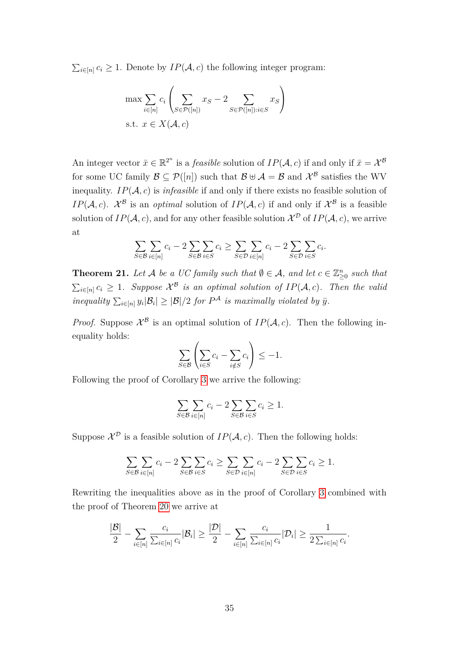$\sum_{i \in [n]} c_i \geq 1$ . Denote by  $IP(\mathcal{A}, c)$  the following integer program:

$$
\max \sum_{i \in [n]} c_i \left( \sum_{S \in \mathcal{P}([n])} x_S - 2 \sum_{S \in \mathcal{P}([n]): i \in S} x_S \right)
$$
  
s.t.  $x \in X(\mathcal{A}, c)$ 

An integer vector  $\bar{x} \in \mathbb{R}^{2^n}$  is a *feasible* solution of  $IP(\mathcal{A}, c)$  if and only if  $\bar{x} = \mathcal{X}^{\mathcal{B}}$ for some UC family  $\mathcal{B} \subseteq \mathcal{P}([n])$  such that  $\mathcal{B} \oplus \mathcal{A} = \mathcal{B}$  and  $\mathcal{X}^{\mathcal{B}}$  satisfies the WV inequality.  $IP(\mathcal{A}, c)$  is *infeasible* if and only if there exists no feasible solution of *IP*(*A*, *c*).  $\mathcal{X}^{\mathcal{B}}$  is an *optimal* solution of *IP*(*A*, *c*) if and only if  $\mathcal{X}^{\mathcal{B}}$  is a feasible solution of  $IP(\mathcal{A}, c)$ , and for any other feasible solution  $\mathcal{X}^{\mathcal{D}}$  of  $IP(\mathcal{A}, c)$ , we arrive at

$$
\sum_{S \in \mathcal{B}} \sum_{i \in [n]} c_i - 2 \sum_{S \in \mathcal{B}} \sum_{i \in S} c_i \ge \sum_{S \in \mathcal{D}} \sum_{i \in [n]} c_i - 2 \sum_{S \in \mathcal{D}} \sum_{i \in S} c_i.
$$

**Theorem 21.** Let A be a UC family such that  $\emptyset \in A$ , and let  $c \in \mathbb{Z}_{\geq 0}^n$  such that  $\sum_{i \in [n]} c_i \geq 1$ . Suppose  $\mathcal{X}^{\mathcal{B}}$  is an optimal solution of  $IP(\mathcal{A}, c)$ . Then the valia *inequality*  $\sum_{i \in [n]} y_i |B_i| \geq |\mathcal{B}|/2$  *for*  $P^{\mathcal{A}}$  *is maximally violated by*  $\bar{y}$ *.* 

*Proof.* Suppose  $\mathcal{X}^{\mathcal{B}}$  is an optimal solution of  $IP(\mathcal{A}, c)$ . Then the following inequality holds:

$$
\sum_{S \in \mathcal{B}} \left( \sum_{i \in S} c_i - \sum_{i \notin S} c_i \right) \le -1.
$$

Following the proof of Corollary [3](#page-37-1) we arrive the following:

$$
\sum_{S \in \mathcal{B}} \sum_{i \in [n]} c_i - 2 \sum_{S \in \mathcal{B}} \sum_{i \in S} c_i \ge 1.
$$

Suppose  $\mathcal{X}^{\mathcal{D}}$  is a feasible solution of  $IP(\mathcal{A}, c)$ . Then the following holds:

$$
\sum_{S \in \mathcal{B}} \sum_{i \in [n]} c_i - 2 \sum_{S \in \mathcal{B}} \sum_{i \in S} c_i \ge \sum_{S \in \mathcal{D}} \sum_{i \in [n]} c_i - 2 \sum_{S \in \mathcal{D}} \sum_{i \in S} c_i \ge 1.
$$

Rewriting the inequalities above as in the proof of Corollary [3](#page-37-1) combined with the proof of Theorem [20](#page-40-0) we arrive at

$$
\frac{|\mathcal{B}|}{2} - \sum_{i \in [n]} \frac{c_i}{\sum_{i \in [n]} c_i} |\mathcal{B}_i| \ge \frac{|\mathcal{D}|}{2} - \sum_{i \in [n]} \frac{c_i}{\sum_{i \in [n]} c_i} |\mathcal{D}_i| \ge \frac{1}{2 \sum_{i \in [n]} c_i}.
$$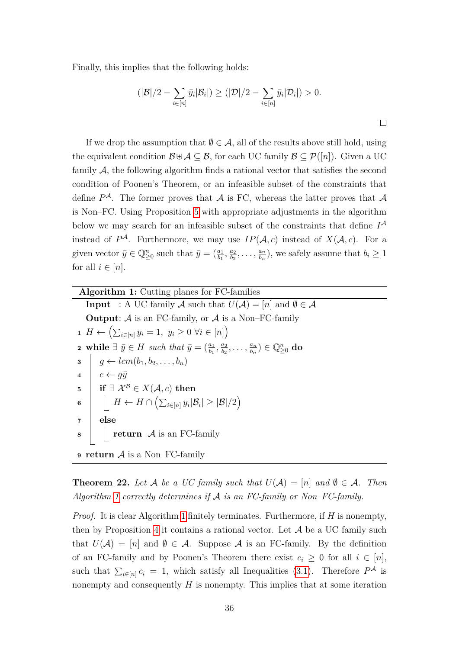Finally, this implies that the following holds:

$$
(|\mathcal{B}|/2 - \sum_{i \in [n]} \bar{y}_i | \mathcal{B}_i|) \ge (|\mathcal{D}|/2 - \sum_{i \in [n]} \bar{y}_i | \mathcal{D}_i|) > 0.
$$

If we drop the assumption that  $\emptyset \in \mathcal{A}$ , all of the results above still hold, using the equivalent condition  $\mathcal{B} \cup \mathcal{A} \subseteq \mathcal{B}$ , for each UC family  $\mathcal{B} \subseteq \mathcal{P}([n])$ . Given a UC family A, the following algorithm finds a rational vector that satisfies the second condition of Poonen's Theorem, or an infeasible subset of the constraints that define  $P^{\mathcal{A}}$ . The former proves that  $\mathcal{A}$  is FC, whereas the latter proves that  $\mathcal{A}$ is Non–FC. Using Proposition [5](#page-36-1) with appropriate adjustments in the algorithm below we may search for an infeasible subset of the constraints that define  $I^{\mathcal{A}}$ instead of  $P^{\mathcal{A}}$ . Furthermore, we may use  $IP(\mathcal{A}, c)$  instead of  $X(\mathcal{A}, c)$ . For a given vector  $\bar{y} \in \mathbb{Q}_{\geq 0}^n$  such that  $\bar{y} = \left(\frac{a_1}{b_1}, \frac{a_2}{b_2}\right)$  $\frac{a_2}{b_2}, \ldots, \frac{a_n}{b_n}$  $\frac{a_n}{b_n}$ , we safely assume that  $b_i \geq 1$ for all  $i \in [n]$ .

<span id="page-43-0"></span>

| <b>Algorithm 1:</b> Cutting planes for FC-families                                                                                                      |  |  |  |  |  |  |  |  |
|---------------------------------------------------------------------------------------------------------------------------------------------------------|--|--|--|--|--|--|--|--|
| <b>Input</b> : A UC family A such that $U(\mathcal{A}) = [n]$ and $\emptyset \in \mathcal{A}$                                                           |  |  |  |  |  |  |  |  |
| <b>Output:</b> A is an FC-family, or A is a Non-FC-family                                                                                               |  |  |  |  |  |  |  |  |
| 1 $H \leftarrow (\sum_{i \in [n]} y_i = 1, y_i \geq 0 \ \forall i \in [n])$                                                                             |  |  |  |  |  |  |  |  |
| <b>2</b> while $\exists \bar{y} \in H$ such that $\bar{y} = (\frac{a_1}{b_1}, \frac{a_2}{b_2}, \dots, \frac{a_n}{b_n}) \in \mathbb{Q}_{\geq 0}^n$ do    |  |  |  |  |  |  |  |  |
| $\mathbf{s} \mid g \leftarrow lcm(b_1, b_2, \ldots, b_n)$                                                                                               |  |  |  |  |  |  |  |  |
| $4 \mid c \leftarrow g\bar{y}$                                                                                                                          |  |  |  |  |  |  |  |  |
| <b>if</b> $\exists \mathcal{X}^{\mathcal{B}} \in X(\mathcal{A}, c)$ then<br>$\overline{\mathbf{5}}$                                                     |  |  |  |  |  |  |  |  |
| $\left  \begin{array}{c} \end{array} \right  H \leftarrow H \cap \left( \sum_{i \in [n]} y_i   \mathcal{B}_i  \geq  \mathcal{B} /2 \right)$<br>$\bf{6}$ |  |  |  |  |  |  |  |  |
| else<br>$\overline{7}$                                                                                                                                  |  |  |  |  |  |  |  |  |
| $\bullet$     return $\mathcal A$ is an FC-family                                                                                                       |  |  |  |  |  |  |  |  |
| <b>9 return</b> $\mathcal A$ is a Non-FC-family                                                                                                         |  |  |  |  |  |  |  |  |

**Theorem 22.** Let A be a UC family such that  $U(A) = [n]$  and  $\emptyset \in A$ . Then *Algorithm [1](#page-43-0) correctly determines if* A *is an FC-family or Non–FC-family.*

*Proof.* It is clear Algorithm [1](#page-43-0) finitely terminates. Furthermore, if *H* is nonempty, then by Proposition [4](#page-36-0) it contains a rational vector. Let  $A$  be a UC family such that  $U(\mathcal{A}) = [n]$  and  $\emptyset \in \mathcal{A}$ . Suppose A is an FC-family. By the definition of an FC-family and by Poonen's Theorem there exist  $c_i \geq 0$  for all  $i \in [n]$ , such that  $\sum_{i\in[n]} c_i = 1$ , which satisfy all Inequalities [\(3.1\)](#page-35-0). Therefore  $P^{\mathcal{A}}$  is nonempty and consequently *H* is nonempty. This implies that at some iteration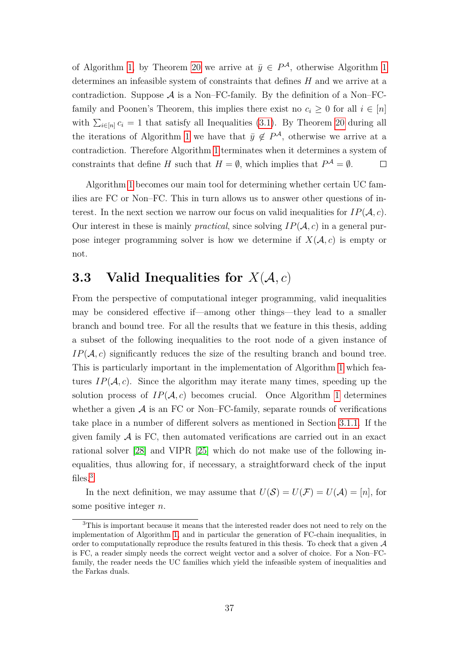of Algorithm [1,](#page-43-0) by Theorem [20](#page-40-0) we arrive at  $\bar{y} \in P^{\mathcal{A}}$ , otherwise Algorithm [1](#page-43-0) determines an infeasible system of constraints that defines *H* and we arrive at a contradiction. Suppose  $\mathcal A$  is a Non–FC-family. By the definition of a Non–FCfamily and Poonen's Theorem, this implies there exist no  $c_i \geq 0$  for all  $i \in [n]$ with  $\sum_{i\in[n]} c_i = 1$  that satisfy all Inequalities [\(3.1\)](#page-35-0). By Theorem [20](#page-40-0) during all the iterations of Algorithm [1](#page-43-0) we have that  $\bar{y} \notin P^{\mathcal{A}}$ , otherwise we arrive at a contradiction. Therefore Algorithm [1](#page-43-0) terminates when it determines a system of constraints that define *H* such that  $H = \emptyset$ , which implies that  $P^{\mathcal{A}} = \emptyset$ .  $\Box$ 

Algorithm [1](#page-43-0) becomes our main tool for determining whether certain UC families are FC or Non–FC. This in turn allows us to answer other questions of interest. In the next section we narrow our focus on valid inequalities for  $IP(\mathcal{A}, c)$ . Our interest in these is mainly *practical*, since solving  $IP(\mathcal{A}, c)$  in a general purpose integer programming solver is how we determine if  $X(A, c)$  is empty or not.

# **3.3** Valid Inequalities for  $X(A, c)$

From the perspective of computational integer programming, valid inequalities may be considered effective if—among other things—they lead to a smaller branch and bound tree. For all the results that we feature in this thesis, adding a subset of the following inequalities to the root node of a given instance of  $IP(\mathcal{A}, c)$  significantly reduces the size of the resulting branch and bound tree. This is particularly important in the implementation of Algorithm [1](#page-43-0) which features  $IP(\mathcal{A}, c)$ . Since the algorithm may iterate many times, speeding up the solution process of  $IP(\mathcal{A}, c)$  becomes crucial. Once Algorithm [1](#page-43-0) determines whether a given  $A$  is an FC or Non–FC-family, separate rounds of verifications take place in a number of different solvers as mentioned in Section [3.1.1.](#page-34-0) If the given family  $A$  is FC, then automated verifications are carried out in an exact rational solver [\[28\]](#page-80-0) and VIPR [\[25\]](#page-79-0) which do not make use of the following inequalities, thus allowing for, if necessary, a straightforward check of the input files.<sup>[3](#page-44-0)</sup>

In the next definition, we may assume that  $U(\mathcal{S}) = U(\mathcal{F}) = U(\mathcal{A}) = [n]$ , for some positive integer *n*.

<span id="page-44-0"></span><sup>3</sup>This is important because it means that the interested reader does not need to rely on the implementation of Algorithm [1,](#page-43-0) and in particular the generation of FC-chain inequalities, in order to computationally reproduce the results featured in this thesis. To check that a given  $A$ is FC, a reader simply needs the correct weight vector and a solver of choice. For a Non–FCfamily, the reader needs the UC families which yield the infeasible system of inequalities and the Farkas duals.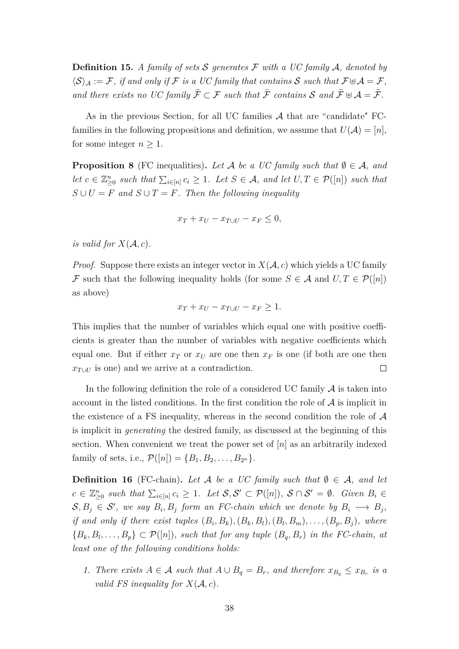**Definition 15.** *A family of sets* S *generates* F *with a UC family* A*, denoted by*  $\langle S \rangle_A := \mathcal{F}$ , if and only if  $\mathcal{F}$  is a UC family that contains S such that  $\mathcal{F} \oplus \mathcal{A} = \mathcal{F}$ , *and there exists no UC family*  $\widetilde{\mathcal{F}} \subset \mathcal{F}$  *such that*  $\widetilde{\mathcal{F}}$  *contains*  $\mathcal{S}$  *and*  $\widetilde{\mathcal{F}} \cup \mathcal{A} = \widetilde{\mathcal{F}}$ *.* 

As in the previous Section, for all UC families  $A$  that are "candidate" FCfamilies in the following propositions and definition, we assume that  $U(\mathcal{A}) = [n]$ , for some integer  $n \geq 1$ .

**Proposition 8** (FC inequalities). Let A be a UC family such that  $\emptyset \in \mathcal{A}$ , and *let*  $c \in \mathbb{Z}_{\geq 0}^n$  *such that*  $\sum_{i \in [n]} c_i \geq 1$ *. Let*  $S \in \mathcal{A}$ *, and let*  $U, T \in \mathcal{P}([n])$  *such that*  $S \cup U = F$  and  $S \cup T = F$ . Then the following inequality

$$
x_T + x_U - x_{T \cup U} - x_F \le 0,
$$

*is valid for*  $X(A, c)$ *.* 

*Proof.* Suppose there exists an integer vector in  $X(A, c)$  which yields a UC family F such that the following inequality holds (for some  $S \in \mathcal{A}$  and  $U, T \in \mathcal{P}([n])$ as above)

$$
x_T + x_U - x_{T \cup U} - x_F \ge 1.
$$

This implies that the number of variables which equal one with positive coefficients is greater than the number of variables with negative coefficients which equal one. But if either  $x_T$  or  $x_U$  are one then  $x_F$  is one (if both are one then  $x_{T\cup U}$  is one) and we arrive at a contradiction.  $\Box$ 

In the following definition the role of a considered UC family  $A$  is taken into account in the listed conditions. In the first condition the role of  $A$  is implicit in the existence of a FS inequality, whereas in the second condition the role of A is implicit in *generating* the desired family, as discussed at the beginning of this section. When convenient we treat the power set of [*n*] as an arbitrarily indexed family of sets, i.e.,  $\mathcal{P}([n]) = \{B_1, B_2, \ldots, B_{2^n}\}.$ 

<span id="page-45-0"></span>**Definition 16** (FC-chain). Let A be a UC family such that  $\emptyset \in \mathcal{A}$ , and let  $c \in \mathbb{Z}_{\geq 0}^n$  such that  $\sum_{i \in [n]} c_i \geq 1$ . Let  $\mathcal{S}, \mathcal{S}' \subset \mathcal{P}([n])$ ,  $\mathcal{S} \cap \mathcal{S}' = \emptyset$ . Given  $B_i \in$  $S, B_j \in S'$ , we say  $B_i, B_j$  form an FC-chain which we denote by  $B_i \longrightarrow B_j$ , if and only if there exist tuples  $(B_i, B_k), (B_k, B_l), (B_l, B_m), \ldots, (B_p, B_j)$ , where  ${B_k, B_l, \ldots, B_p} \subset \mathcal{P}([n])$ *, such that for any tuple*  $(B_q, B_r)$  *in the FC-chain, at least one of the following conditions holds:*

*1. There exists A* ∈ *A such that*  $A ∪ B<sub>q</sub> = B<sub>r</sub>$ *, and therefore*  $x_{B<sub>q</sub>} ≤ x_{B<sub>r</sub>}$  *is a valid FS inequality for*  $X(A, c)$ *.*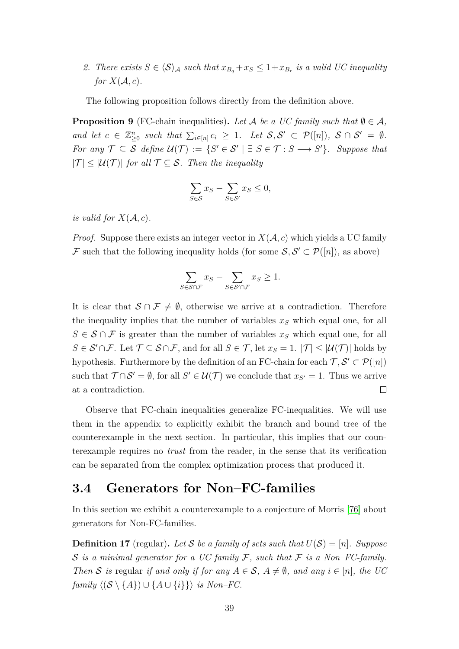2. There exists  $S \in \langle S \rangle_A$  such that  $x_{B_q} + x_S \leq 1 + x_{B_r}$  is a valid UC inequality *for*  $X(A, c)$ *.* 

The following proposition follows directly from the definition above.

<span id="page-46-1"></span>**Proposition 9** (FC-chain inequalities). Let A be a UC family such that  $\emptyset \in \mathcal{A}$ , *and let*  $c \in \mathbb{Z}_{\geq 0}^n$  such that  $\sum_{i \in [n]} c_i \geq 1$ *. Let*  $S, S' \subset \mathcal{P}([n])$ *,*  $S \cap S' = \emptyset$ *. For any*  $\mathcal{T} \subseteq \mathcal{S}$  *define*  $\mathcal{U}(\mathcal{T}) := \{ S' \in \mathcal{S}' \mid \exists S \in \mathcal{T} : S \longrightarrow S' \}.$  Suppose that  $|T| \leq |U(T)|$  for all  $T \subseteq S$ . Then the inequality

$$
\sum_{S \in \mathcal{S}} x_S - \sum_{S \in \mathcal{S}'} x_S \le 0,
$$

*is valid for*  $X(A, c)$ *.* 

*Proof.* Suppose there exists an integer vector in  $X(A, c)$  which yields a UC family F such that the following inequality holds (for some  $S, S' \subset \mathcal{P}([n])$ , as above)

$$
\sum_{S \in \mathcal{S} \cap \mathcal{F}} x_S - \sum_{S \in \mathcal{S}' \cap \mathcal{F}} x_S \ge 1.
$$

It is clear that  $S \cap \mathcal{F} \neq \emptyset$ , otherwise we arrive at a contradiction. Therefore the inequality implies that the number of variables *x<sup>S</sup>* which equal one, for all  $S \in \mathcal{S} \cap \mathcal{F}$  is greater than the number of variables  $x_S$  which equal one, for all *S* ∈  $S' \cap F$ . Let  $T \subseteq S \cap F$ , and for all  $S \in T$ , let  $x_S = 1$ .  $|T| \leq |U(T)|$  holds by hypothesis. Furthermore by the definition of an FC-chain for each  $\mathcal{T}, \mathcal{S}' \subset \mathcal{P}([n])$ such that  $\mathcal{T} \cap \mathcal{S}' = \emptyset$ , for all  $S' \in \mathcal{U}(\mathcal{T})$  we conclude that  $x_{S'} = 1$ . Thus we arrive at a contradiction.  $\Box$ 

Observe that FC-chain inequalities generalize FC-inequalities. We will use them in the appendix to explicitly exhibit the branch and bound tree of the counterexample in the next section. In particular, this implies that our counterexample requires no *trust* from the reader, in the sense that its verification can be separated from the complex optimization process that produced it.

### <span id="page-46-0"></span>**3.4 Generators for Non–FC-families**

In this section we exhibit a counterexample to a conjecture of Morris [\[76\]](#page-83-0) about generators for Non-FC-families.

**Definition 17** (regular). Let S be a family of sets such that  $U(S) = [n]$ . Suppose S *is a minimal generator for a UC family* F*, such that* F *is a Non–FC-family. Then* S is regular if and only if for any  $A \in S$ ,  $A \neq \emptyset$ , and any  $i \in [n]$ , the UC *family*  $\langle (\mathcal{S} \setminus \{A\}) \cup \{A \cup \{i\}\} \rangle$  *is Non–FC.*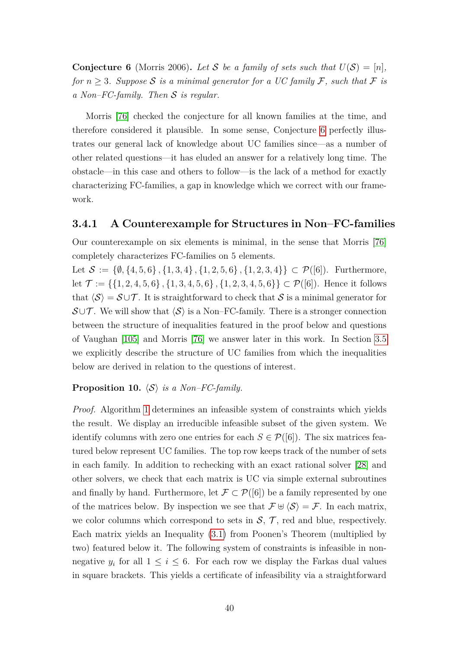<span id="page-47-0"></span>**Conjecture 6** (Morris 2006). Let S be a family of sets such that  $U(S) = [n]$ , *for*  $n \geq 3$ *. Suppose* S *is a minimal generator for a UC family* F, such that F *is a Non–FC-family. Then* S *is regular.*

Morris [\[76\]](#page-83-0) checked the conjecture for all known families at the time, and therefore considered it plausible. In some sense, Conjecture [6](#page-47-0) perfectly illustrates our general lack of knowledge about UC families since—as a number of other related questions—it has eluded an answer for a relatively long time. The obstacle—in this case and others to follow—is the lack of a method for exactly characterizing FC-families, a gap in knowledge which we correct with our framework.

#### **3.4.1 A Counterexample for Structures in Non–FC-families**

Our counterexample on six elements is minimal, in the sense that Morris [\[76\]](#page-83-0) completely characterizes FC-families on 5 elements.

Let  $S := \{\emptyset, \{4, 5, 6\}, \{1, 3, 4\}, \{1, 2, 5, 6\}, \{1, 2, 3, 4\}\} \subset \mathcal{P}([6])$ . Furthermore, let  $\mathcal{T} := \{\{1, 2, 4, 5, 6\}, \{1, 3, 4, 5, 6\}, \{1, 2, 3, 4, 5, 6\}\} \subset \mathcal{P}([6])$ . Hence it follows that  $\langle S \rangle = S \cup T$ . It is straightforward to check that S is a minimal generator for  $\mathcal{S} \cup \mathcal{T}$ . We will show that  $\langle \mathcal{S} \rangle$  is a Non–FC-family. There is a stronger connection between the structure of inequalities featured in the proof below and questions of Vaughan [\[105\]](#page-85-0) and Morris [\[76\]](#page-83-0) we answer later in this work. In Section [3.5](#page-49-0) we explicitly describe the structure of UC families from which the inequalities below are derived in relation to the questions of interest.

#### <span id="page-47-1"></span>**Proposition 10.**  $\langle S \rangle$  *is a Non–FC-family.*

*Proof.* Algorithm [1](#page-43-0) determines an infeasible system of constraints which yields the result. We display an irreducible infeasible subset of the given system. We identify columns with zero one entries for each  $S \in \mathcal{P}([6])$ . The six matrices featured below represent UC families. The top row keeps track of the number of sets in each family. In addition to rechecking with an exact rational solver [\[28\]](#page-80-0) and other solvers, we check that each matrix is UC via simple external subroutines and finally by hand. Furthermore, let  $\mathcal{F} \subset \mathcal{P}([6])$  be a family represented by one of the matrices below. By inspection we see that  $\mathcal{F} \oplus \langle \mathcal{S} \rangle = \mathcal{F}$ . In each matrix, we color columns which correspond to sets in  $S$ ,  $T$ , red and blue, respectively. Each matrix yields an Inequality [\(3.1\)](#page-35-0) from Poonen's Theorem (multiplied by two) featured below it. The following system of constraints is infeasible in nonnegative  $y_i$  for all  $1 \leq i \leq 6$ . For each row we display the Farkas dual values in square brackets. This yields a certificate of infeasibility via a straightforward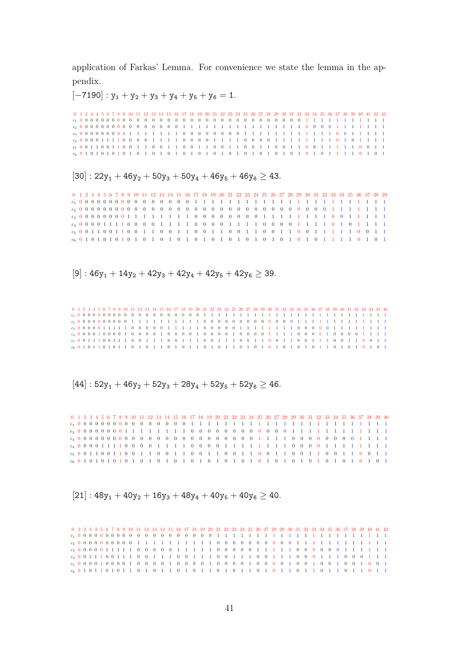application of Farkas' Lemma. For convenience we state the lemma in the appendix.

 $[-7190]$ :  $y_1 + y_2 + y_3 + y_4 + y_5 + y_6 = 1$ .

|  |  |  |  |  |  |  |  |  |  |  |  |  |  |  |  |  |  |  |  | 0 1 2 3 4 5 6 7 8 9 10 11 12 13 14 15 16 17 18 19 20 21 22 23 24 25 26 27 28 29 30 31 32 33 34 35 36 37 38 39 40 41 42 43 |  |
|--|--|--|--|--|--|--|--|--|--|--|--|--|--|--|--|--|--|--|--|---------------------------------------------------------------------------------------------------------------------------|--|
|  |  |  |  |  |  |  |  |  |  |  |  |  |  |  |  |  |  |  |  |                                                                                                                           |  |
|  |  |  |  |  |  |  |  |  |  |  |  |  |  |  |  |  |  |  |  | $c_2$ 0 0 0 0 0 0 0 0 0 0 0 0 0 0 0 0 0 1 1 1 1 1 1 1 1 1 1 1 1 1 1 1 1 0 0 0 0 1 1 1 1 1 1 1 1                           |  |
|  |  |  |  |  |  |  |  |  |  |  |  |  |  |  |  |  |  |  |  | $c_3$ 0 0 0 0 0 0 0 0 0 1 1 1 1 1 1 1 1 0 0 0 0 0 0 0 0 0 1 1 1 1 1 1 1 1 1 1 1 1 0 0 1 1 1 1 1                           |  |
|  |  |  |  |  |  |  |  |  |  |  |  |  |  |  |  |  |  |  |  | $c_4$ 0 0 0 0 1 1 1 1 0 0 0 0 1 1 1 1 0 0 0 0 1 1 1 1 0 0 0 0 0 1 1 1 1 1 1 1 1 1 0 1 0 1 1 1 1 1                         |  |
|  |  |  |  |  |  |  |  |  |  |  |  |  |  |  |  |  |  |  |  | $c_5$ 0 0 1 1 0 0 1 1 0 0 1 1 0 0 1 1 0 0 1 1 0 0 1 1 0 0 1 1 0 0 1 1 0 0 1 1 1 0 0 1 1 1 0 0 1 1                         |  |
|  |  |  |  |  |  |  |  |  |  |  |  |  |  |  |  |  |  |  |  |                                                                                                                           |  |

 $[30]$  :  $22y_1 + 46y_2 + 50y_3 + 50y_4 + 46y_5 + 46y_6 \geq 43$ .

0 1 2 3 4 5 6 7 8 9 10 11 12 13 14 15 16 17 18 19 20 21 22 23 24 25 26 27 28 29 30 31 32 33 34 35 36 37 38 39 *c*<sup>1</sup> 0 0 0 0 0 0 0 0 0 0 0 0 0 0 0 0 1 1 1 1 1 1 1 1 1 1 1 1 1 1 1 1 1 1 1 1 1 1 1 *c*<sup>2</sup> 0 0 0 0 0 0 0 0 0 0 0 0 0 0 0 0 0 0 0 0 0 0 0 0 0 0 0 0 0 0 0 0 1 1 1 1 1 1 1 *c*<sup>3</sup> 0 0 0 0 0 0 0 0 1 1 1 1 1 1 1 1 0 0 0 0 0 0 0 0 1 1 1 1 1 1 1 1 0 0 1 1 1 1 1 *c*<sup>4</sup> 0 0 0 0 1 1 1 1 0 0 0 0 1 1 1 1 0 0 0 0 1 1 1 1 0 0 0 0 1 1 1 1 0 1 0 1 1 1 1 *c*<sup>5</sup> 0 0 1 1 0 0 1 1 0 0 1 1 0 0 1 1 0 0 1 1 0 0 1 1 0 0 1 1 0 0 1 1 1 1 1 0 0 1 1 *c*<sup>6</sup> 0 1 0 1 0 1 0 1 0 1 0 1 0 1 0 1 0 1 0 1 0 1 0 1 0 1 0 1 0 1 0 1 1 1 1 0 1 0 1

 $[9]$ : 46y<sub>1</sub> + 14y<sub>2</sub> + 42y<sub>3</sub> + 42y<sub>4</sub> + 42y<sub>5</sub> + 42y<sub>6</sub>  $\geq$  39.

0 1 2 3 4 5 6 7 8 9 10 11 12 13 14 15 16 17 18 19 20 21 22 23 24 25 26 27 28 29 30 31 32 33 34 35 36 37 38 39 40 41 42 43 44 45 46 *c*<sup>1</sup> 0 0 0 0 0 0 0 0 0 0 0 0 0 0 0 0 0 0 0 0 1 1 1 1 1 1 1 1 1 1 1 1 1 1 1 1 1 1 1 1 1 1 1 1 1 1 *c*<sup>2</sup> 0 0 0 0 0 0 0 0 0 0 1 1 1 1 1 1 1 1 1 1 0 0 0 0 0 0 0 0 0 0 0 0 0 1 1 1 1 1 1 1 1 1 1 1 1 1 *c*<sup>3</sup> 0 0 0 0 0 1 1 1 1 1 0 0 0 0 0 1 1 1 1 1 0 0 0 0 0 1 1 1 1 1 1 1 1 0 0 0 0 0 1 1 1 1 1 1 1 1 *c*<sup>4</sup> 0 0 0 0 1 0 0 0 0 1 0 0 0 0 1 0 0 0 0 1 0 0 0 0 1 0 0 0 0 1 1 1 1 0 0 0 0 1 0 0 0 0 1 1 1 1 *c*<sup>5</sup> 0 0 1 1 1 0 0 1 1 1 0 0 1 1 1 0 0 1 1 1 0 0 1 1 1 0 0 1 1 0 0 1 1 0 0 1 1 1 0 0 1 1 0 0 1 1 *c*<sup>6</sup> 0 1 0 1 1 0 1 0 1 1 0 1 0 1 1 0 1 0 1 1 0 1 0 1 1 0 1 0 1 0 1 0 1 0 1 0 1 1 0 1 0 1 0 1 0 1

 $[44] : 52y_1 + 46y_2 + 52y_3 + 28y_4 + 52y_5 + 52y_6 > 46.$ 

0 1 2 3 4 5 6 7 8 9 10 11 12 13 14 15 16 17 18 19 20 21 22 23 24 25 26 27 28 29 30 31 32 33 34 35 36 37 38 39 40 *c*<sup>1</sup> 0 0 0 0 0 0 0 0 0 0 0 0 0 0 0 0 1 1 1 1 1 1 1 1 1 1 1 1 1 1 1 1 1 1 1 1 1 1 1 1 *c*<sup>2</sup> 0 0 0 0 0 0 0 0 1 1 1 1 1 1 1 1 0 0 0 0 0 0 0 0 0 0 0 0 1 1 1 1 1 1 1 1 1 1 1 1 *c*<sup>3</sup> 0 0 0 0 0 0 0 0 0 0 0 0 0 0 0 0 0 0 0 0 0 0 0 0 1 1 1 1 0 0 0 0 0 0 0 0 1 1 1 1 *c*<sup>4</sup> 0 0 0 0 1 1 1 1 0 0 0 0 1 1 1 1 0 0 0 0 1 1 1 1 1 1 1 1 0 0 0 0 1 1 1 1 1 1 1 1 *c*<sup>5</sup> 0 0 1 1 0 0 1 1 0 0 1 1 0 0 1 1 0 0 1 1 0 0 1 1 0 0 1 1 0 0 1 1 0 0 1 1 0 0 1 1 *c*<sup>6</sup> 0 1 0 1 0 1 0 1 0 1 0 1 0 1 0 1 0 1 0 1 0 1 0 1 0 1 0 1 0 1 0 1 0 1 0 1 0 1 0 1

 $[21]$ :  $48y_1 + 40y_2 + 16y_3 + 48y_4 + 40y_5 + 40y_6 > 40$ .

0 1 2 3 4 5 6 7 8 9 10 11 12 13 14 15 16 17 18 19 20 21 22 23 24 25 26 27 28 29 30 31 32 33 34 35 36 37 38 39 40 41 42 *c*<sup>1</sup> 0 0 0 0 0 0 0 0 0 0 0 0 0 0 0 0 0 0 0 0 1 1 1 1 1 1 1 1 1 1 1 1 1 1 1 1 1 1 1 1 1 1 *c*<sup>2</sup> 0 0 0 0 0 0 0 0 0 0 1 1 1 1 1 1 1 1 1 1 0 0 0 0 0 0 0 0 0 0 1 1 1 1 1 1 1 1 1 1 1 1 *c*<sup>3</sup> 0 0 0 0 0 1 1 1 1 1 0 0 0 0 0 1 1 1 1 1 0 0 0 0 0 1 1 1 1 1 0 0 0 0 0 0 1 1 1 1 1 1 *c*<sup>4</sup> 0 0 1 1 1 0 0 1 1 1 0 0 1 1 1 0 0 1 1 1 0 0 1 1 1 0 0 1 1 1 0 0 0 1 1 1 0 0 0 1 1 1 *c*<sup>5</sup> 0 0 0 0 1 0 0 0 0 1 0 0 0 0 1 0 0 0 0 1 0 0 0 0 1 0 0 0 0 1 0 0 1 0 0 1 0 0 1 0 0 1 *c*<sup>6</sup> 0 1 0 1 1 0 1 0 1 1 0 1 0 1 1 0 1 0 1 1 0 1 0 1 1 0 1 0 1 1 0 1 1 0 1 1 0 1 1 0 1 1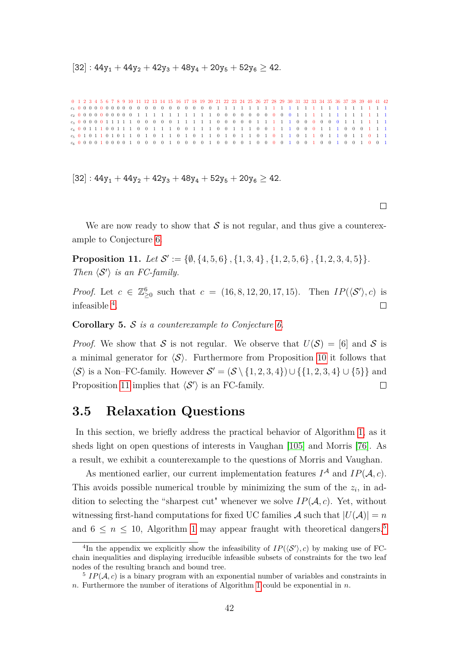$[32]$ :  $44y_1 + 44y_2 + 42y_3 + 48y_4 + 20y_5 + 52y_6 \ge 42$ .

0 1 2 3 4 5 6 7 8 9 10 11 12 13 14 15 16 17 18 19 20 21 22 23 24 25 26 27 28 29 30 31 32 33 34 35 36 37 38 39 40 41 42 *c*<sup>1</sup> 0 0 0 0 0 0 0 0 0 0 0 0 0 0 0 0 0 0 0 0 1 1 1 1 1 1 1 1 1 1 1 1 1 1 1 1 1 1 1 1 1 1 *c*<sup>2</sup> 0 0 0 0 0 0 0 0 0 0 1 1 1 1 1 1 1 1 1 1 0 0 0 0 0 0 0 0 0 0 1 1 1 1 1 1 1 1 1 1 1 1 *c*<sup>3</sup> 0 0 0 0 0 1 1 1 1 1 0 0 0 0 0 1 1 1 1 1 0 0 0 0 0 1 1 1 1 1 0 0 0 0 0 0 1 1 1 1 1 1 *c*<sup>4</sup> 0 0 1 1 1 0 0 1 1 1 0 0 1 1 1 0 0 1 1 1 0 0 1 1 1 0 0 1 1 1 0 0 0 1 1 1 0 0 0 1 1 1 *c*<sup>5</sup> 0 1 0 1 1 0 1 0 1 1 0 1 0 1 1 0 1 0 1 1 0 1 0 1 1 0 1 0 1 1 0 1 1 0 1 1 0 1 1 0 1 1 *c*<sup>6</sup> 0 0 0 0 1 0 0 0 0 1 0 0 0 0 1 0 0 0 0 1 0 0 0 0 1 0 0 0 0 1 0 0 1 0 0 1 0 0 1 0 0 1

 $[32] : 44y_1 + 44y_2 + 42y_3 + 48y_4 + 52y_5 + 20y_6 \ge 42.$ 

We are now ready to show that  $S$  is not regular, and thus give a counterexample to Conjecture [6.](#page-47-0)

<span id="page-49-2"></span>**Proposition 11.** Let  $\mathcal{S}' := \{ \emptyset, \{4, 5, 6\}, \{1, 3, 4\}, \{1, 2, 5, 6\}, \{1, 2, 3, 4, 5\} \}.$ *Then*  $\langle S' \rangle$  *is an FC-family.* 

*Proof.* Let  $c \in \mathbb{Z}_{\geq 0}^6$  such that  $c = (16, 8, 12, 20, 17, 15)$ . Then  $IP(\langle \mathcal{S}' \rangle, c)$  is infeasible [4](#page-49-1) .  $\Box$ 

<span id="page-49-4"></span>**Corollary 5.** S *is a counterexample to Conjecture [6.](#page-47-0)*

*Proof.* We show that S is not regular. We observe that  $U(S) = [6]$  and S is a minimal generator for  $\langle S \rangle$ . Furthermore from Proposition [10](#page-47-1) it follows that  $\langle \mathcal{S} \rangle$  is a Non–FC-family. However  $\mathcal{S}' = (\mathcal{S} \setminus \{1, 2, 3, 4\}) \cup \{\{1, 2, 3, 4\} \cup \{5\}\}\$ and Proposition [11](#page-49-2) implies that  $\langle S' \rangle$  is an FC-family.  $\Box$ 

### <span id="page-49-0"></span>**3.5 Relaxation Questions**

In this section, we briefly address the practical behavior of Algorithm [1,](#page-43-0) as it sheds light on open questions of interests in Vaughan [\[105\]](#page-85-0) and Morris [\[76\]](#page-83-0). As a result, we exhibit a counterexample to the questions of Morris and Vaughan.

As mentioned earlier, our current implementation features  $I^{\mathcal{A}}$  and  $IP(\mathcal{A}, c)$ . This avoids possible numerical trouble by minimizing the sum of the  $z_i$ , in addition to selecting the "sharpest cut" whenever we solve  $IP(\mathcal{A}, c)$ . Yet, without witnessing first-hand computations for fixed UC families  $A$  such that  $|U(A)| = n$ and  $6 \leq n \leq 10$  $6 \leq n \leq 10$  $6 \leq n \leq 10$ , Algorithm 1 may appear fraught with theoretical dangers.<sup>[5](#page-49-3)</sup>

<span id="page-49-1"></span><sup>&</sup>lt;sup>4</sup>In the appendix we explicitly show the infeasibility of  $IP(\langle S' \rangle, c)$  by making use of FCchain inequalities and displaying irreducible infeasible subsets of constraints for the two leaf nodes of the resulting branch and bound tree.

<span id="page-49-3"></span> $^{5}$  *IP*( $A, c$ ) is a binary program with an exponential number of variables and constraints in *n*. Furthermore the number of iterations of Algorithm [1](#page-43-0) could be exponential in *n*.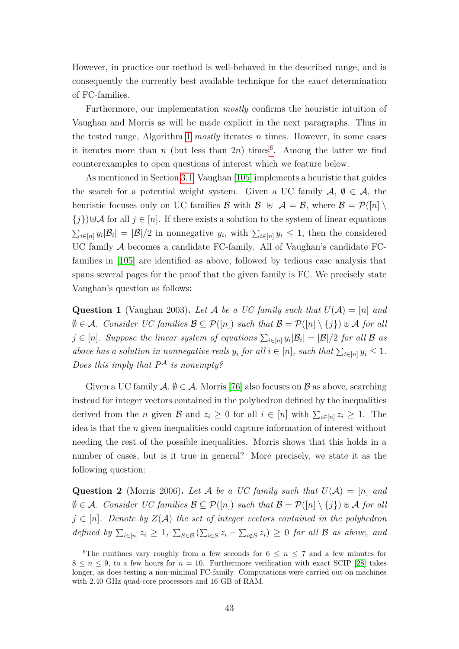However, in practice our method is well-behaved in the described range, and is consequently the currently best available technique for the *exact* determination of FC-families.

Furthermore, our implementation *mostly* confirms the heuristic intuition of Vaughan and Morris as will be made explicit in the next paragraphs. Thus in the tested range, Algorithm [1](#page-43-0) *mostly* iterates *n* times. However, in some cases it iterates more than  $n$  (but less than  $2n$ ) times<sup>[6](#page-50-0)</sup>. Among the latter we find counterexamples to open questions of interest which we feature below.

As mentioned in Section [3.1,](#page-32-0) Vaughan [\[105\]](#page-85-0) implements a heuristic that guides the search for a potential weight system. Given a UC family  $A, \emptyset \in \mathcal{A}$ , the heuristic focuses only on UC families B with  $\mathcal{B} \oplus \mathcal{A} = \mathcal{B}$ , where  $\mathcal{B} = \mathcal{P}([n])$  ${j}$ ) $\forall A$  for all  $j \in [n]$ . If there exists a solution to the system of linear equations  $\sum_{i\in[n]} y_i |\mathcal{B}_i| = |\mathcal{B}|/2$  in nonnegative  $y_i$ , with  $\sum_{i\in[n]} y_i \leq 1$ , then the considered UC family A becomes a candidate FC-family. All of Vaughan's candidate FCfamilies in [\[105\]](#page-85-0) are identified as above, followed by tedious case analysis that spans several pages for the proof that the given family is FC. We precisely state Vaughan's question as follows:

<span id="page-50-1"></span>**Question 1** (Vaughan 2003). Let A be a UC family such that  $U(A) = [n]$  and  $\emptyset \in \mathcal{A}$ *. Consider UC families*  $\mathcal{B} \subseteq \mathcal{P}([n])$  *such that*  $\mathcal{B} = \mathcal{P}([n] \setminus \{j\}) \cup \mathcal{A}$  *for all*  $j \in [n]$ *. Suppose the linear system of equations*  $\sum_{i \in [n]} y_i |\mathcal{B}_i| = |\mathcal{B}|/2$  *for all*  $\mathcal B$  *as above has a solution in nonnegative reals*  $y_i$  *for all*  $i \in [n]$ *, such that*  $\sum_{i \in [n]} y_i \leq 1$ *. Does this imply that P* <sup>A</sup> *is nonempty?*

Given a UC family  $A, \emptyset \in \mathcal{A}$ , Morris [\[76\]](#page-83-0) also focuses on  $\mathcal{B}$  as above, searching instead for integer vectors contained in the polyhedron defined by the inequalities derived from the *n* given  $\mathcal{B}$  and  $z_i \geq 0$  for all  $i \in [n]$  with  $\sum_{i \in [n]} z_i \geq 1$ . The idea is that the *n* given inequalities could capture information of interest without needing the rest of the possible inequalities. Morris shows that this holds in a number of cases, but is it true in general? More precisely, we state it as the following question:

<span id="page-50-2"></span>**Question 2** (Morris 2006). Let A be a UC family such that  $U(A) = [n]$  and  $\emptyset \in \mathcal{A}$ *. Consider UC families*  $\mathcal{B} \subseteq \mathcal{P}([n])$  *such that*  $\mathcal{B} = \mathcal{P}([n] \setminus \{j\}) \cup \mathcal{A}$  *for all*  $j \in [n]$ *. Denote by*  $Z(\mathcal{A})$  *the set of integer vectors contained in the polyhedron defined by*  $\sum_{i \in [n]} z_i \geq 1$ ,  $\sum_{S \in \mathcal{B}} (\sum_{i \in S} z_i - \sum_{i \notin S} z_i) \geq 0$  *for all* B *as above, and* 

<span id="page-50-0"></span><sup>&</sup>lt;sup>6</sup>The runtimes vary roughly from a few seconds for  $6 \le n \le 7$  and a few minutes for  $8 \leq n \leq 9$ , to a few hours for  $n = 10$ . Furthermore verification with exact SCIP [\[28\]](#page-80-0) takes longer, as does testing a non-minimal FC-family. Computations were carried out on machines with 2.40 GHz quad-core processors and 16 GB of RAM.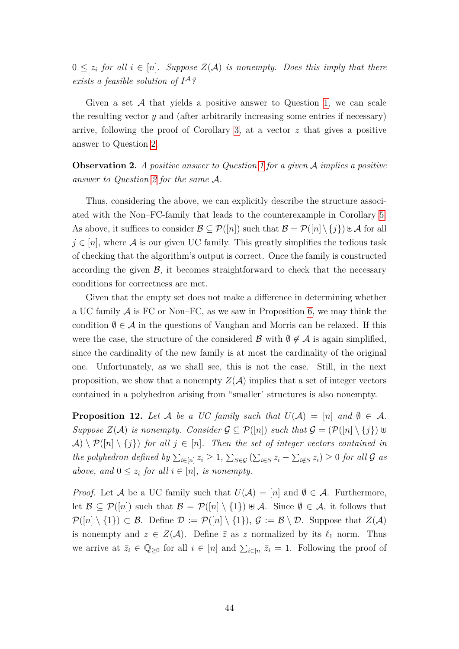$0 \leq z_i$  *for all*  $i \in [n]$ *. Suppose*  $Z(\mathcal{A})$  *is nonempty. Does this imply that there exists a feasible solution of I* A*?*

Given a set  $A$  that yields a positive answer to Question [1,](#page-50-1) we can scale the resulting vector *y* and (after arbitrarily increasing some entries if necessary) arrive, following the proof of Corollary [3,](#page-37-1) at a vector *z* that gives a positive answer to Question [2.](#page-50-2)

<span id="page-51-1"></span>**Observation 2.** *A positive answer to Question [1](#page-50-1) for a given* A *implies a positive answer to Question [2](#page-50-2) for the same* A*.*

Thus, considering the above, we can explicitly describe the structure associated with the Non–FC-family that leads to the counterexample in Corollary [5.](#page-49-4) As above, it suffices to consider  $\mathcal{B} \subseteq \mathcal{P}([n])$  such that  $\mathcal{B} = \mathcal{P}([n] \setminus \{j\}) \cup \mathcal{A}$  for all  $j \in [n]$ , where A is our given UC family. This greatly simplifies the tedious task of checking that the algorithm's output is correct. Once the family is constructed according the given  $\mathcal{B}$ , it becomes straightforward to check that the necessary conditions for correctness are met.

Given that the empty set does not make a difference in determining whether a UC family  $\mathcal A$  is FC or Non–FC, as we saw in Proposition [6,](#page-38-1) we may think the condition  $\emptyset \in \mathcal{A}$  in the questions of Vaughan and Morris can be relaxed. If this were the case, the structure of the considered B with  $\emptyset \notin \mathcal{A}$  is again simplified, since the cardinality of the new family is at most the cardinality of the original one. Unfortunately, as we shall see, this is not the case. Still, in the next proposition, we show that a nonempty  $Z(\mathcal{A})$  implies that a set of integer vectors contained in a polyhedron arising from "smaller" structures is also nonempty.

<span id="page-51-0"></span>**Proposition 12.** Let A be a UC family such that  $U(A) = [n]$  and  $\emptyset \in A$ . *Suppose*  $Z(A)$  *is nonempty.* Consider  $G ⊆ P([n])$  *such that*  $G = (P([n] \setminus \{j\}) \cup \{j\})$  $\mathcal{A} \setminus \mathcal{P}([n] \setminus \{j\})$  *for all*  $j \in [n]$ *. Then the set of integer vectors contained in the polyhedron defined by*  $\sum_{i \in [n]} z_i \geq 1$ ,  $\sum_{S \in \mathcal{G}} (\sum_{i \in S} z_i - \sum_{i \notin S} z_i) \geq 0$  *for all*  $\mathcal{G}$  *as above, and*  $0 \leq z_i$  *for all*  $i \in [n]$ *, is nonempty.* 

*Proof.* Let A be a UC family such that  $U(\mathcal{A}) = [n]$  and  $\emptyset \in \mathcal{A}$ . Furthermore, let  $\mathcal{B} \subseteq \mathcal{P}([n])$  such that  $\mathcal{B} = \mathcal{P}([n] \setminus \{1\}) \cup \mathcal{A}$ . Since  $\emptyset \in \mathcal{A}$ , it follows that  $\mathcal{P}([n] \setminus \{1\}) \subset \mathcal{B}$ . Define  $\mathcal{D} := \mathcal{P}([n] \setminus \{1\}), \mathcal{G} := \mathcal{B} \setminus \mathcal{D}$ . Suppose that  $Z(\mathcal{A})$ is nonempty and  $z \in Z(\mathcal{A})$ . Define  $\overline{z}$  as *z* normalized by its  $\ell_1$  norm. Thus we arrive at  $\bar{z}_i \in \mathbb{Q}_{\geq 0}$  for all  $i \in [n]$  and  $\sum_{i \in [n]} \bar{z}_i = 1$ . Following the proof of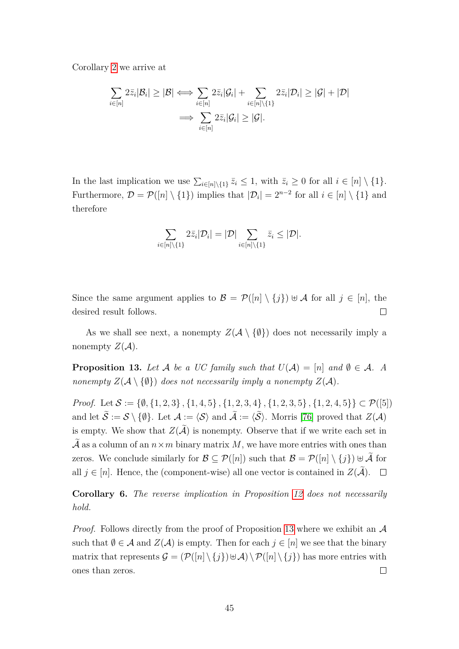Corollary [2](#page-37-0) we arrive at

$$
\sum_{i\in[n]} 2\overline{z}_i|\mathcal{B}_i| \geq |\mathcal{B}| \iff \sum_{i\in[n]} 2\overline{z}_i|\mathcal{G}_i| + \sum_{i\in[n]\setminus\{1\}} 2\overline{z}_i|\mathcal{D}_i| \geq |\mathcal{G}| + |\mathcal{D}|
$$

$$
\implies \sum_{i\in[n]} 2\overline{z}_i|\mathcal{G}_i| \geq |\mathcal{G}|.
$$

In the last implication we use  $\sum_{i \in [n] \setminus \{1\}} \bar{z}_i \leq 1$ , with  $\bar{z}_i \geq 0$  for all  $i \in [n] \setminus \{1\}$ . Furthermore,  $\mathcal{D} = \mathcal{P}([n] \setminus \{1\})$  implies that  $|\mathcal{D}_i| = 2^{n-2}$  for all  $i \in [n] \setminus \{1\}$  and therefore

$$
\sum_{i\in[n]\backslash\{1\}}2\bar{z}_i|\mathcal{D}_i|=|\mathcal{D}|\sum_{i\in[n]\backslash\{1\}}\bar{z}_i\leq|\mathcal{D}|.
$$

Since the same argument applies to  $\mathcal{B} = \mathcal{P}([n] \setminus \{j\}) \cup \mathcal{A}$  for all  $j \in [n]$ , the  $\Box$ desired result follows.

As we shall see next, a nonempty  $Z(\mathcal{A} \setminus \{\emptyset\})$  does not necessarily imply a nonempty  $Z(\mathcal{A})$ .

<span id="page-52-0"></span>**Proposition 13.** Let A be a UC family such that  $U(A) = [n]$  and  $\emptyset \in A$ . A *nonempty*  $Z(A \setminus \{\emptyset\})$  *does not necessarily imply a nonempty*  $Z(A)$ *.* 

*Proof.* Let  $S := \{\emptyset, \{1, 2, 3\}, \{1, 4, 5\}, \{1, 2, 3, 4\}, \{1, 2, 3, 5\}, \{1, 2, 4, 5\}\}\subset \mathcal{P}([5])$ and let  $S := S \setminus \{\emptyset\}$ . Let  $\mathcal{A} := \langle \mathcal{S} \rangle$  and  $\mathcal{A} := \langle \mathcal{S} \rangle$ . Morris [\[76\]](#page-83-0) proved that  $Z(\mathcal{A})$ is empty. We show that  $Z(\widetilde{\mathcal{A}})$  is nonempty. Observe that if we write each set in  $\tilde{\mathcal{A}}$  as a column of an  $n \times m$  binary matrix M, we have more entries with ones than zeros. We conclude similarly for  $\mathcal{B} \subseteq \mathcal{P}([n])$  such that  $\mathcal{B} = \mathcal{P}([n] \setminus \{j\}) \cup \widetilde{\mathcal{A}}$  for all  $j \in [n]$ . Hence, the (component-wise) all one vector is contained in  $Z(\tilde{\mathcal{A}})$ .  $\Box$ 

**Corollary 6.** *The reverse implication in Proposition [12](#page-51-0) does not necessarily hold.*

*Proof.* Follows directly from the proof of Proposition [13](#page-52-0) where we exhibit an  $\mathcal A$ such that  $\emptyset \in \mathcal{A}$  and  $Z(\mathcal{A})$  is empty. Then for each  $j \in [n]$  we see that the binary matrix that represents  $\mathcal{G} = (\mathcal{P}([n] \setminus \{j\}) \cup \mathcal{A}) \setminus \mathcal{P}([n] \setminus \{j\})$  has more entries with ones than zeros.  $\Box$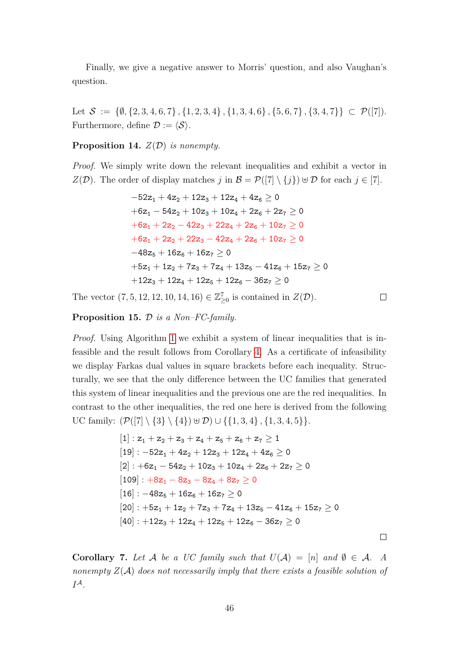Finally, we give a negative answer to Morris' question, and also Vaughan's question.

Let  $\mathcal{S} := \{\emptyset, \{2, 3, 4, 6, 7\}, \{1, 2, 3, 4\}, \{1, 3, 4, 6\}, \{5, 6, 7\}, \{3, 4, 7\}\}\subset \mathcal{P}([7]).$ Furthermore, define  $\mathcal{D} := \langle \mathcal{S} \rangle$ .

#### <span id="page-53-0"></span>**Proposition 14.** *Z*(D) *is nonempty.*

*Proof.* We simply write down the relevant inequalities and exhibit a vector in *Z*(*D*). The order of display matches *j* in  $\mathcal{B} = \mathcal{P}(|7| \setminus \{j\}) \oplus \mathcal{D}$  for each  $j \in [7]$ .

$$
\begin{aligned}-52z_1+4z_2+12z_3+12z_4+4z_6&\ge0\\+6z_1-54z_2+10z_3+10z_4+2z_6+2z_7&\ge0\\+6z_1+2z_2-42z_3+22z_4+2z_6+10z_7&\ge0\\+6z_1+2z_2+22z_3-42z_4+2z_6+10z_7&\ge0\\-48z_5+16z_6+16z_7&\ge0\\+5z_1+1z_2+7z_3+7z_4+13z_5-41z_6+15z_7&\ge0\\+12z_3+12z_4+12z_5+12z_6-36z_7&\ge0\end{aligned}
$$

The vector  $(7, 5, 12, 12, 10, 14, 16) \in \mathbb{Z}_{\geq 0}^7$  is contained in  $Z(\mathcal{D})$ .

 $\Box$ 

 $\Box$ 

#### <span id="page-53-1"></span>**Proposition 15.** D *is a Non–FC-family.*

*Proof.* Using Algorithm [1](#page-43-0) we exhibit a system of linear inequalities that is infeasible and the result follows from Corollary [4.](#page-38-0) As a certificate of infeasibility we display Farkas dual values in square brackets before each inequality. Structurally, we see that the only difference between the UC families that generated this system of linear inequalities and the previous one are the red inequalities. In contrast to the other inequalities, the red one here is derived from the following UC family:  $(\mathcal{P}([7] \setminus \{3\} \setminus \{4\}) \cup \mathcal{D}) \cup \{\{1, 3, 4\}, \{1, 3, 4, 5\}\}.$ 

$$
\begin{aligned}[1]: z_1+z_2+z_3+z_4+z_5+z_6+z_7&\ge 1\\ [19]: -52z_1+4z_2+12z_3+12z_4+4z_6&\ge 0\\ [2]: +6z_1-54z_2+10z_3+10z_4+2z_6+2z_7&\ge 0\\ [109]: +8z_1-8z_3-8z_4+8z_7&\ge 0\\ [16]: -48z_5+16z_6+16z_7&\ge 0\\ [20]: +5z_1+1z_2+7z_3+7z_4+13z_5-41z_6+15z_7&\ge 0\\ [40]: +12z_3+12z_4+12z_5+12z_6-36z_7&\ge 0\end{aligned}
$$

<span id="page-53-2"></span>**Corollary 7.** Let A be a UC family such that  $U(A) = [n]$  and  $\emptyset \in A$ . A *nonempty Z*(A) *does not necessarily imply that there exists a feasible solution of I* A*.*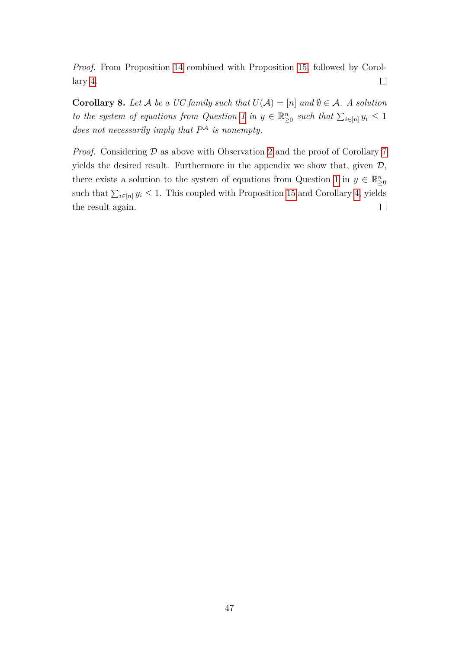*Proof.* From Proposition [14](#page-53-0) combined with Proposition [15,](#page-53-1) followed by Corol- $\Box$ lary [4.](#page-38-0)

<span id="page-54-0"></span>**Corollary 8.** Let A be a UC family such that  $U(A) = [n]$  and  $\emptyset \in A$ . A solution *to the system of equations from Question [1](#page-50-1) in*  $y \in \mathbb{R}_{\geq 0}^n$  *such that*  $\sum_{i \in [n]} y_i \leq 1$ *does not necessarily imply that P* <sup>A</sup> *is nonempty.*

*Proof.* Considering  $D$  as above with Observation [2](#page-51-1) and the proof of Corollary [7](#page-53-2) yields the desired result. Furthermore in the appendix we show that, given  $\mathcal{D}$ , there exists a solution to the system of equations from Question [1](#page-50-1) in  $y \in \mathbb{R}^n_{\geq 0}$ such that  $\sum_{i\in[n]} y_i \leq 1$ . This coupled with Proposition [15](#page-53-1) and Corollary [4,](#page-38-0) yields the result again.  $\Box$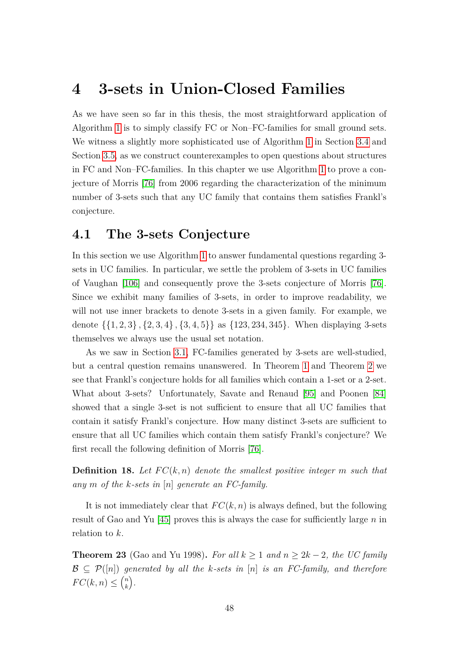## **4 3-sets in Union-Closed Families**

As we have seen so far in this thesis, the most straightforward application of Algorithm [1](#page-43-0) is to simply classify FC or Non–FC-families for small ground sets. We witness a slightly more sophisticated use of Algorithm [1](#page-43-0) in Section [3.4](#page-46-0) and Section [3.5,](#page-49-0) as we construct counterexamples to open questions about structures in FC and Non–FC-families. In this chapter we use Algorithm [1](#page-43-0) to prove a conjecture of Morris [\[76\]](#page-83-0) from 2006 regarding the characterization of the minimum number of 3-sets such that any UC family that contains them satisfies Frankl's conjecture.

### <span id="page-55-0"></span>**4.1 The 3-sets Conjecture**

In this section we use Algorithm [1](#page-43-0) to answer fundamental questions regarding 3 sets in UC families. In particular, we settle the problem of 3-sets in UC families of Vaughan [\[106\]](#page-85-1) and consequently prove the 3-sets conjecture of Morris [\[76\]](#page-83-0). Since we exhibit many families of 3-sets, in order to improve readability, we will not use inner brackets to denote 3-sets in a given family. For example, we denote {{1*,* 2*,* 3} *,* {2*,* 3*,* 4} *,* {3*,* 4*,* 5}} as {123*,* 234*,* 345}. When displaying 3-sets themselves we always use the usual set notation.

As we saw in Section [3.1,](#page-32-0) FC-families generated by 3-sets are well-studied, but a central question remains unanswered. In Theorem [1](#page-20-0) and Theorem [2](#page-20-1) we see that Frankl's conjecture holds for all families which contain a 1-set or a 2-set. What about 3-sets? Unfortunately, Savate and Renaud [\[95\]](#page-84-0) and Poonen [\[84\]](#page-83-1) showed that a single 3-set is not sufficient to ensure that all UC families that contain it satisfy Frankl's conjecture. How many distinct 3-sets are sufficient to ensure that all UC families which contain them satisfy Frankl's conjecture? We first recall the following definition of Morris [\[76\]](#page-83-0).

**Definition 18.** Let  $FC(k, n)$  denote the smallest positive integer m such that *any m of the k-sets in* [*n*] *generate an FC-family.*

It is not immediately clear that  $FC(k, n)$  is always defined, but the following result of Gao and Yu [\[45\]](#page-81-0) proves this is always the case for sufficiently large *n* in relation to *k*.

**Theorem 23** (Gao and Yu 1998). For all  $k \geq 1$  and  $n \geq 2k - 2$ , the UC family  $\mathcal{B} \subset \mathcal{P}([n])$  generated by all the k-sets in [n] is an FC-family, and therefore  $FC(k, n) \leq {n \choose k}$ *k .*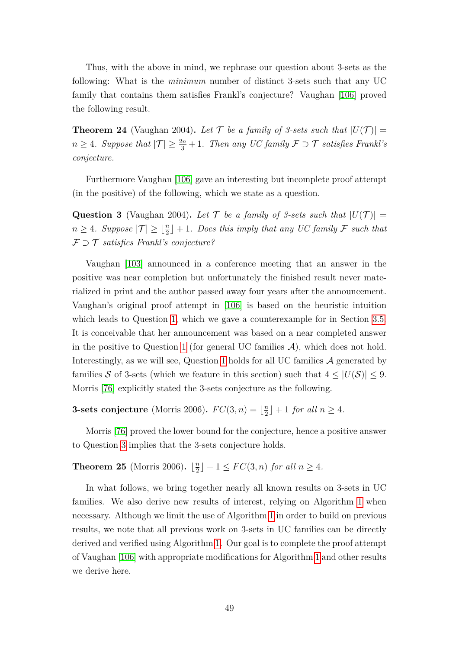Thus, with the above in mind, we rephrase our question about 3-sets as the following: What is the *minimum* number of distinct 3-sets such that any UC family that contains them satisfies Frankl's conjecture? Vaughan [\[106\]](#page-85-1) proved the following result.

**Theorem 24** (Vaughan 2004). Let T be a family of 3-sets such that  $|U(\mathcal{T})|$  = *n* ≥ 4*. Suppose that*  $|\mathcal{T}|$  ≥  $\frac{2n}{3} + 1$ *. Then any UC family*  $\mathcal{F}$  ⊃  $\mathcal{T}$  *satisfies Frankl's conjecture.*

Furthermore Vaughan [\[106\]](#page-85-1) gave an interesting but incomplete proof attempt (in the positive) of the following, which we state as a question.

<span id="page-56-0"></span>**Question 3** (Vaughan 2004). Let T be a family of 3-sets such that  $|U(T)| =$  $n \geq 4$ *. Suppose*  $|\mathcal{T}| \geq \lfloor \frac{n}{2} \rfloor + 1$ *. Does this imply that any UC family*  $\mathcal{F}$  *such that* F ⊃ T *satisfies Frankl's conjecture?*

Vaughan [\[103\]](#page-84-1) announced in a conference meeting that an answer in the positive was near completion but unfortunately the finished result never materialized in print and the author passed away four years after the announcement. Vaughan's original proof attempt in [\[106\]](#page-85-1) is based on the heuristic intuition which leads to Question [1,](#page-50-1) which we gave a counterexample for in Section [3.5.](#page-49-0) It is conceivable that her announcement was based on a near completed answer in the positive to Question [1](#page-50-1) (for general UC families  $A$ ), which does not hold. Interestingly, as we will see, Question [1](#page-50-1) holds for all UC families  $A$  generated by families S of 3-sets (which we feature in this section) such that  $4 \leq |U(\mathcal{S})| \leq 9$ . Morris [\[76\]](#page-83-0) explicitly stated the 3-sets conjecture as the following.

**3-sets conjecture** (Morris 2006).  $FC(3, n) = \frac{n}{2}$  $\lfloor \frac{n}{2} \rfloor + 1$  *for all*  $n \geq 4$ *.* 

Morris [\[76\]](#page-83-0) proved the lower bound for the conjecture, hence a positive answer to Question [3](#page-56-0) implies that the 3-sets conjecture holds.

<span id="page-56-1"></span>**Theorem 25** (Morris 2006).  $\frac{n}{2}$  $\lfloor \frac{n}{2} \rfloor + 1 \leq FC(3, n)$  *for all*  $n \geq 4$ *.* 

In what follows, we bring together nearly all known results on 3-sets in UC families. We also derive new results of interest, relying on Algorithm [1](#page-43-0) when necessary. Although we limit the use of Algorithm [1](#page-43-0) in order to build on previous results, we note that all previous work on 3-sets in UC families can be directly derived and verified using Algorithm [1.](#page-43-0) Our goal is to complete the proof attempt of Vaughan [\[106\]](#page-85-1) with appropriate modifications for Algorithm [1](#page-43-0) and other results we derive here.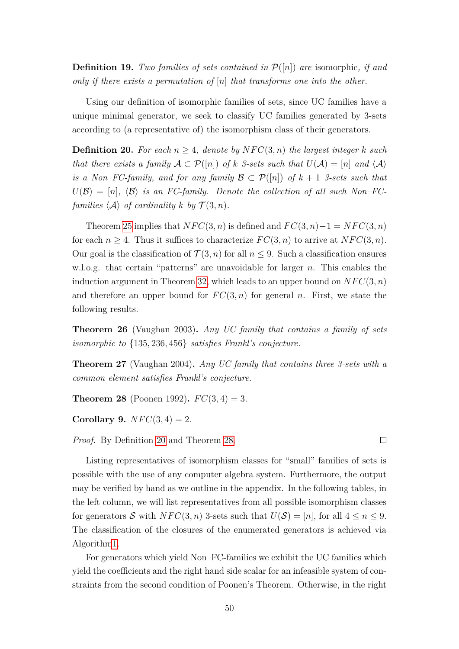**Definition 19.** *Two families of sets contained in*  $P([n])$  *are* isomorphic, *if and only if there exists a permutation of* [*n*] *that transforms one into the other.*

Using our definition of isomorphic families of sets, since UC families have a unique minimal generator, we seek to classify UC families generated by 3-sets according to (a representative of) the isomorphism class of their generators.

<span id="page-57-0"></span>**Definition 20.** For each  $n \geq 4$ , denote by  $NFC(3, n)$  the largest integer k such *that there exists a family*  $A \subset \mathcal{P}([n])$  *of*  $k$  *3-sets such that*  $U(A) = [n]$  *and*  $\langle A \rangle$ *is a Non–FC-family, and for any family*  $\mathcal{B} \subset \mathcal{P}([n])$  *of*  $k + 1$  *3-sets such that*  $U(\mathcal{B}) = [n], \langle \mathcal{B} \rangle$  *is an FC-family. Denote the collection of all such Non–FCfamilies*  $\langle A \rangle$  *of cardinality k by*  $\mathcal{T}(3, n)$ *.* 

Theorem [25](#page-56-1) implies that  $NFC(3, n)$  is defined and  $FC(3, n)-1 = NFC(3, n)$ for each  $n \geq 4$ . Thus it suffices to characterize  $FC(3, n)$  to arrive at  $NFC(3, n)$ . Our goal is the classification of  $\mathcal{T}(3,n)$  for all  $n \leq 9$ . Such a classification ensures w.l.o.g. that certain "patterns" are unavoidable for larger *n*. This enables the induction argument in Theorem [32,](#page-63-0) which leads to an upper bound on  $NFC(3, n)$ and therefore an upper bound for  $FC(3, n)$  for general *n*. First, we state the following results.

<span id="page-57-4"></span>**Theorem 26** (Vaughan 2003)**.** *Any UC family that contains a family of sets isomorphic to* {135*,* 236*,* 456} *satisfies Frankl's conjecture.*

<span id="page-57-3"></span>**Theorem 27** (Vaughan 2004)**.** *Any UC family that contains three 3-sets with a common element satisfies Frankl's conjecture.*

<span id="page-57-1"></span>**Theorem 28** (Poonen 1992).  $FC(3, 4) = 3$ .

<span id="page-57-2"></span>**Corollary 9.**  $NFC(3, 4) = 2$ .

*Proof.* By Definition [20](#page-57-0) and Theorem [28.](#page-57-1)

Listing representatives of isomorphism classes for "small" families of sets is possible with the use of any computer algebra system. Furthermore, the output may be verified by hand as we outline in the appendix. In the following tables, in the left column, we will list representatives from all possible isomorphism classes for generators S with  $NFC(3, n)$  3-sets such that  $U(S) = [n]$ , for all  $4 \leq n \leq 9$ . The classification of the closures of the enumerated generators is achieved via Algorith[m1.](#page-43-0)

For generators which yield Non–FC-families we exhibit the UC families which yield the coefficients and the right hand side scalar for an infeasible system of constraints from the second condition of Poonen's Theorem. Otherwise, in the right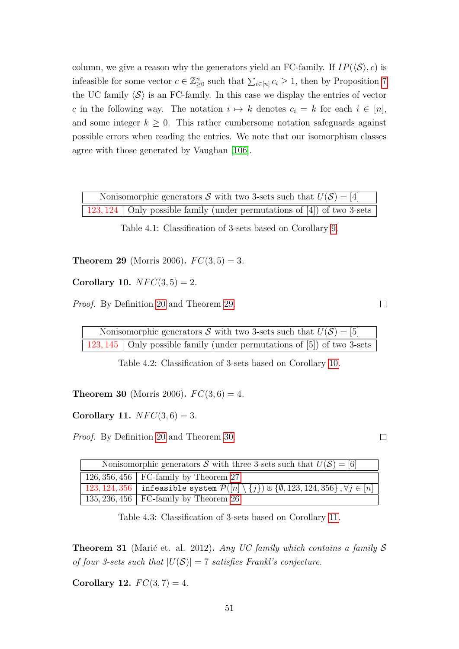column, we give a reason why the generators yield an FC-family. If  $IP(\langle \mathcal{S} \rangle, c)$  is infeasible for some vector  $c \in \mathbb{Z}_{\geq 0}^n$  such that  $\sum_{i \in [n]} c_i \geq 1$ , then by Proposition [7](#page-39-0) the UC family  $\langle S \rangle$  is an FC-family. In this case we display the entries of vector *c* in the following way. The notation  $i \mapsto k$  denotes  $c_i = k$  for each  $i \in [n]$ , and some integer  $k \geq 0$ . This rather cumbersome notation safeguards against possible errors when reading the entries. We note that our isomorphism classes agree with those generated by Vaughan [\[106\]](#page-85-1).

| Nonisomorphic generators S with two 3-sets such that $U(\mathcal{S}) = [4]$ |  |  |  |  |  |  |  |  |  |  |  |
|-----------------------------------------------------------------------------|--|--|--|--|--|--|--|--|--|--|--|
| $123,124$ Only possible family (under permutations of [4]) of two 3-sets    |  |  |  |  |  |  |  |  |  |  |  |

Table 4.1: Classification of 3-sets based on Corollary [9.](#page-57-2)

<span id="page-58-0"></span>**Theorem 29** (Morris 2006).  $FC(3, 5) = 3$ .

<span id="page-58-1"></span>**Corollary 10.**  $NFC(3, 5) = 2$ .

*Proof.* By Definition [20](#page-57-0) and Theorem [29.](#page-58-0)

Nonisomorphic generators S with two 3-sets such that  $U(S) = [5]$ 123, 145 | Only possible family (under permutations of [5]) of two 3-sets

Table 4.2: Classification of 3-sets based on Corollary [10.](#page-58-1)

<span id="page-58-2"></span>**Theorem 30** (Morris 2006).  $FC(3, 6) = 4$ .

<span id="page-58-3"></span>**Corollary 11.**  $NFC(3, 6) = 3$ .

*Proof.* By Definition [20](#page-57-0) and Theorem [30.](#page-58-2)

| Nonisomorphic generators S with three 3-sets such that $U(\mathcal{S}) = [6]$ |                                                                                                                       |  |  |  |  |  |  |  |  |  |  |  |
|-------------------------------------------------------------------------------|-----------------------------------------------------------------------------------------------------------------------|--|--|--|--|--|--|--|--|--|--|--|
|                                                                               | 126, 356, 456   FC-family by Theorem 27                                                                               |  |  |  |  |  |  |  |  |  |  |  |
|                                                                               | 123, 124, 356   infeasible system $\mathcal{P}([n]\setminus\{j\})\uplus\{\emptyset,123,124,356\}$ , $\forall j\in[n]$ |  |  |  |  |  |  |  |  |  |  |  |
|                                                                               | 135, 236, 456   FC-family by Theorem 26                                                                               |  |  |  |  |  |  |  |  |  |  |  |

<span id="page-58-6"></span>Table 4.3: Classification of 3-sets based on Corollary [11.](#page-58-3)

<span id="page-58-4"></span>**Theorem 31** (Marić et. al. 2012)**.** *Any UC family which contains a family* S *of four 3-sets such that*  $|U(S)| = 7$  *satisfies Frankl's conjecture.* 

<span id="page-58-5"></span>**Corollary 12.**  $FC(3, 7) = 4$ .

 $\Box$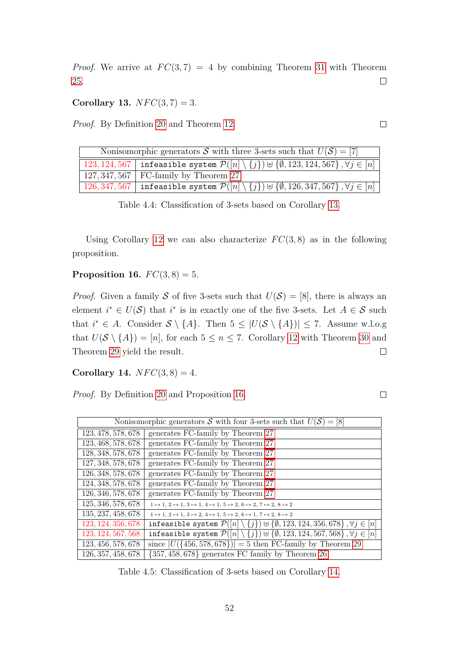*Proof.* We arrive at  $FC(3, 7) = 4$  by combining Theorem [31](#page-58-4) with Theorem [25.](#page-56-1)  $\Box$ 

<span id="page-59-0"></span>**Corollary 13.**  $NFC(3, 7) = 3$ .

*Proof.* By Definition [20](#page-57-0) and Theorem [12.](#page-58-5)

| Nonisomorphic generators S with three 3-sets such that $U(S) = [7]$                                                                        |                                                                                                                                         |  |  |  |  |  |  |  |  |  |  |  |
|--------------------------------------------------------------------------------------------------------------------------------------------|-----------------------------------------------------------------------------------------------------------------------------------------|--|--|--|--|--|--|--|--|--|--|--|
| $\lceil\,\,123,124,567\,\,\rceil$ infeasible system $\mathcal{P}([n]\setminus\{j\})$ $\uplus\{\emptyset,123,124,567\}$ , $\forall j\in[n]$ |                                                                                                                                         |  |  |  |  |  |  |  |  |  |  |  |
|                                                                                                                                            | 127, 347, 567   FC-family by Theorem 27                                                                                                 |  |  |  |  |  |  |  |  |  |  |  |
|                                                                                                                                            | $\mid$ 126,347,567 $\mid$ infeasible system $\mathcal{P}([n]\setminus\{j\})$ $\uplus\{\emptyset,126,347,567\}$ , $\forall j\in[n] \mid$ |  |  |  |  |  |  |  |  |  |  |  |

Table 4.4: Classification of 3-sets based on Corollary [13.](#page-59-0)

Using Corollary [12](#page-58-5) we can also characterize  $FC(3, 8)$  as in the following proposition.

<span id="page-59-1"></span>**Proposition 16.**  $FC(3, 8) = 5$ .

*Proof.* Given a family S of five 3-sets such that  $U(S) = [8]$ , there is always an element  $i^* \in U(\mathcal{S})$  that  $i^*$  is in exactly one of the five 3-sets. Let  $A \in \mathcal{S}$  such that  $i^* \in A$ . Consider  $S \setminus \{A\}$ . Then  $5 \leq |U(S \setminus \{A\})| \leq 7$ . Assume w.l.o.g that  $U(S \setminus \{A\}) = [n]$ , for each  $5 \le n \le 7$ . Corollary [12](#page-58-5) with Theorem [30](#page-58-2) and Theorem [29](#page-58-0) yield the result.  $\Box$ 

<span id="page-59-2"></span>**Corollary 14.**  $NFC(3, 8) = 4$ .

*Proof.* By Definition [20](#page-57-0) and Proposition [16.](#page-59-1)

 $\Box$ 

|                    | Nonisomorphic generators S with four 3-sets such that $U(\mathcal{S}) = [8]$                                   |
|--------------------|----------------------------------------------------------------------------------------------------------------|
| 123, 478, 578, 678 | generates FC-family by Theorem 27                                                                              |
| 123, 468, 578, 678 | generates FC-family by Theorem 27                                                                              |
| 128, 348, 578, 678 | generates FC-family by Theorem 27                                                                              |
| 127, 348, 578, 678 | generates FC-family by Theorem 27                                                                              |
| 126, 348, 578, 678 | generates FC-family by Theorem 27                                                                              |
| 124, 348, 578, 678 | generates FC-family by Theorem 27                                                                              |
| 126, 346, 578, 678 | generates FC-family by Theorem 27                                                                              |
| 125, 346, 578, 678 | $1 \mapsto 1, 2 \mapsto 1, 3 \mapsto 1, 4 \mapsto 1, 5 \mapsto 2, 6 \mapsto 2, 7 \mapsto 2, 8 \mapsto 2$       |
| 135, 237, 458, 678 | $1 \mapsto 1, 2 \mapsto 1, 3 \mapsto 2, 4 \mapsto 1, 5 \mapsto 2, 6 \mapsto 1, 7 \mapsto 2, 8 \mapsto 2$       |
| 123, 124, 356, 678 | infeasible system $\mathcal{P}([n] \setminus \{j\}) \cup \{\emptyset, 123, 124, 356, 678\}, \forall j \in [n]$ |
| 123, 124, 567, 568 | infeasible system $\mathcal{P}([n] \setminus \{j\}) \cup \{\emptyset, 123, 124, 567, 568\}, \forall j \in [n]$ |
| 123, 456, 578, 678 | since $ U({456,578,678}) =5$ then FC-family by Theorem 29                                                      |
| 126, 357, 458, 678 | $\{357, 458, 678\}$ generates FC family by Theorem 26                                                          |

<span id="page-59-3"></span>Table 4.5: Classification of 3-sets based on Corollary [14.](#page-59-2)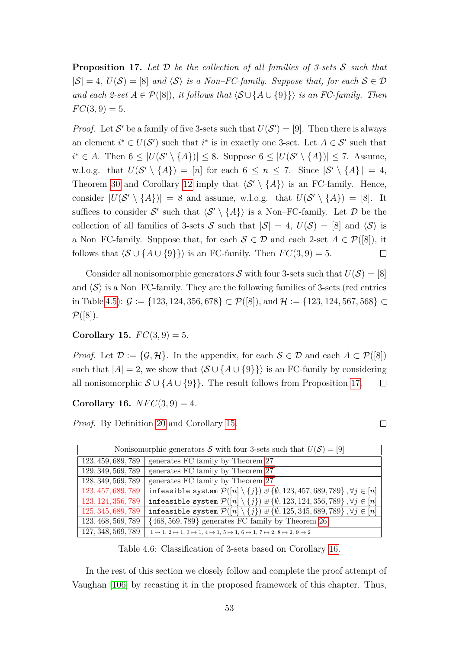<span id="page-60-0"></span>**Proposition 17.** *Let* D *be the collection of all families of 3-sets* S *such that*  $|S| = 4$ ,  $U(S) = [8]$  *and*  $\langle S \rangle$  *is a Non–FC-family. Suppose that, for each*  $S \in \mathcal{D}$ *and each 2-set*  $A \in \mathcal{P}([8])$ *, it follows that*  $\langle \mathcal{S} \cup \{A \cup \{9\}\}\rangle$  *is an FC-family. Then*  $FC(3,9) = 5.$ 

*Proof.* Let S' be a family of five 3-sets such that  $U(S') = [9]$ . Then there is always an element  $i^* \in U(S')$  such that  $i^*$  is in exactly one 3-set. Let  $A \in S'$  such that *i*<sup>\*</sup> ∈ *A*. Then  $6 \le |U(S' \setminus \{A\})| \le 8$ . Suppose  $6 \le |U(S' \setminus \{A\})| \le 7$ . Assume, w.l.o.g. that  $U(S' \setminus \{A\}) = [n]$  for each  $6 \leq n \leq 7$ . Since  $|S' \setminus \{A\}| = 4$ , Theorem [30](#page-58-2) and Corollary [12](#page-58-5) imply that  $\langle S' \setminus \{A\} \rangle$  is an FC-family. Hence, consider  $|U(S' \setminus \{A\})| = 8$  and assume, w.l.o.g. that  $U(S' \setminus \{A\}) = [8]$ . It suffices to consider S' such that  $\langle S' \setminus \{A\} \rangle$  is a Non–FC-family. Let D be the collection of all families of 3-sets S such that  $|S| = 4$ ,  $U(S) = |8|$  and  $\langle S \rangle$  is a Non–FC-family. Suppose that, for each  $S \in \mathcal{D}$  and each 2-set  $A \in \mathcal{P}([8])$ , it follows that  $\langle S \cup \{A \cup \{9\}\}\rangle$  is an FC-family. Then  $FC(3, 9) = 5$ .  $\Box$ 

Consider all nonisomorphic generators  $S$  with four 3-sets such that  $U(S) = [8]$ and  $\langle \mathcal{S} \rangle$  is a Non–FC-family. They are the following families of 3-sets (red entries in Table [4.5\)](#page-59-3):  $\mathcal{G} := \{123, 124, 356, 678\} \subset \mathcal{P}([8])$ , and  $\mathcal{H} := \{123, 124, 567, 568\} \subset$  $\mathcal{P}([8])$ .

<span id="page-60-1"></span>**Corollary 15.**  $FC(3, 9) = 5$ .

*Proof.* Let  $\mathcal{D} := \{\mathcal{G}, \mathcal{H}\}\$ . In the appendix, for each  $\mathcal{S} \in \mathcal{D}$  and each  $A \subset \mathcal{P}([8])$ such that  $|A| = 2$ , we show that  $\langle S \cup \{A \cup \{9\}\}\rangle$  is an FC-family by considering all nonisomorphic  $S \cup \{A \cup \{9\}\}\$ . The result follows from Proposition [17.](#page-60-0)  $\Box$ 

 $\Box$ 

<span id="page-60-2"></span>**Corollary 16.**  $NFC(3, 9) = 4$ .

*Proof.* By Definition [20](#page-57-0) and Corollary [15.](#page-60-1)

Nonisomorphic generators S with four 3-sets such that  $U(\mathcal{S}) = [9]$ *,* 459*,* 689*,* 789 generates FC family by Theorem [27](#page-57-3) *,* 349*,* 569*,* 789 generates FC family by Theorem [27](#page-57-3) *,* 349*,* 569*,* 789 generates FC family by Theorem [27](#page-57-3) *,* 457*,* 689*,* 789 infeasible system P([*n*] \ {*j*}) ] {∅*,* 123*,* 457*,* 689*,* 789} *,* ∀*j* ∈ [*n*] 123, 124, 356, 789 | infeasible system  $P([n] \setminus \{j\}) \cup \{\emptyset, 123, 124, 356, 789\}, \forall j \in [n]$ *,* 345*,* 689*,* 789 infeasible system P([*n*] \ {*j*}) ] {∅*,* 125*,* 345*,* 689*,* 789} *,* ∀*j* ∈ [*n*] *,* 468*,* 569*,* 789 {468*,* 569*,* 789} generates FC family by Theorem [26](#page-57-4)  $127, 348, 569, 789$   $1 \rightarrow 1, 2 \rightarrow 1, 3 \rightarrow 1, 4 \rightarrow 1, 5 \rightarrow 1, 6 \rightarrow 1, 7 \rightarrow 2, 8 \rightarrow 2, 9 \rightarrow 2$ 

<span id="page-60-3"></span>Table 4.6: Classification of 3-sets based on Corollary [16.](#page-60-2)

In the rest of this section we closely follow and complete the proof attempt of Vaughan [\[106\]](#page-85-1) by recasting it in the proposed framework of this chapter. Thus,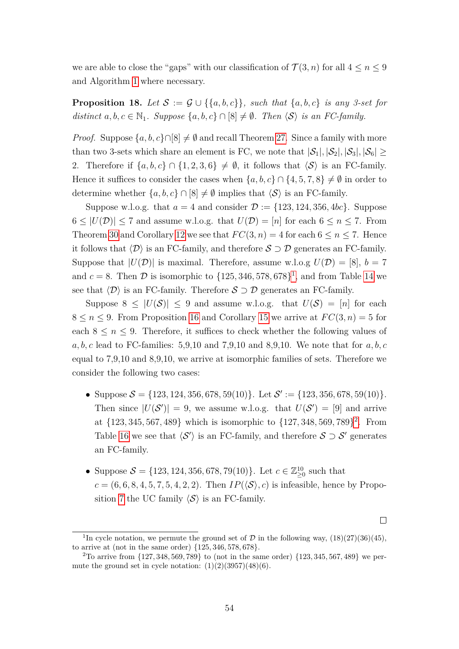we are able to close the "gaps" with our classification of  $\mathcal{T}(3,n)$  for all  $4 \leq n \leq 9$ and Algorithm [1](#page-43-0) where necessary.

### <span id="page-61-2"></span>**Proposition 18.** Let  $S := \mathcal{G} \cup \{\{a, b, c\}\}\$ , such that  $\{a, b, c\}$  is any 3-set for *distinct*  $a, b, c \in \mathbb{N}_1$ *. Suppose*  $\{a, b, c\} \cap [8] \neq \emptyset$ *. Then*  $\langle \mathcal{S} \rangle$  *is an FC-family.*

*Proof.* Suppose  $\{a, b, c\} \cap [8] \neq \emptyset$  and recall Theorem [27.](#page-57-3) Since a family with more than two 3-sets which share an element is FC, we note that  $|\mathcal{S}_1|, |\mathcal{S}_2|, |\mathcal{S}_3|, |\mathcal{S}_6| \ge$ 2. Therefore if  $\{a, b, c\} \cap \{1, 2, 3, 6\} \neq \emptyset$ , it follows that  $\langle \mathcal{S} \rangle$  is an FC-family. Hence it suffices to consider the cases when  $\{a, b, c\} \cap \{4, 5, 7, 8\} \neq \emptyset$  in order to determine whether  $\{a, b, c\} \cap [8] \neq \emptyset$  implies that  $\langle S \rangle$  is an FC-family.

Suppose w.l.o.g. that  $a = 4$  and consider  $\mathcal{D} := \{123, 124, 356, 4bc\}$ . Suppose  $6 \leq |U(\mathcal{D})| \leq 7$  and assume w.l.o.g. that  $U(\mathcal{D}) = [n]$  for each  $6 \leq n \leq 7$ . From Theorem [30](#page-58-2) and Corollary [12](#page-58-5) we see that  $FC(3, n) = 4$  for each  $6 \le n \le 7$ . Hence it follows that  $\langle \mathcal{D} \rangle$  is an FC-family, and therefore  $S \supset \mathcal{D}$  generates an FC-family. Suppose that  $|U(\mathcal{D})|$  is maximal. Therefore, assume w.l.o.g  $U(\mathcal{D}) = [8], b = 7$ and  $c = 8$ . Then  $\mathcal{D}$  is isomorphic to  $\{125, 346, 578, 678\}^1$  $\{125, 346, 578, 678\}^1$  $\{125, 346, 578, 678\}^1$ , and from Table [14](#page-59-2) we see that  $\langle \mathcal{D} \rangle$  is an FC-family. Therefore  $S \supset \mathcal{D}$  generates an FC-family.

Suppose  $8 \leq |U(S)| \leq 9$  and assume w.l.o.g. that  $U(S) = [n]$  for each  $8 \le n \le 9$ . From Proposition [16](#page-59-1) and Corollary [15](#page-60-1) we arrive at  $FC(3, n) = 5$  for each  $8 \leq n \leq 9$ . Therefore, it suffices to check whether the following values of *a, b, c* lead to FC-families: 5,9,10 and 7,9,10 and 8,9,10. We note that for *a, b, c* equal to 7,9,10 and 8,9,10, we arrive at isomorphic families of sets. Therefore we consider the following two cases:

- Suppose  $S = \{123, 124, 356, 678, 59(10)\}$ . Let  $S' := \{123, 356, 678, 59(10)\}$ . Then since  $|U(S')| = 9$ , we assume w.l.o.g. that  $U(S') = [9]$  and arrive at {123*,* 345*,* 567*,* 489} which is isomorphic to {127*,* 348*,* 569*,* 789} [2](#page-61-1) . From Table [16](#page-60-2) we see that  $\langle S' \rangle$  is an FC-family, and therefore  $S \supset S'$  generates an FC-family.
- Suppose  $S = \{123, 124, 356, 678, 79(10)\}\.$  Let  $c \in \mathbb{Z}_{\geq 0}^{10}$  such that  $c = (6, 6, 8, 4, 5, 7, 5, 4, 2, 2)$ . Then  $IP(\langle \mathcal{S} \rangle, c)$  is infeasible, hence by Propo-sition [7](#page-39-0) the UC family  $\langle S \rangle$  is an FC-family.

<span id="page-61-0"></span><sup>&</sup>lt;sup>1</sup>In cycle notation, we permute the ground set of  $\mathcal D$  in the following way,  $(18)(27)(36)(45)$ , to arrive at (not in the same order) {125*,* 346*,* 578*,* 678}.

<span id="page-61-1"></span><sup>2</sup>To arrive from {127*,* 348*,* 569*,* 789} to (not in the same order) {123*,* 345*,* 567*,* 489} we permute the ground set in cycle notation:  $(1)(2)(3957)(48)(6)$ .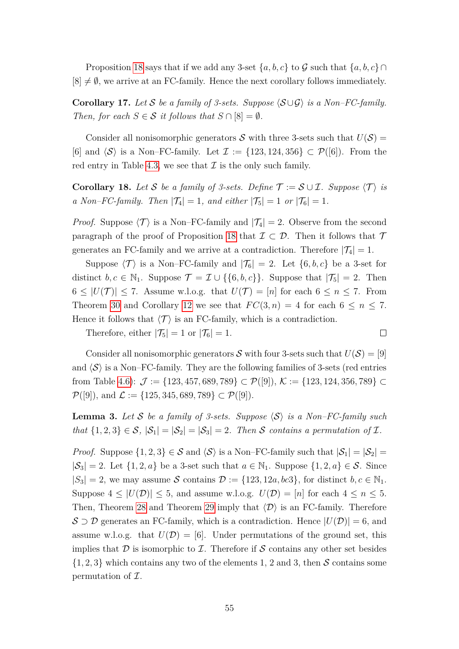Proposition [18](#page-61-2) says that if we add any 3-set  $\{a, b, c\}$  to G such that  $\{a, b, c\}$  $[8] \neq \emptyset$ , we arrive at an FC-family. Hence the next corollary follows immediately.

<span id="page-62-2"></span>**Corollary 17.** *Let* S *be a family of 3-sets. Suppose*  $\langle S \cup \mathcal{G} \rangle$  *is a Non–FC-family. Then, for each*  $S \in \mathcal{S}$  *it follows that*  $S \cap [8] = \emptyset$ *.* 

Consider all nonisomorphic generators S with three 3-sets such that  $U(\mathcal{S}) =$ [6] and  $\langle \mathcal{S} \rangle$  is a Non–FC-family. Let  $\mathcal{I} := \{123, 124, 356\} \subset \mathcal{P}([6])$ . From the red entry in Table [4.3,](#page-58-6) we see that  $\mathcal I$  is the only such family.

<span id="page-62-1"></span>**Corollary 18.** Let S be a family of 3-sets. Define  $\mathcal{T} := \mathcal{S} \cup \mathcal{I}$ . Suppose  $\langle \mathcal{T} \rangle$  is *a* Non–FC-family. Then  $|\mathcal{T}_4| = 1$ , and either  $|\mathcal{T}_5| = 1$  or  $|\mathcal{T}_6| = 1$ .

*Proof.* Suppose  $\langle T \rangle$  is a Non–FC-family and  $|T_4| = 2$ . Observe from the second paragraph of the proof of Proposition [18](#page-61-2) that  $\mathcal{I} \subset \mathcal{D}$ . Then it follows that  $\mathcal{T}$ generates an FC-family and we arrive at a contradiction. Therefore  $|\mathcal{T}_4| = 1$ .

Suppose  $\langle \mathcal{T} \rangle$  is a Non–FC-family and  $|\mathcal{T}_6| = 2$ . Let  $\{6, b, c\}$  be a 3-set for distinct  $b, c \in \mathbb{N}_1$ . Suppose  $\mathcal{T} = \mathcal{I} \cup \{\{6, b, c\}\}\$ . Suppose that  $|\mathcal{T}_5| = 2$ . Then  $6 \leq |U(\mathcal{T})| \leq 7$ . Assume w.l.o.g. that  $U(\mathcal{T}) = [n]$  for each  $6 \leq n \leq 7$ . From Theorem [30](#page-58-2) and Corollary [12](#page-58-5) we see that  $FC(3, n) = 4$  for each  $6 \leq n \leq 7$ . Hence it follows that  $\langle \mathcal{T} \rangle$  is an FC-family, which is a contradiction.

Therefore, either  $|\mathcal{T}_5| = 1$  or  $|\mathcal{T}_6| = 1$ .

$$
\qquad \qquad \Box
$$

Consider all nonisomorphic generators  $S$  with four 3-sets such that  $U(S) = [9]$ and  $\langle \mathcal{S} \rangle$  is a Non–FC-family. They are the following families of 3-sets (red entries from Table [4.6\)](#page-60-3):  $\mathcal{J} := \{123, 457, 689, 789\} \subset \mathcal{P}([9]),$   $\mathcal{K} := \{123, 124, 356, 789\} \subset$  $\mathcal{P}([9])$ , and  $\mathcal{L} := \{125, 345, 689, 789\} \subset \mathcal{P}([9])$ .

<span id="page-62-0"></span>**Lemma 3.** Let S be a family of 3-sets. Suppose  $\langle S \rangle$  is a Non–FC-family such *that*  $\{1,2,3\} \in S$ ,  $|S_1| = |S_2| = |S_3| = 2$ . Then S contains a permutation of I.

*Proof.* Suppose  $\{1, 2, 3\} \in S$  and  $\langle S \rangle$  is a Non–FC-family such that  $|S_1| = |S_2|$  $|\mathcal{S}_3| = 2$ . Let  $\{1, 2, a\}$  be a 3-set such that  $a \in \mathbb{N}_1$ . Suppose  $\{1, 2, a\} \in \mathcal{S}$ . Since  $|S_3| = 2$ , we may assume S contains  $\mathcal{D} := \{123, 12a, bc3\}$ , for distinct  $b, c \in \mathbb{N}_1$ . Suppose  $4 \leq |U(\mathcal{D})| \leq 5$ , and assume w.l.o.g.  $U(\mathcal{D}) = [n]$  for each  $4 \leq n \leq 5$ . Then, Theorem [28](#page-57-1) and Theorem [29](#page-58-0) imply that  $\langle \mathcal{D} \rangle$  is an FC-family. Therefore  $\mathcal{S} \supset \mathcal{D}$  generates an FC-family, which is a contradiction. Hence  $|U(\mathcal{D})| = 6$ , and assume w.l.o.g. that  $U(\mathcal{D}) = [6]$ . Under permutations of the ground set, this implies that  $\mathcal D$  is isomorphic to  $\mathcal I$ . Therefore if S contains any other set besides  $\{1, 2, 3\}$  which contains any two of the elements 1, 2 and 3, then S contains some permutation of  $\mathcal{I}.$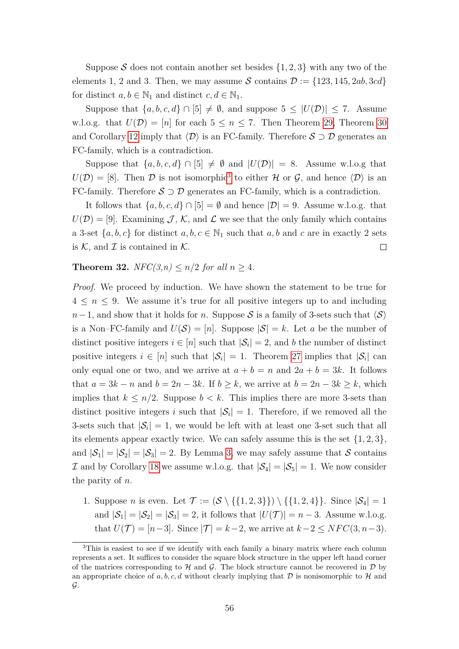Suppose S does not contain another set besides  $\{1, 2, 3\}$  with any two of the elements 1, 2 and 3. Then, we may assume  $S$  contains  $D := \{123, 145, 2ab, 3cd\}$ for distinct  $a, b \in \mathbb{N}_1$  and distinct  $c, d \in \mathbb{N}_1$ .

Suppose that  $\{a, b, c, d\} \cap [5] \neq \emptyset$ , and suppose  $5 \leq |U(\mathcal{D})| \leq 7$ . Assume w.l.o.g. that  $U(\mathcal{D}) = [n]$  for each  $5 \leq n \leq 7$ . Then Theorem [29,](#page-58-0) Theorem [30](#page-58-2) and Corollary [12](#page-58-5) imply that  $\langle \mathcal{D} \rangle$  is an FC-family. Therefore  $\mathcal{S} \supset \mathcal{D}$  generates an FC-family, which is a contradiction.

Suppose that  $\{a, b, c, d\} \cap [5] \neq \emptyset$  and  $|U(\mathcal{D})| = 8$ . Assume w.l.o.g that  $U(\mathcal{D}) = [8]$ . Then  $\mathcal D$  is not isomorphic<sup>[3](#page-63-1)</sup> to either  $\mathcal H$  or  $\mathcal G$ , and hence  $\langle \mathcal D \rangle$  is an FC-family. Therefore  $S \supset \mathcal{D}$  generates an FC-family, which is a contradiction.

It follows that  $\{a, b, c, d\} \cap [5] = \emptyset$  and hence  $|\mathcal{D}| = 9$ . Assume w.l.o.g. that  $U(\mathcal{D}) = [9]$ . Examining  $\mathcal{J}, \mathcal{K}$ , and  $\mathcal{L}$  we see that the only family which contains a 3-set  $\{a, b, c\}$  for distinct  $a, b, c \in \mathbb{N}_1$  such that  $a, b$  and  $c$  are in exactly 2 sets is  $K$ , and  $\mathcal I$  is contained in  $\mathcal K$ .  $\Box$ 

<span id="page-63-0"></span>**Theorem 32.** *NFC*(3,*n*)  $\leq n/2$  *for all*  $n > 4$ *.* 

*Proof.* We proceed by induction. We have shown the statement to be true for  $4 \leq n \leq 9$ . We assume it's true for all positive integers up to and including *n*−1, and show that it holds for *n*. Suppose S is a family of 3-sets such that  $\langle S \rangle$ is a Non–FC-family and  $U(\mathcal{S}) = [n]$ . Suppose  $|\mathcal{S}| = k$ . Let *a* be the number of distinct positive integers  $i \in [n]$  such that  $|\mathcal{S}_i| = 2$ , and *b* the number of distinct positive integers  $i \in [n]$  such that  $|\mathcal{S}_i| = 1$ . Theorem [27](#page-57-3) implies that  $|\mathcal{S}_i|$  can only equal one or two, and we arrive at  $a + b = n$  and  $2a + b = 3k$ . It follows that  $a = 3k - n$  and  $b = 2n - 3k$ . If  $b \ge k$ , we arrive at  $b = 2n - 3k \ge k$ , which implies that  $k \leq n/2$ . Suppose  $b < k$ . This implies there are more 3-sets than distinct positive integers *i* such that  $|\mathcal{S}_i| = 1$ . Therefore, if we removed all the 3-sets such that  $|S_i| = 1$ , we would be left with at least one 3-set such that all its elements appear exactly twice. We can safely assume this is the set  $\{1, 2, 3\}$ , and  $|\mathcal{S}_1| = |\mathcal{S}_2| = |\mathcal{S}_3| = 2$ . By Lemma [3,](#page-62-0) we may safely assume that S contains I and by Corollary [18](#page-62-1) we assume w.l.o.g. that  $|\mathcal{S}_4| = |\mathcal{S}_5| = 1$ . We now consider the parity of *n*.

1. Suppose *n* is even. Let  $\mathcal{T} := (\mathcal{S} \setminus \{\{1,2,3\}\}) \setminus \{\{1,2,4\}\}\)$ . Since  $|\mathcal{S}_4| = 1$ and  $|\mathcal{S}_1| = |\mathcal{S}_2| = |\mathcal{S}_3| = 2$ , it follows that  $|U(\mathcal{T})| = n - 3$ . Assume w.l.o.g. that  $U(T) = [n-3]$ . Since  $|T| = k-2$ , we arrive at  $k-2 \leq NFC(3, n-3)$ .

<span id="page-63-1"></span><sup>&</sup>lt;sup>3</sup>This is easiest to see if we identify with each family a binary matrix where each column represents a set. It suffices to consider the square block structure in the upper left hand corner of the matrices corresponding to  $H$  and  $G$ . The block structure cannot be recovered in  $D$  by an appropriate choice of a, b, c, d without clearly implying that  $\mathcal D$  is nonisomorphic to  $\mathcal H$  and  $\mathcal{G}.$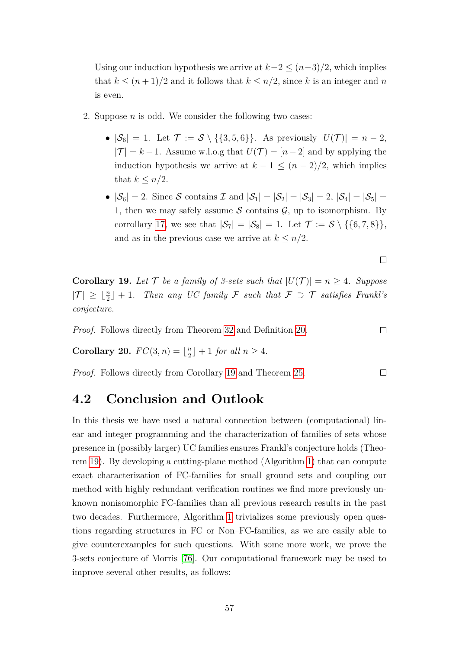Using our induction hypothesis we arrive at  $k-2 \leq (n-3)/2$ , which implies that  $k \leq (n+1)/2$  and it follows that  $k \leq n/2$ , since k is an integer and *n* is even.

- 2. Suppose *n* is odd. We consider the following two cases:
	- $|\mathcal{S}_6| = 1$ . Let  $\mathcal{T} := \mathcal{S} \setminus \{\{3,5,6\}\}\$ . As previously  $|U(\mathcal{T})| = n 2$ ,  $|\mathcal{T}| = k - 1$ . Assume w.l.o.g that  $U(\mathcal{T}) = [n-2]$  and by applying the induction hypothesis we arrive at  $k - 1 \leq (n - 2)/2$ , which implies that  $k \leq n/2$ .
	- $|\mathcal{S}_6| = 2$ . Since S contains I and  $|\mathcal{S}_1| = |\mathcal{S}_2| = |\mathcal{S}_3| = 2$ ,  $|\mathcal{S}_4| = |\mathcal{S}_5| =$ 1, then we may safely assume  $S$  contains  $\mathcal{G}$ , up to isomorphism. By corrollary [17,](#page-62-2) we see that  $|\mathcal{S}_7| = |\mathcal{S}_8| = 1$ . Let  $\mathcal{T} := \mathcal{S} \setminus \{\{6, 7, 8\}\}\$ , and as in the previous case we arrive at  $k \leq n/2$ .

 $\Box$ 

 $\Box$ 

 $\Box$ 

<span id="page-64-0"></span>**Corollary 19.** Let  $\mathcal{T}$  be a family of 3-sets such that  $|U(\mathcal{T})| = n \geq 4$ . Suppose  $|\mathcal{T}| \geq \lfloor \frac{n}{2} \rfloor + 1$ . Then any UC family F such that  $\mathcal{F} \supset \mathcal{T}$  satisfies Frankl's *conjecture.*

*Proof.* Follows directly from Theorem [32](#page-63-0) and Definition [20.](#page-57-0)

**Corollary 20.**  $FC(3, n) = \lfloor \frac{n}{2} \rfloor$  $\lfloor \frac{n}{2} \rfloor + 1$  *for all*  $n \geq 4$ *.* 

*Proof.* Follows directly from Corollary [19](#page-64-0) and Theorem [25.](#page-56-1)

### **4.2 Conclusion and Outlook**

In this thesis we have used a natural connection between (computational) linear and integer programming and the characterization of families of sets whose presence in (possibly larger) UC families ensures Frankl's conjecture holds (Theorem [19\)](#page-35-1). By developing a cutting-plane method (Algorithm [1\)](#page-43-0) that can compute exact characterization of FC-families for small ground sets and coupling our method with highly redundant verification routines we find more previously unknown nonisomorphic FC-families than all previous research results in the past two decades. Furthermore, Algorithm [1](#page-43-0) trivializes some previously open questions regarding structures in FC or Non–FC-families, as we are easily able to give counterexamples for such questions. With some more work, we prove the 3-sets conjecture of Morris [\[76\]](#page-83-0). Our computational framework may be used to improve several other results, as follows: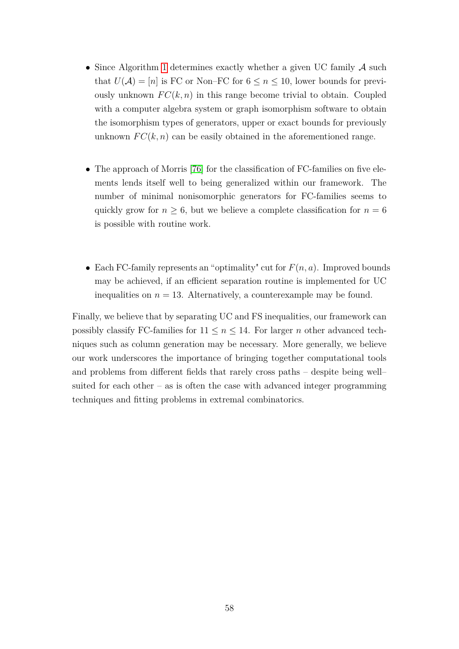- Since Algorithm [1](#page-43-0) determines exactly whether a given UC family A such that  $U(\mathcal{A}) = [n]$  is FC or Non–FC for  $6 \leq n \leq 10$ , lower bounds for previously unknown  $FC(k, n)$  in this range become trivial to obtain. Coupled with a computer algebra system or graph isomorphism software to obtain the isomorphism types of generators, upper or exact bounds for previously unknown  $FC(k, n)$  can be easily obtained in the aforementioned range.
- The approach of Morris [\[76\]](#page-83-0) for the classification of FC-families on five elements lends itself well to being generalized within our framework. The number of minimal nonisomorphic generators for FC-families seems to quickly grow for  $n \geq 6$ , but we believe a complete classification for  $n = 6$ is possible with routine work.
- Each FC-family represents an "optimality" cut for  $F(n, a)$ . Improved bounds may be achieved, if an efficient separation routine is implemented for UC inequalities on  $n = 13$ . Alternatively, a counterexample may be found.

Finally, we believe that by separating UC and FS inequalities, our framework can possibly classify FC-families for  $11 \le n \le 14$ . For larger *n* other advanced techniques such as column generation may be necessary. More generally, we believe our work underscores the importance of bringing together computational tools and problems from different fields that rarely cross paths – despite being well– suited for each other – as is often the case with advanced integer programming techniques and fitting problems in extremal combinatorics.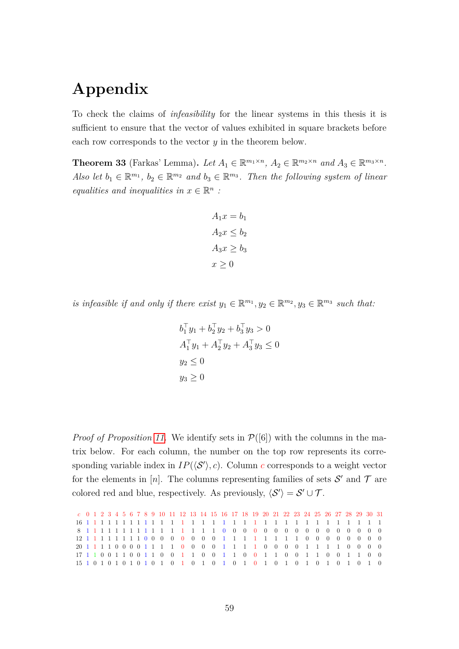# **Appendix**

To check the claims of *infeasibility* for the linear systems in this thesis it is sufficient to ensure that the vector of values exhibited in square brackets before each row corresponds to the vector *y* in the theorem below.

**Theorem 33** (Farkas' Lemma). Let  $A_1 \in \mathbb{R}^{m_1 \times n}$ ,  $A_2 \in \mathbb{R}^{m_2 \times n}$  and  $A_3 \in \mathbb{R}^{m_3 \times n}$ . *Also let*  $b_1 \in \mathbb{R}^{m_1}$ ,  $b_2 \in \mathbb{R}^{m_2}$  and  $b_3 \in \mathbb{R}^{m_3}$ . Then the following system of linear *equalities and inequalities in*  $x \in \mathbb{R}^n$ :

$$
A_1x = b_1
$$
  

$$
A_2x \le b_2
$$
  

$$
A_3x \ge b_3
$$
  

$$
x \ge 0
$$

*is infeasible if and only if there exist*  $y_1 \in \mathbb{R}^{m_1}, y_2 \in \mathbb{R}^{m_2}, y_3 \in \mathbb{R}^{m_3}$  *such that:* 

$$
b_1^{\top} y_1 + b_2^{\top} y_2 + b_3^{\top} y_3 > 0
$$
  
\n
$$
A_1^{\top} y_1 + A_2^{\top} y_2 + A_3^{\top} y_3 \le 0
$$
  
\n
$$
y_2 \le 0
$$
  
\n
$$
y_3 \ge 0
$$

*Proof of Proposition [11.](#page-49-2)* We identify sets in  $\mathcal{P}([6])$  with the columns in the matrix below. For each column, the number on the top row represents its corresponding variable index in  $IP(\langle S' \rangle, c)$ . Column *c* corresponds to a weight vector for the elements in [*n*]. The columns representing families of sets  $S'$  and  $T$  are colored red and blue, respectively. As previously,  $\langle S' \rangle = S' \cup \mathcal{T}$ .

*c* 0 1 2 3 4 5 6 7 8 9 10 11 12 13 14 15 16 17 18 19 20 21 22 23 24 25 26 27 28 29 30 31 1 1 1 1 1 1 1 1 1 1 1 1 1 1 1 1 1 1 1 1 1 1 1 1 1 1 1 1 1 1 1 1 1 1 1 1 1 1 1 1 1 1 1 1 1 1 1 1 0 0 0 0 0 0 0 0 0 0 0 0 0 0 0 0 1 1 1 1 1 1 1 1 0 0 0 0 0 0 0 0 1 1 1 1 1 1 1 1 0 0 0 0 0 0 0 0 1 1 1 1 0 0 0 0 1 1 1 1 0 0 0 0 1 1 1 1 0 0 0 0 1 1 1 1 0 0 0 0 1 1 0 0 1 1 0 0 1 1 0 0 1 1 0 0 1 1 0 0 1 1 0 0 1 1 0 0 1 1 0 0 1 0 1 0 1 0 1 0 1 0 1 0 1 0 1 0 1 0 1 0 1 0 1 0 1 0 1 0 1 0 1 0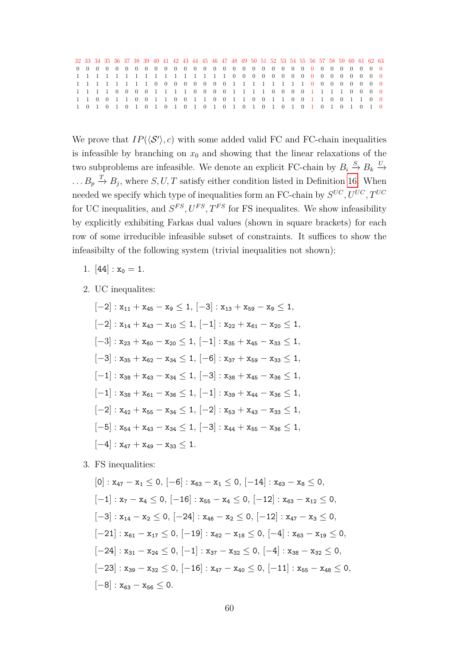|  |  |  |  | 32 33 34 35 36 37 38 39 40 41 42 43 44 45 46 47 48 49 50 51 52 53 54 55 56 57 58 59 60 61 62 63 |  |  |  |  |  |  |  |  |  |  |  |
|--|--|--|--|-------------------------------------------------------------------------------------------------|--|--|--|--|--|--|--|--|--|--|--|
|  |  |  |  |                                                                                                 |  |  |  |  |  |  |  |  |  |  |  |
|  |  |  |  |                                                                                                 |  |  |  |  |  |  |  |  |  |  |  |
|  |  |  |  |                                                                                                 |  |  |  |  |  |  |  |  |  |  |  |
|  |  |  |  |                                                                                                 |  |  |  |  |  |  |  |  |  |  |  |
|  |  |  |  | 1 1 0 0 1 1 0 0 1 1 0 0 1 1 0 0 1 1 0 0 1 1 0 0 1 1 0 0 1 1 0 0                                 |  |  |  |  |  |  |  |  |  |  |  |
|  |  |  |  |                                                                                                 |  |  |  |  |  |  |  |  |  |  |  |

We prove that  $IP(\langle S' \rangle, c)$  with some added valid FC and FC-chain inequalities is infeasible by branching on  $x_0$  and showing that the linear relaxations of the two subproblems are infeasible. We denote an explicit FC-chain by  $B_i \stackrel{S}{\to} B_k \stackrel{U}{\to}$  $\ldots B_p \stackrel{T}{\rightarrow} B_j$ , where *S*, *U*, *T* satisfy either condition listed in Definition [16.](#page-45-0) When needed we specify which type of inequalities form an FC-chain by  $S^{UC}, U^{UC}, T^{UC}$ for UC inequalities, and  $S^{FS}$ ,  $U^{FS}$ ,  $T^{FS}$  for FS inequalites. We show infeasibility by explicitly exhibiting Farkas dual values (shown in square brackets) for each row of some irreducible infeasible subset of constraints. It suffices to show the infeasibilty of the following system (trivial inequalities not shown):

- 1. [44] :  $x_0 = 1$ .
- 2. UC inequalites:

$$
[-2]: x_{11} + x_{45} - x_9 \le 1, [-3]: x_{13} + x_{59} - x_9 \le 1,
$$
  
\n
$$
[-2]: x_{14} + x_{43} - x_{10} \le 1, [-1]: x_{22} + x_{61} - x_{20} \le 1,
$$
  
\n
$$
[-3]: x_{23} + x_{60} - x_{20} \le 1, [-1]: x_{35} + x_{45} - x_{33} \le 1,
$$
  
\n
$$
[-3]: x_{35} + x_{62} - x_{34} \le 1, [-6]: x_{37} + x_{59} - x_{33} \le 1,
$$
  
\n
$$
[-1]: x_{38} + x_{43} - x_{34} \le 1, [-3]: x_{38} + x_{45} - x_{36} \le 1,
$$
  
\n
$$
[-1]: x_{38} + x_{61} - x_{36} \le 1, [-1]: x_{39} + x_{44} - x_{36} \le 1,
$$
  
\n
$$
[-2]: x_{42} + x_{55} - x_{34} \le 1, [-2]: x_{53} + x_{43} - x_{33} \le 1,
$$
  
\n
$$
[-5]: x_{54} + x_{43} - x_{34} \le 1, [-3]: x_{44} + x_{55} - x_{36} \le 1,
$$
  
\n
$$
[-4]: x_{47} + x_{49} - x_{33} \le 1.
$$

3. FS inequalities:

$$
\begin{aligned}[0]: x_{47} - x_1 &\leq 0,\, [-6]: x_{63} - x_1 &\leq 0,\, [-14]: x_{63} - x_8 &\leq 0, \\[-1]: x_7 - x_4 &\leq 0,\, [-16]: x_{55} - x_4 &\leq 0,\, [-12]: x_{63} - x_{12} &\leq 0, \\[-3]: x_{14} - x_2 &\leq 0,\, [-24]: x_{46} - x_2 &\leq 0,\, [-12]: x_{47} - x_3 &\leq 0, \\[-21]: x_{61} - x_{17} &\leq 0,\, [-19]: x_{62} - x_{18} &\leq 0,\, [-4]: x_{63} - x_{19} &\leq 0, \\[-24]: x_{31} - x_{24} &\leq 0,\, [-1]: x_{37} - x_{32} &\leq 0,\, [-4]: x_{38} - x_{32} &\leq 0, \\[-23]: x_{39} - x_{32} &\leq 0,\, [-16]: x_{47} - x_{40} &\leq 0,\, [-11]: x_{55} - x_{48} &\leq 0, \\[-8]: x_{63} - x_{56} &\leq 0.\end{aligned}
$$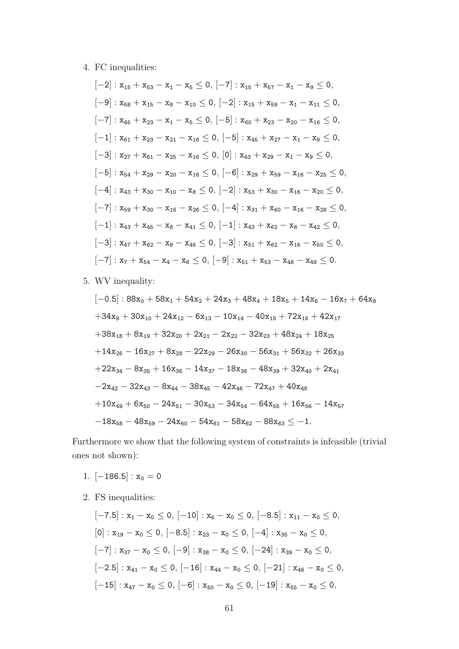#### 4. FC inequalities:

$$
[-2]: x_{15} + x_{53} - x_1 - x_5 \le 0, [-7]: x_{15} + x_{57} - x_1 - x_9 \le 0,
$$
  
\n
$$
[-9]: x_{58} + x_{15} - x_8 - x_{10} \le 0, [-2]: x_{15} + x_{59} - x_1 - x_{11} \le 0,
$$
  
\n
$$
[-7]: x_{45} + x_{23} - x_1 - x_5 \le 0, [-5]: x_{60} + x_{23} - x_{20} - x_{16} \le 0,
$$
  
\n
$$
[-1]: x_{61} + x_{23} - x_{21} - x_{16} \le 0, [-5]: x_{45} + x_{27} - x_1 - x_9 \le 0,
$$
  
\n
$$
[-3]: x_{27} + x_{61} - x_{25} - x_{16} \le 0, [0]: x_{43} + x_{29} - x_1 - x_9 \le 0,
$$
  
\n
$$
[-5]: x_{54} + x_{29} - x_{20} - x_{16} \le 0, [-6]: x_{29} + x_{59} - x_{16} - x_{25} \le 0,
$$
  
\n
$$
[-4]: x_{43} + x_{30} - x_{10} - x_8 \le 0, [-2]: x_{53} + x_{30} - x_{16} - x_{20} \le 0,
$$
  
\n
$$
[-7]: x_{59} + x_{30} - x_{16} - x_{26} \le 0, [-4]: x_{31} + x_{60} - x_{16} - x_{28} \le 0,
$$
  
\n
$$
[-1]: x_{43} + x_{45} - x_8 - x_{41} \le 0, [-1]: x_{43} + x_{62} - x_8 - x_{42} \le 0,
$$
  
\n
$$
[-3]: x_{47} + x_{62} - x_8 - x_{46} \le 0, [-3]: x_{51} + x_{62} - x_{16} - x_{50} \le 0,
$$
  
\n
$$
[-7]: x_7 + x_{54} - x_4 - x_6 \le 0, [-9]: x_{51} + x_{53} - x_{48} - x_{49} \le 0.
$$

5. WV inequality:

$$
[-0.5]: 88x_0 + 58x_1 + 54x_2 + 24x_3 + 48x_4 + 18x_5 + 14x_6 - 16x_7 + 64x_8
$$
  
+34x<sub>9</sub> + 30x<sub>10</sub> + 24x<sub>12</sub> - 6x<sub>13</sub> - 10x<sub>14</sub> - 40x<sub>15</sub> + 72x<sub>16</sub> + 42x<sub>17</sub>  
+38x<sub>18</sub> + 8x<sub>19</sub> + 32x<sub>20</sub> + 2x<sub>21</sub> - 2x<sub>22</sub> - 32x<sub>23</sub> + 48x<sub>24</sub> + 18x<sub>25</sub>  
+14x<sub>26</sub> - 16x<sub>27</sub> + 8x<sub>28</sub> - 22x<sub>29</sub> - 26x<sub>30</sub> - 56x<sub>31</sub> + 56x<sub>32</sub> + 26x<sub>33</sub>  
+22x<sub>34</sub> - 8x<sub>35</sub> + 16x<sub>36</sub> - 14x<sub>37</sub> - 18x<sub>38</sub> - 48x<sub>39</sub> + 32x<sub>40</sub> + 2x<sub>41</sub>  
-2x<sub>42</sub> - 32x<sub>43</sub> - 8x<sub>44</sub> - 38x<sub>45</sub> - 42x<sub>46</sub> - 72x<sub>47</sub> + 40x<sub>48</sub>  
+10x<sub>49</sub> + 6x<sub>50</sub> - 24x<sub>51</sub> - 30x<sub>53</sub> - 34x<sub>54</sub> - 64x<sub>55</sub> + 16x<sub>56</sub> - 14x<sub>57</sub>  
-18x<sub>58</sub> - 48x<sub>59</sub> - 24x<sub>60</sub> - 54x<sub>61</sub> - 58x<sub>62</sub> - 88x<sub>63</sub>  $\le$  -1.

Furthermore we show that the following system of constraints is infeasible (trivial ones not shown):

- 1.  $[-186.5]$  :  $x_0 = 0$
- 2. FS inequalities:

$$
\begin{aligned} &[-7.5]:\,x_1-x_0\leq 0,\,[-10]:\,x_6-x_0\leq 0,\,[-8.5]:\,x_{11}-x_0\leq 0,\\ &[0]:\,x_{19}-x_0\leq 0,\,[-8.5]:\,x_{23}-x_0\leq 0,\,[-4]:\,x_{35}-x_0\leq 0,\\ &[-7]:\,x_{37}-x_0\leq 0,\,[-9]:\,x_{38}-x_0\leq 0,\,[-24]:\,x_{39}-x_0\leq 0,\\ &[-2.5]:\,x_{41}-x_0\leq 0,\,[-16]:\,x_{44}-x_0\leq 0,\,[-21]:\,x_{46}-x_0\leq 0,\\ &[-15]:\,x_{47}-x_0\leq 0,\,[-6]:\,x_{50}-x_0\leq 0,\,[-19]:\,x_{55}-x_0\leq 0, \end{aligned}
$$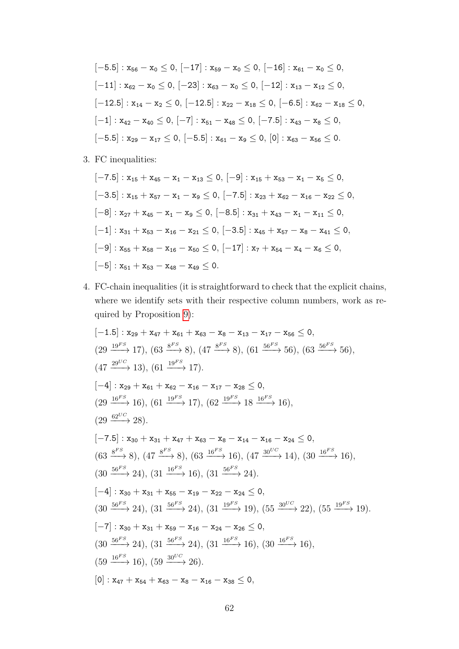$$
[-5.5]: x_{56} - x_0 \le 0, [-17]: x_{59} - x_0 \le 0, [-16]: x_{61} - x_0 \le 0,
$$
  
\n
$$
[-11]: x_{62} - x_0 \le 0, [-23]: x_{63} - x_0 \le 0, [-12]: x_{13} - x_{12} \le 0,
$$
  
\n
$$
[-12.5]: x_{14} - x_2 \le 0, [-12.5]: x_{22} - x_{18} \le 0, [-6.5]: x_{62} - x_{18} \le 0,
$$
  
\n
$$
[-1]: x_{42} - x_{40} \le 0, [-7]: x_{51} - x_{48} \le 0, [-7.5]: x_{43} - x_8 \le 0,
$$
  
\n
$$
[-5.5]: x_{29} - x_{17} \le 0, [-5.5]: x_{61} - x_9 \le 0, [0]: x_{63} - x_{56} \le 0.
$$

3. FC inequalities:

$$
[-7.5]: x_{15} + x_{45} - x_1 - x_{13} \le 0, [-9]: x_{15} + x_{53} - x_1 - x_5 \le 0,
$$
  
\n
$$
[-3.5]: x_{15} + x_{57} - x_1 - x_9 \le 0, [-7.5]: x_{23} + x_{62} - x_{16} - x_{22} \le 0,
$$
  
\n
$$
[-8]: x_{27} + x_{45} - x_1 - x_9 \le 0, [-8.5]: x_{31} + x_{43} - x_1 - x_{11} \le 0,
$$
  
\n
$$
[-1]: x_{31} + x_{53} - x_{16} - x_{21} \le 0, [-3.5]: x_{45} + x_{57} - x_8 - x_{41} \le 0,
$$
  
\n
$$
[-9]: x_{55} + x_{58} - x_{16} - x_{50} \le 0, [-17]: x_7 + x_{54} - x_4 - x_6 \le 0,
$$
  
\n
$$
[-5]: x_{51} + x_{53} - x_{48} - x_{49} \le 0.
$$

4. FC-chain inequalities (it is straightforward to check that the explicit chains, where we identify sets with their respective column numbers, work as required by Proposition [9\)](#page-46-1):

$$
[-1.5] : x_{29} + x_{47} + x_{61} + x_{63} - x_8 - x_{13} - x_{17} - x_{56} \le 0,
$$
\n
$$
(29 \xrightarrow{19^{FS}} 17), (63 \xrightarrow{8^{FS}} 8), (47 \xrightarrow{8^{FS}} 8), (61 \xrightarrow{5^{6^{FS}}} 56), (63 \xrightarrow{56^{FS}} 56),
$$
\n
$$
(47 \xrightarrow{29^{UC}} 13), (61 \xrightarrow{19^{FS}} 17).
$$
\n
$$
[-4] : x_{29} + x_{61} + x_{62} - x_{16} - x_{17} - x_{28} \le 0,
$$
\n
$$
(29 \xrightarrow{16^{FS}} 16), (61 \xrightarrow{19^{FS}} 17), (62 \xrightarrow{19^{FS}} 18 \xrightarrow{16^{FS}} 16),
$$
\n
$$
(29 \xrightarrow{62^{UC}} 28).
$$
\n
$$
[-7.5] : x_{30} + x_{31} + x_{47} + x_{63} - x_8 - x_{14} - x_{16} - x_{24} \le 0,
$$
\n
$$
(63 \xrightarrow{8^{FS}} 8), (47 \xrightarrow{8^{FS}} 8), (63 \xrightarrow{16^{FS}} 16), (47 \xrightarrow{30^{UC}} 14), (30 \xrightarrow{16^{FS}} 16),
$$
\n
$$
(30 \xrightarrow{56^{FS}} 24), (31 \xrightarrow{16^{FS}} 16), (31 \xrightarrow{56^{FS}} 24).
$$
\n
$$
[-4] : x_{30} + x_{31} + x_{55} - x_{19} - x_{22} - x_{24} \le 0,
$$
\n
$$
(30 \xrightarrow{56^{FS}} 24), (31 \xrightarrow{56^{FS}} 24), (31 \xrightarrow{19^{FS}} 19), (55 \xrightarrow{30^{UC}} 22), (55 \xrightarrow{19^{FS}} 19).
$$
\n
$$
[-7] : x_{30} + x_{31} + x_{59} - x_{16} - x_{24} - x_{26} \le 0,
$$
\n
$$
(30 \xrightarrow{56^{FS}} 24), (31 \xrightarrow{
$$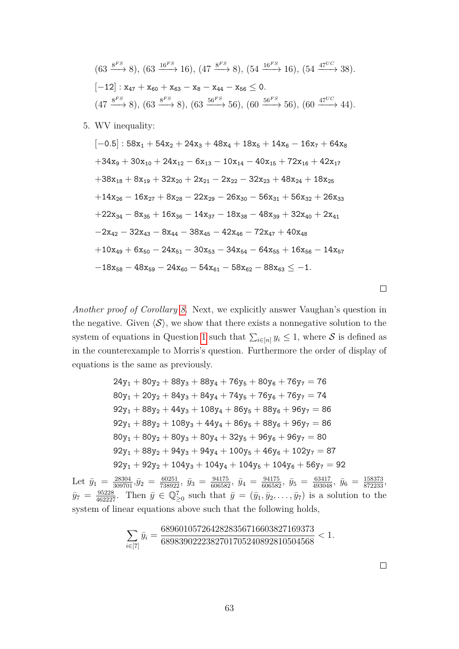$$
(63 \xrightarrow{8^{FS}} 8), (63 \xrightarrow{16^{FS}} 16), (47 \xrightarrow{8^{FS}} 8), (54 \xrightarrow{16^{FS}} 16), (54 \xrightarrow{47^{UC}} 38).
$$
  
\n[-12] :  $\mathbf{x}_{47} + \mathbf{x}_{60} + \mathbf{x}_{63} - \mathbf{x}_{8} - \mathbf{x}_{44} - \mathbf{x}_{56} \le 0.$   
\n $(47 \xrightarrow{8^{FS}} 8), (63 \xrightarrow{8^{FS}} 8), (63 \xrightarrow{56^{FS}} 56), (60 \xrightarrow{56^{FS}} 56), (60 \xrightarrow{47^{UC}} 44).$ 

5. WV inequality:

$$
[-0.5]: 58x_1 + 54x_2 + 24x_3 + 48x_4 + 18x_5 + 14x_6 - 16x_7 + 64x_8
$$
  
\n
$$
+34x_9 + 30x_{10} + 24x_{12} - 6x_{13} - 10x_{14} - 40x_{15} + 72x_{16} + 42x_{17}
$$
  
\n
$$
+38x_{18} + 8x_{19} + 32x_{20} + 2x_{21} - 2x_{22} - 32x_{23} + 48x_{24} + 18x_{25}
$$
  
\n
$$
+14x_{26} - 16x_{27} + 8x_{28} - 22x_{29} - 26x_{30} - 56x_{31} + 56x_{32} + 26x_{33}
$$
  
\n
$$
+22x_{34} - 8x_{35} + 16x_{36} - 14x_{37} - 18x_{38} - 48x_{39} + 32x_{40} + 2x_{41}
$$
  
\n
$$
-2x_{42} - 32x_{43} - 8x_{44} - 38x_{45} - 42x_{46} - 72x_{47} + 40x_{48}
$$
  
\n
$$
+10x_{49} + 6x_{50} - 24x_{51} - 30x_{53} - 34x_{54} - 64x_{55} + 16x_{56} - 14x_{57}
$$
  
\n
$$
-18x_{58} - 48x_{59} - 24x_{60} - 54x_{61} - 58x_{62} - 88x_{63} \le -1.
$$

*Another proof of Corollary [8.](#page-54-0)* Next, we explicitly answer Vaughan's question in the negative. Given  $\langle \mathcal{S} \rangle$ , we show that there exists a nonnegative solution to the system of equations in Question [1](#page-50-1) such that  $\sum_{i\in[n]} y_i \leq 1$ , where S is defined as in the counterexample to Morris's question. Furthermore the order of display of equations is the same as previously.

$$
24y_1 + 80y_2 + 88y_3 + 88y_4 + 76y_5 + 80y_6 + 76y_7 = 76
$$
  
\n
$$
80y_1 + 20y_2 + 84y_3 + 84y_4 + 74y_5 + 76y_6 + 76y_7 = 74
$$
  
\n
$$
92y_1 + 88y_2 + 44y_3 + 108y_4 + 86y_5 + 88y_6 + 96y_7 = 86
$$
  
\n
$$
92y_1 + 88y_2 + 108y_3 + 44y_4 + 86y_5 + 88y_6 + 96y_7 = 86
$$
  
\n
$$
80y_1 + 80y_2 + 80y_3 + 80y_4 + 32y_5 + 96y_6 + 96y_7 = 80
$$
  
\n
$$
92y_1 + 88y_2 + 94y_3 + 94y_4 + 100y_5 + 46y_6 + 102y_7 = 87
$$
  
\n
$$
92y_1 + 92y_2 + 104y_3 + 104y_4 + 104y_5 + 104y_6 + 56y_7 = 92
$$

Let  $\bar{y}_1 = \frac{28304}{309701}, \bar{y}_2 = \frac{60251}{738922}, \ \bar{y}_3 = \frac{94175}{606582}, \ \bar{y}_4 = \frac{94175}{606582}, \ \bar{y}_5 = \frac{63417}{493048}, \ \bar{y}_6 = \frac{158373}{872233},$  $\bar{y}_7 = \frac{95228}{462227}$ . Then  $\bar{y} \in \mathbb{Q}_{\geq 0}^7$  such that  $\bar{y} = (\bar{y}_1, \bar{y}_2, \dots, \bar{y}_7)$  is a solution to the system of linear equations above such that the following holds,

$$
\sum_{i \in [7]} \bar{y}_i = \frac{6896010572642828356716603827169373}{6898390222382701705240892810504568} < 1.
$$

 $\Box$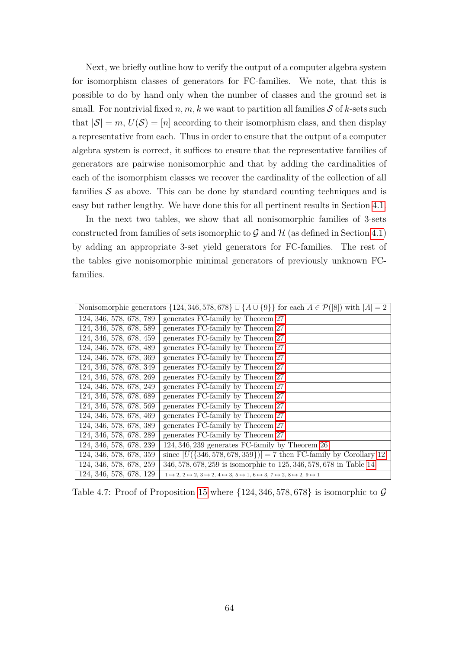Next, we briefly outline how to verify the output of a computer algebra system for isomorphism classes of generators for FC-families. We note, that this is possible to do by hand only when the number of classes and the ground set is small. For nontrivial fixed  $n, m, k$  we want to partition all families  $S$  of  $k$ -sets such that  $|S| = m$ ,  $U(S) = [n]$  according to their isomorphism class, and then display a representative from each. Thus in order to ensure that the output of a computer algebra system is correct, it suffices to ensure that the representative families of generators are pairwise nonisomorphic and that by adding the cardinalities of each of the isomorphism classes we recover the cardinality of the collection of all families  $S$  as above. This can be done by standard counting techniques and is easy but rather lengthy. We have done this for all pertinent results in Section [4.1.](#page-55-0)

In the next two tables, we show that all nonisomorphic families of 3-sets constructed from families of sets isomorphic to  $\mathcal G$  and  $\mathcal H$  (as defined in Section [4.1\)](#page-55-0) by adding an appropriate 3-set yield generators for FC-families. The rest of the tables give nonisomorphic minimal generators of previously unknown FCfamilies.

| Nonisomorphic generators $\{124, 346, 578, 678\} \cup \{A \cup \{9\}\}\$ for each $A \in \mathcal{P}([8])$ with $ A  = 2$ |                                                                                                                       |  |  |  |  |  |  |  |  |  |  |
|---------------------------------------------------------------------------------------------------------------------------|-----------------------------------------------------------------------------------------------------------------------|--|--|--|--|--|--|--|--|--|--|
| 124, 346, 578, 678, 789                                                                                                   | generates FC-family by Theorem 27                                                                                     |  |  |  |  |  |  |  |  |  |  |
| 124, 346, 578, 678, 589                                                                                                   | generates FC-family by Theorem 27                                                                                     |  |  |  |  |  |  |  |  |  |  |
| 124, 346, 578, 678, 459                                                                                                   | generates FC-family by Theorem 27                                                                                     |  |  |  |  |  |  |  |  |  |  |
| 124, 346, 578, 678, 489                                                                                                   | generates FC-family by Theorem 27                                                                                     |  |  |  |  |  |  |  |  |  |  |
| 124, 346, 578, 678, 369                                                                                                   | generates FC-family by Theorem 27                                                                                     |  |  |  |  |  |  |  |  |  |  |
| 124, 346, 578, 678, 349                                                                                                   | generates FC-family by Theorem 27                                                                                     |  |  |  |  |  |  |  |  |  |  |
| 124, 346, 578, 678, 269                                                                                                   | generates FC-family by Theorem 27                                                                                     |  |  |  |  |  |  |  |  |  |  |
| 124, 346, 578, 678, 249                                                                                                   | generates FC-family by Theorem 27                                                                                     |  |  |  |  |  |  |  |  |  |  |
| 124, 346, 578, 678, 689                                                                                                   | generates FC-family by Theorem 27                                                                                     |  |  |  |  |  |  |  |  |  |  |
| 124, 346, 578, 678, 569                                                                                                   | generates FC-family by Theorem 27                                                                                     |  |  |  |  |  |  |  |  |  |  |
| 124, 346, 578, 678, 469                                                                                                   | generates FC-family by Theorem 27                                                                                     |  |  |  |  |  |  |  |  |  |  |
| 124, 346, 578, 678, 389                                                                                                   | generates FC-family by Theorem 27                                                                                     |  |  |  |  |  |  |  |  |  |  |
| 124, 346, 578, 678, 289                                                                                                   | generates FC-family by Theorem 27                                                                                     |  |  |  |  |  |  |  |  |  |  |
| 124, 346, 578, 678, 239                                                                                                   | 124, 346, 239 generates FC-family by Theorem 26                                                                       |  |  |  |  |  |  |  |  |  |  |
| 124, 346, 578, 678, 359                                                                                                   | since $ U({346,578,678,359})  = 7$ then FC-family by Corollary 12                                                     |  |  |  |  |  |  |  |  |  |  |
| 124, 346, 578, 678, 259                                                                                                   | 346, 578, 678, 259 is isomorphic to 125, 346, 578, 678 in Table 14                                                    |  |  |  |  |  |  |  |  |  |  |
| 124, 346, 578, 678, 129                                                                                                   | $1 \mapsto 2, 2 \mapsto 2, 3 \mapsto 2, 4 \mapsto 3, 5 \mapsto 1, 6 \mapsto 3, 7 \mapsto 2, 8 \mapsto 2, 9 \mapsto 1$ |  |  |  |  |  |  |  |  |  |  |

Table 4.7: Proof of Proposition [15](#page-60-1) where  $\{124, 346, 578, 678\}$  is isomorphic to  $\mathcal G$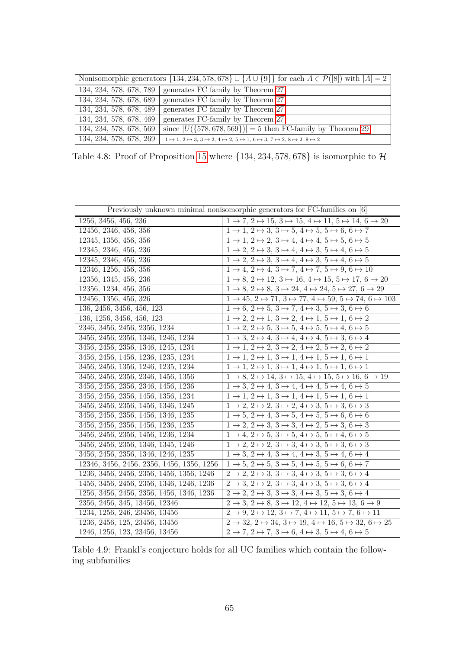| Nonisomorphic generators $\{134, 234, 578, 678\} \cup \{A \cup \{9\}\}\$ for each $A \in \mathcal{P}([8])$ with $ A  = 2$ |                                                                                                                       |
|---------------------------------------------------------------------------------------------------------------------------|-----------------------------------------------------------------------------------------------------------------------|
| 134, 234, 578, 678, 789                                                                                                   | generates FC family by Theorem 27                                                                                     |
| 134, 234, 578, 678, 689                                                                                                   | generates FC family by Theorem 27                                                                                     |
| 134, 234, 578, 678, 489                                                                                                   | generates FC family by Theorem 27                                                                                     |
| 134, 234, 578, 678, 469                                                                                                   | generates FC-family by Theorem 27                                                                                     |
| 134, 234, 578, 678, 569                                                                                                   | since $ U({578, 678, 569})  = 5$ then FC-family by Theorem 29                                                         |
| 134, 234, 578, 678, 269                                                                                                   | $1 \mapsto 1, 2 \mapsto 3, 3 \mapsto 2, 4 \mapsto 2, 5 \mapsto 1, 6 \mapsto 3, 7 \mapsto 2, 8 \mapsto 2, 9 \mapsto 2$ |

Table 4.8: Proof of Proposition [15](#page-60-0) where  $\{134, 234, 578, 678\}$  is isomorphic to  $\mathcal{H}$ 

| Previously unknown minimal nonisomorphic generators for FC-families on [6] |                                                                                                      |  |
|----------------------------------------------------------------------------|------------------------------------------------------------------------------------------------------|--|
| 1256, 3456, 456, 236                                                       | $1 \mapsto 7, 2 \mapsto 15, 3 \mapsto 15, 4 \mapsto 11, 5 \mapsto 14, 6 \mapsto 20$                  |  |
| 12456, 2346, 456, 356                                                      | $1 \mapsto 1, 2 \mapsto 3, 3 \mapsto 5, 4 \mapsto 5, 5 \mapsto 6, 6 \mapsto 7$                       |  |
| 12345, 1356, 456, 356                                                      | $1 \mapsto 1, 2 \mapsto 2, 3 \mapsto 4, 4 \mapsto 4, 5 \mapsto 5, 6 \mapsto 5$                       |  |
| 12345, 2346, 456, 236                                                      | $1 \mapsto 2$ , $2 \mapsto 3$ , $3 \mapsto 4$ , $4 \mapsto 3$ , $5 \mapsto 4$ , $6 \mapsto 5$        |  |
| 12345, 2346, 456, 236                                                      | $1 \mapsto 2, 2 \mapsto 3, 3 \mapsto 4, 4 \mapsto 3, 5 \mapsto 4, 6 \mapsto 5$                       |  |
| 12346, 1256, 456, 356                                                      | $1 \mapsto 4$ , $2 \mapsto 4$ , $3 \mapsto 7$ , $4 \mapsto 7$ , $5 \mapsto 9$ , $6 \mapsto 10$       |  |
| 12356, 1345, 456, 236                                                      | $1 \mapsto 8, 2 \mapsto 12, 3 \mapsto 16, 4 \mapsto 15, 5 \mapsto 17, 6 \mapsto 20$                  |  |
| 12356, 1234, 456, 356                                                      | $1 \mapsto 8$ , $2 \mapsto 8$ , $3 \mapsto 24$ , $4 \mapsto 24$ , $5 \mapsto 27$ , $6 \mapsto 29$    |  |
| 12456, 1356, 456, 326                                                      | $1 \mapsto 45$ , $2 \mapsto 71$ , $3 \mapsto 77$ , $4 \mapsto 59$ , $5 \mapsto 74$ , $6 \mapsto 103$ |  |
| 136, 2456, 3456, 456, 123                                                  | $1 \mapsto 6$ , $2 \mapsto 5$ , $3 \mapsto 7$ , $4 \mapsto 3$ , $5 \mapsto 3$ , $6 \mapsto 6$        |  |
| 136, 1256, 3456, 456, 123                                                  | $1 \mapsto 2, 2 \mapsto 1, 3 \mapsto 2, 4 \mapsto 1, 5 \mapsto 1, 6 \mapsto 2$                       |  |
| 2346, 3456, 2456, 2356, 1234                                               | $1 \mapsto 2$ , $2 \mapsto 5$ , $3 \mapsto 5$ , $4 \mapsto 5$ , $5 \mapsto 4$ , $6 \mapsto 5$        |  |
| 3456, 2456, 2356, 1346, 1246, 1234                                         | $1 \mapsto 3, 2 \mapsto 4, 3 \mapsto 4, 4 \mapsto 4, 5 \mapsto 3, 6 \mapsto 4$                       |  |
| 3456, 2456, 2356, 1346, 1245, 1234                                         | $1 \mapsto 1, 2 \mapsto 2, 3 \mapsto 2, 4 \mapsto 2, 5 \mapsto 2, 6 \mapsto 2$                       |  |
| 3456, 2456, 1456, 1236, 1235, 1234                                         | $1 \mapsto 1, 2 \mapsto 1, 3 \mapsto 1, 4 \mapsto 1, 5 \mapsto 1, 6 \mapsto 1$                       |  |
| 3456, 2456, 1356, 1246, 1235, 1234                                         | $1 \mapsto 1, 2 \mapsto 1, 3 \mapsto 1, 4 \mapsto 1, 5 \mapsto 1, 6 \mapsto 1$                       |  |
| 3456, 2456, 2356, 2346, 1456, 1356                                         | $1 \mapsto 8, 2 \mapsto 14, 3 \mapsto 15, 4 \mapsto 15, 5 \mapsto 16, 6 \mapsto 19$                  |  |
| 3456, 2456, 2356, 2346, 1456, 1236                                         | $1 \mapsto 3, 2 \mapsto 4, 3 \mapsto 4, 4 \mapsto 4, 5 \mapsto 4, 6 \mapsto 5$                       |  |
| 3456, 2456, 2356, 1456, 1356, 1234                                         | $1 \mapsto 1, 2 \mapsto 1, 3 \mapsto 1, 4 \mapsto 1, 5 \mapsto 1, 6 \mapsto 1$                       |  |
| 3456, 2456, 2356, 1456, 1346, 1245                                         | $1 \mapsto 2$ , $2 \mapsto 2$ , $3 \mapsto 2$ , $4 \mapsto 3$ , $5 \mapsto 3$ , $6 \mapsto 3$        |  |
| 3456, 2456, 2356, 1456, 1346, 1235                                         | $1 \mapsto 5$ , $2 \mapsto 4$ , $3 \mapsto 5$ , $4 \mapsto 5$ , $5 \mapsto 6$ , $6 \mapsto 6$        |  |
| 3456, 2456, 2356, 1456, 1236, 1235                                         | $1 \mapsto 2$ , $2 \mapsto 3$ , $3 \mapsto 3$ , $4 \mapsto 2$ , $5 \mapsto 3$ , $6 \mapsto 3$        |  |
| 3456, 2456, 2356, 1456, 1236, 1234                                         | $1 \mapsto 4$ , $2 \mapsto 5$ , $3 \mapsto 5$ , $4 \mapsto 5$ , $5 \mapsto 4$ , $6 \mapsto 5$        |  |
| 3456, 2456, 2356, 1346, 1345, 1246                                         | $1 \mapsto 2, 2 \mapsto 2, 3 \mapsto 3, 4 \mapsto 3, 5 \mapsto 3, 6 \mapsto 3$                       |  |
| 3456, 2456, 2356, 1346, 1246, 1235                                         | $1 \mapsto 3, 2 \mapsto 4, 3 \mapsto 4, 4 \mapsto 3, 5 \mapsto 4, 6 \mapsto 4$                       |  |
| 12346, 3456, 2456, 2356, 1456, 1356, 1256                                  | $1 \mapsto 5$ , $2 \mapsto 5$ , $3 \mapsto 5$ , $4 \mapsto 5$ , $5 \mapsto 6$ , $6 \mapsto 7$        |  |
| 1236, 3456, 2456, 2356, 1456, 1356, 1246                                   | $2 \mapsto 2, 2 \mapsto 3, 3 \mapsto 3, 4 \mapsto 3, 5 \mapsto 3, 6 \mapsto 4$                       |  |
| 1456, 3456, 2456, 2356, 1346, 1246, 1236                                   | $2 \mapsto 3, 2 \mapsto 2, 3 \mapsto 3, 4 \mapsto 3, 5 \mapsto 3, 6 \mapsto 4$                       |  |
| 1256, 3456, 2456, 2356, 1456, 1346, 1236                                   | $2 \mapsto 2, 2 \mapsto 3, 3 \mapsto 3, 4 \mapsto 3, 5 \mapsto 3, 6 \mapsto 4$                       |  |
| 2356, 2456, 345, 13456, 12346                                              | $2 \mapsto 3, 2 \mapsto 8, 3 \mapsto 12, 4 \mapsto 12, 5 \mapsto 13, 6 \mapsto 9$                    |  |
| 1234, 1256, 246, 23456, 13456                                              | $2 \mapsto 9, 2 \mapsto 12, 3 \mapsto 7, 4 \mapsto 11, 5 \mapsto 7, 6 \mapsto 11$                    |  |
| 1236, 2456, 125, 23456, 13456                                              | $2 \mapsto 32, 2 \mapsto 34, 3 \mapsto 19, 4 \mapsto 16, 5 \mapsto 32, 6 \mapsto 25$                 |  |
| 1246, 1256, 123, 23456, 13456                                              | $2 \mapsto 7, 2 \mapsto 7, 3 \mapsto 6, 4 \mapsto 3, 5 \mapsto 4, 6 \mapsto 5$                       |  |

Table 4.9: Frankl's conjecture holds for all UC families which contain the following subfamilies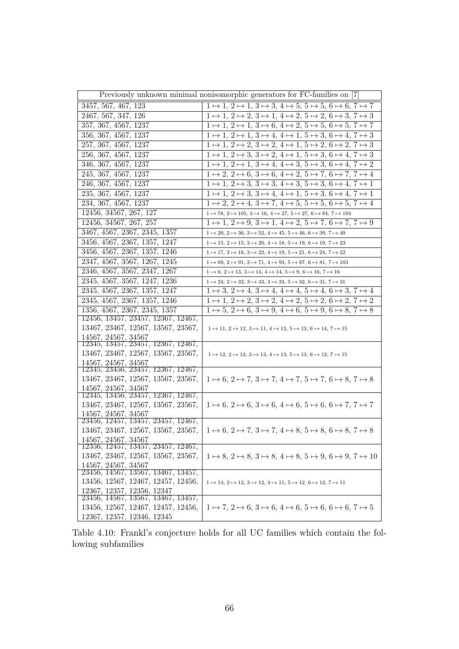| Previously unknown minimal nonisomorphic generators for FC-families on [7] |                                                                                                                      |  |
|----------------------------------------------------------------------------|----------------------------------------------------------------------------------------------------------------------|--|
| 3457, 567, 467, 123                                                        | $1 \mapsto 1, 2 \mapsto 1, 3 \mapsto 3, 4 \mapsto 5, 5 \mapsto 5, 6 \mapsto 6, 7 \mapsto 7$                          |  |
| 2467, 567, 347, 126                                                        | $1 \mapsto 1, 2 \mapsto 2, 3 \mapsto 1, 4 \mapsto 2, 5 \mapsto 2, 6 \mapsto 3, 7 \mapsto 3$                          |  |
| 357, 367, 4567, 1237                                                       | $1 \mapsto 1, 2 \mapsto 1, 3 \mapsto 6, 4 \mapsto 2, 5 \mapsto 5, 6 \mapsto 5, 7 \mapsto 7$                          |  |
| 356, 367, 4567, 1237                                                       | $1 \mapsto 1, 2 \mapsto 1, 3 \mapsto 4, 4 \mapsto 1, 5 \mapsto 3, 6 \mapsto 4, 7 \mapsto 3$                          |  |
| 257, 367, 4567, 1237                                                       | $1 \mapsto 1, 2 \mapsto 2, 3 \mapsto 2, 4 \mapsto 1, 5 \mapsto 2, 6 \mapsto 2, 7 \mapsto 3$                          |  |
| 256, 367, 4567, 1237                                                       | $1 \mapsto 1, 2 \mapsto 3, 3 \mapsto 2, 4 \mapsto 1, 5 \mapsto 3, 6 \mapsto 4, 7 \mapsto 3$                          |  |
| 346, 367, 4567, 1237                                                       | $1 \mapsto 1, 2 \mapsto 1, 3 \mapsto 4, 4 \mapsto 3, 5 \mapsto 3, 6 \mapsto 4, 7 \mapsto 2$                          |  |
| 245, 367, 4567, 1237                                                       | $1 \mapsto 2$ , $2 \mapsto 6$ , $3 \mapsto 6$ , $4 \mapsto 2$ , $5 \mapsto 7$ , $6 \mapsto 7$ , $7 \mapsto 4$        |  |
| 246, 367, 4567, 1237                                                       | $1 \mapsto 1, 2 \mapsto 3, 3 \mapsto 3, 4 \mapsto 3, 5 \mapsto 3, 6 \mapsto 4, 7 \mapsto 1$                          |  |
| 235, 367, 4567, 1237                                                       | $1 \mapsto 1, 2 \mapsto 3, 3 \mapsto 4, 4 \mapsto 1, 5 \mapsto 3, 6 \mapsto 4, 7 \mapsto 1$                          |  |
| 234, 367, 4567, 1237                                                       | $1 \mapsto 2$ , $2 \mapsto 4$ , $3 \mapsto 7$ , $4 \mapsto 5$ , $5 \mapsto 5$ , $6 \mapsto 5$ , $7 \mapsto 4$        |  |
| 12456, 34567, 267, 127                                                     | $1\mapsto 78,\, 2\mapsto 105,\, 3\mapsto 16,\, 4\mapsto 27,\, 5\mapsto 27,\, 6\mapsto 84,\, 7\mapsto 103$            |  |
| 12456, 34567, 267, 257                                                     | $1 \mapsto 1, 2 \mapsto 9, 3 \mapsto 1, 4 \mapsto 2, 5 \mapsto 7, 6 \mapsto 7, 7 \mapsto 9$                          |  |
| 3467, 4567, 2367, 2345, 1357                                               | $1 \mapsto 20, 2 \mapsto 36, 3 \mapsto 52, 4 \mapsto 45, 5 \mapsto 46, 6 \mapsto 39, 7 \mapsto 49$                   |  |
| 3456, 4567, 2367, 1357, 1247                                               | $1 \mapsto 15, 2 \mapsto 15, 3 \mapsto 20, 4 \mapsto 18, 5 \mapsto 19, 6 \mapsto 19, 7 \mapsto 23$                   |  |
| 3456, 4567, 2367, 1357, 1246                                               | $1 \mapsto 17, 2 \mapsto 16, 3 \mapsto 22, 4 \mapsto 19, 5 \mapsto 21, 6 \mapsto 24, 7 \mapsto 22$                   |  |
| 2347, 4567, 3567, 1267, 1245                                               | $1 \mapsto 69, 2 \mapsto 91, 3 \mapsto 71, 4 \mapsto 93, 5 \mapsto 87, 6 \mapsto 81, 7 \mapsto 103$                  |  |
| 2346, 4567, 3567, 2347, 1267                                               | $1 \mapsto 6, 2 \mapsto 13, 3 \mapsto 14, 4 \mapsto 14, 5 \mapsto 9, 6 \mapsto 16, 7 \mapsto 16$                     |  |
| 2345, 4567, 3567, 1247, 1236                                               | $1 \mapsto 24$ , $2 \mapsto 32$ , $3 \mapsto 33$ , $4 \mapsto 33$ , $5 \mapsto 32$ , $6 \mapsto 31$ , $7 \mapsto 31$ |  |
| 2345, 4567, 2367, 1357, 1247                                               | $1 \mapsto 3, 2 \mapsto 4, 3 \mapsto 4, 4 \mapsto 4, 5 \mapsto 4, 6 \mapsto 3, 7 \mapsto 4$                          |  |
| 2345, 4567, 2367, 1357, 1246                                               | $1 \mapsto 1, 2 \mapsto 2, 3 \mapsto 2, 4 \mapsto 2, 5 \mapsto 2, 6 \mapsto 2, 7 \mapsto 2$                          |  |
| 1356, 4567, 2367, 2345, 1357                                               | $1 \mapsto 5, 2 \mapsto 6, 3 \mapsto 9, 4 \mapsto 6, 5 \mapsto 9, 6 \mapsto 8, 7 \mapsto 8$                          |  |
| 12456, 13457, 23457, 12367, 12467,                                         |                                                                                                                      |  |
| 13467, 23467, 12567, 13567, 23567,                                         | $1 \mapsto 11, 2 \mapsto 12, 3 \mapsto 11, 4 \mapsto 13, 5 \mapsto 13, 6 \mapsto 14, 7 \mapsto 15$                   |  |
| 14567, 24567, 34567<br>12345, 13457, 23457, 12367, 12467,                  |                                                                                                                      |  |
| 13467, 23467, 12567, 13567, 23567,                                         | $1 \mapsto 12, 2 \mapsto 12, 3 \mapsto 13, 4 \mapsto 13, 5 \mapsto 13, 6 \mapsto 12, 7 \mapsto 15$                   |  |
| 14567, 24567, 34567                                                        |                                                                                                                      |  |
| 12345, 23456, 23457, 12367, 12467,                                         |                                                                                                                      |  |
| 13467, 23467, 12567, 13567, 23567,                                         | $1 \mapsto 6, 2 \mapsto 7, 3 \mapsto 7, 4 \mapsto 7, 5 \mapsto 7, 6 \mapsto 8, 7 \mapsto 8$                          |  |
| 14567, 24567, 34567<br>12345, 13456, 23457, 12367, 12467,                  |                                                                                                                      |  |
| 13467, 23467, 12567, 13567, 23567,                                         | $1 \mapsto 6$ , $2 \mapsto 6$ , $3 \mapsto 6$ , $4 \mapsto 6$ , $5 \mapsto 6$ , $6 \mapsto 7$ , $7 \mapsto 7$        |  |
| 14567, 24567, 34567                                                        |                                                                                                                      |  |
| 23456, 12457, 13457, 23457, 12467,                                         |                                                                                                                      |  |
| 13467, 23467, 12567, 13567, 23567,                                         | $1 \mapsto 6$ , $2 \mapsto 7$ , $3 \mapsto 7$ , $4 \mapsto 8$ , $5 \mapsto 8$ , $6 \mapsto 8$ , $7 \mapsto 8$        |  |
| 14567, 24567, 34567                                                        |                                                                                                                      |  |
| 12356, 12457, 13457, 23457, 12467,                                         |                                                                                                                      |  |
| 13467, 23467, 12567, 13567, 23567,                                         | $1 \mapsto 8$ , $2 \mapsto 8$ , $3 \mapsto 8$ , $4 \mapsto 8$ , $5 \mapsto 9$ , $6 \mapsto 9$ , $7 \mapsto 10$       |  |
| 14567, 24567, 34567<br>23456, 14567, 13567, 13467, 13457,                  |                                                                                                                      |  |
| 13456, 12567, 12467, 12457, 12456,                                         | $1 \mapsto 14, 2 \mapsto 12, 3 \mapsto 12, 4 \mapsto 11, 5 \mapsto 12, 6 \mapsto 12, 7 \mapsto 11$                   |  |
| 12367, 12357, 12356, 12347                                                 |                                                                                                                      |  |
| 23456, 14567, 13567, 13467, 13457,                                         |                                                                                                                      |  |
| 13456, 12567, 12467, 12457, 12456,                                         | $1 \mapsto 7, 2 \mapsto 6, 3 \mapsto 6, 4 \mapsto 6, 5 \mapsto 6, 6 \mapsto 6, 7 \mapsto 5$                          |  |
| 12367, 12357, 12346, 12345                                                 |                                                                                                                      |  |

Table 4.10: Frankl's conjecture holds for all UC families which contain the following subfamilies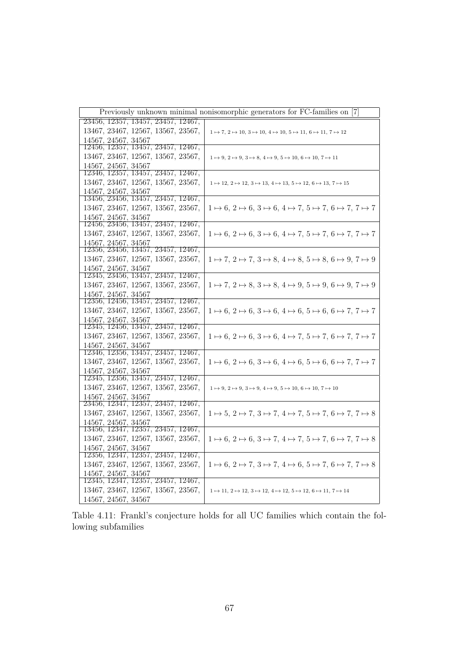| Previously unknown minimal nonisomorphic generators for FC-families on [7] |                                                                                                               |
|----------------------------------------------------------------------------|---------------------------------------------------------------------------------------------------------------|
| 23456, 12357, 13457, 23457, 12467,                                         |                                                                                                               |
| 13467, 23467, 12567, 13567, 23567,                                         | $1 \mapsto 7, 2 \mapsto 10, 3 \mapsto 10, 4 \mapsto 10, 5 \mapsto 11, 6 \mapsto 11, 7 \mapsto 12$             |
| 14567, 24567, 34567                                                        |                                                                                                               |
| 12456, 12357, 13457, 23457, 12467,                                         |                                                                                                               |
| 13467, 23467, 12567, 13567, 23567,                                         | $1 \mapsto 9, 2 \mapsto 9, 3 \mapsto 8, 4 \mapsto 9, 5 \mapsto 10, 6 \mapsto 10, 7 \mapsto 11$                |
| 14567, 24567, 34567<br>12346, 12357, 13457, 23457, 12467,                  |                                                                                                               |
| 13467, 23467, 12567, 13567, 23567,                                         | $1 \mapsto 12, 2 \mapsto 12, 3 \mapsto 13, 4 \mapsto 13, 5 \mapsto 12, 6 \mapsto 13, 7 \mapsto 15$            |
| 14567, 24567, 34567                                                        |                                                                                                               |
| 13456, 23456, 13457, 23457, 12467,                                         |                                                                                                               |
| 13467, 23467, 12567, 13567, 23567,                                         | $1 \mapsto 6, 2 \mapsto 6, 3 \mapsto 6, 4 \mapsto 7, 5 \mapsto 7, 6 \mapsto 7, 7 \mapsto 7$                   |
| 14567, 24567, 34567                                                        |                                                                                                               |
| 12456, 23456, 13457, 23457, 12467,                                         |                                                                                                               |
| 13467, 23467, 12567, 13567, 23567,                                         | $1 \mapsto 6$ , $2 \mapsto 6$ , $3 \mapsto 6$ , $4 \mapsto 7$ , $5 \mapsto 7$ , $6 \mapsto 7$ , $7 \mapsto 7$ |
| 14567, 24567, 34567<br>12356, 23456, 13457, 23457, 12467,                  |                                                                                                               |
| 13467, 23467, 12567, 13567, 23567,                                         | $1 \mapsto 7, 2 \mapsto 7, 3 \mapsto 8, 4 \mapsto 8, 5 \mapsto 8, 6 \mapsto 9, 7 \mapsto 9$                   |
| 14567, 24567, 34567                                                        |                                                                                                               |
| 12345, 23456, 13457, 23457, 12467,                                         |                                                                                                               |
| 13467, 23467, 12567, 13567, 23567,                                         | $1 \mapsto 7, 2 \mapsto 8, 3 \mapsto 8, 4 \mapsto 9, 5 \mapsto 9, 6 \mapsto 9, 7 \mapsto 9$                   |
| 14567, 24567, 34567                                                        |                                                                                                               |
| 12356, 12456, 13457, 23457, 12467,                                         |                                                                                                               |
| 13467, 23467, 12567, 13567, 23567,                                         | $1 \mapsto 6, 2 \mapsto 6, 3 \mapsto 6, 4 \mapsto 6, 5 \mapsto 6, 6 \mapsto 7, 7 \mapsto 7$                   |
| 14567, 24567, 34567<br>12345, 12456, 13457, 23457, 12467,                  |                                                                                                               |
| 13467, 23467, 12567, 13567, 23567,                                         | $1 \mapsto 6, 2 \mapsto 6, 3 \mapsto 6, 4 \mapsto 7, 5 \mapsto 7, 6 \mapsto 7, 7 \mapsto 7$                   |
| 14567, 24567, 34567                                                        |                                                                                                               |
| 12346, 12356, 13457, 23457, 12467,                                         |                                                                                                               |
| 13467, 23467, 12567, 13567, 23567,                                         | $1 \mapsto 6$ , $2 \mapsto 6$ , $3 \mapsto 6$ , $4 \mapsto 6$ , $5 \mapsto 6$ , $6 \mapsto 7$ , $7 \mapsto 7$ |
| 14567, 24567, 34567                                                        |                                                                                                               |
| 12345, 12356, 13457, 23457, 12467,                                         |                                                                                                               |
| 13467, 23467, 12567, 13567, 23567,                                         | $1 \mapsto 9, 2 \mapsto 9, 3 \mapsto 9, 4 \mapsto 9, 5 \mapsto 10, 6 \mapsto 10, 7 \mapsto 10$                |
| 14567, 24567, 34567                                                        |                                                                                                               |
| 23456, 12347, 12357, 23457, 12467,                                         |                                                                                                               |
| 13467, 23467, 12567, 13567, 23567,<br>14567, 24567, 34567                  | $1 \mapsto 5, 2 \mapsto 7, 3 \mapsto 7, 4 \mapsto 7, 5 \mapsto 7, 6 \mapsto 7, 7 \mapsto 8$                   |
| 13456, 12347, 12357, 23457, 12467,                                         |                                                                                                               |
| 13467, 23467, 12567, 13567, 23567,                                         | $1 \mapsto 6, 2 \mapsto 6, 3 \mapsto 7, 4 \mapsto 7, 5 \mapsto 7, 6 \mapsto 7, 7 \mapsto 8$                   |
| 14567, 24567, 34567                                                        |                                                                                                               |
| 12356, 12347, 12357, 23457, 12467,                                         |                                                                                                               |
| 13467, 23467, 12567, 13567, 23567,                                         | $1 \mapsto 6, 2 \mapsto 7, 3 \mapsto 7, 4 \mapsto 6, 5 \mapsto 7, 6 \mapsto 7, 7 \mapsto 8$                   |
| 14567, 24567, 34567                                                        |                                                                                                               |
| 12345, 12347, 12357, 23457, 12467,                                         |                                                                                                               |
| 13467, 23467, 12567, 13567, 23567,                                         | $1 \mapsto 11, 2 \mapsto 12, 3 \mapsto 12, 4 \mapsto 12, 5 \mapsto 12, 6 \mapsto 11, 7 \mapsto 14$            |
| 14567, 24567, 34567                                                        |                                                                                                               |

Table 4.11: Frankl's conjecture holds for all UC families which contain the following subfamilies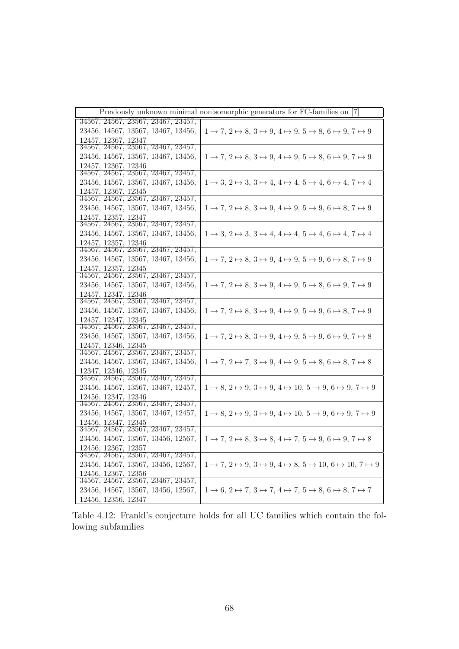|                                                           | Previously unknown minimal nonisomorphic generators for FC-families on [7]                       |
|-----------------------------------------------------------|--------------------------------------------------------------------------------------------------|
| 34567, 24567, 23567, 23467, 23457,                        |                                                                                                  |
| 23456, 14567, 13567, 13467, 13456,                        | $1 \mapsto 7, 2 \mapsto 8, 3 \mapsto 9, 4 \mapsto 9, 5 \mapsto 8, 6 \mapsto 9, 7 \mapsto 9$      |
| 12457, 12367, 12347<br>34567, 24567, 23567, 23467, 23457, |                                                                                                  |
| 23456, 14567, 13567, 13467, 13456,                        | $1 \mapsto 7, 2 \mapsto 8, 3 \mapsto 9, 4 \mapsto 9, 5 \mapsto 8, 6 \mapsto 9, 7 \mapsto 9$      |
| 12457, 12367, 12346                                       |                                                                                                  |
| 34567, 24567, 23567, 23467, 23457,                        |                                                                                                  |
| 23456, 14567, 13567, 13467, 13456,                        | $1 \mapsto 3, 2 \mapsto 3, 3 \mapsto 4, 4 \mapsto 4, 5 \mapsto 4, 6 \mapsto 4, 7 \mapsto 4$      |
| 12457, 12367, 12345<br>34567, 24567, 23567, 23467, 23457, |                                                                                                  |
| 23456, 14567, 13567, 13467, 13456,                        | $1 \mapsto 7, 2 \mapsto 8, 3 \mapsto 9, 4 \mapsto 9, 5 \mapsto 9, 6 \mapsto 8, 7 \mapsto 9$      |
| 12457, 12357, 12347                                       |                                                                                                  |
| 34567, 24567, 23567, 23467, 23457,                        |                                                                                                  |
| 23456, 14567, 13567, 13467, 13456,                        | $1 \mapsto 3, 2 \mapsto 3, 3 \mapsto 4, 4 \mapsto 4, 5 \mapsto 4, 6 \mapsto 4, 7 \mapsto 4$      |
| 12457, 12357, 12346                                       |                                                                                                  |
| 34567, 24567, 23567, 23467, 23457,                        |                                                                                                  |
| 23456, 14567, 13567, 13467, 13456,                        | $1 \mapsto 7, 2 \mapsto 8, 3 \mapsto 9, 4 \mapsto 9, 5 \mapsto 9, 6 \mapsto 8, 7 \mapsto 9$      |
| 12457, 12357, 12345<br>34567, 24567, 23567, 23467, 23457, |                                                                                                  |
| 23456, 14567, 13567, 13467, 13456,                        | $1 \mapsto 7, 2 \mapsto 8, 3 \mapsto 9, 4 \mapsto 9, 5 \mapsto 8, 6 \mapsto 9, 7 \mapsto 9$      |
| 12457, 12347, 12346                                       |                                                                                                  |
| 34567, 24567, 23567, 23467, 23457,                        |                                                                                                  |
| 23456, 14567, 13567, 13467, 13456,                        | $1 \mapsto 7, 2 \mapsto 8, 3 \mapsto 9, 4 \mapsto 9, 5 \mapsto 9, 6 \mapsto 8, 7 \mapsto 9$      |
| 12457, 12347, 12345                                       |                                                                                                  |
| 34567, 24567, 23567, 23467, 23457,                        |                                                                                                  |
| 23456, 14567, 13567, 13467, 13456,                        | $1 \mapsto 7, 2 \mapsto 8, 3 \mapsto 9, 4 \mapsto 9, 5 \mapsto 9, 6 \mapsto 9, 7 \mapsto 8$      |
| 12457, 12346, 12345<br>34567, 24567, 23567, 23467, 23457, |                                                                                                  |
| 23456, 14567, 13567, 13467, 13456,                        | $1 \mapsto 7, 2 \mapsto 7, 3 \mapsto 9, 4 \mapsto 9, 5 \mapsto 8, 6 \mapsto 8, 7 \mapsto 8$      |
| 12347, 12346, 12345                                       |                                                                                                  |
| 34567, 24567, 23567, 23467, 23457,                        |                                                                                                  |
| 23456, 14567, 13567, 13467, 12457,                        | $1 \mapsto 8, 2 \mapsto 9, 3 \mapsto 9, 4 \mapsto 10, 5 \mapsto 9, 6 \mapsto 9, 7 \mapsto 9$     |
| 12456, 12347, 12346                                       |                                                                                                  |
| 34567, 24567, 23567, 23467, 23457,                        |                                                                                                  |
| 23456, 14567, 13567, 13467, 12457,                        | $1 \mapsto 8, 2 \mapsto 9, 3 \mapsto 9, 4 \mapsto 10, 5 \mapsto 9, 6 \mapsto 9, 7 \mapsto 9$     |
| 12456, 12347, 12345                                       |                                                                                                  |
| 34567, 24567, 23567, 23467, 23457,                        |                                                                                                  |
| 23456, 14567, 13567, 13456, 12567,<br>12456, 12367, 12357 | $1\mapsto 7,\, 2\mapsto 8,\, 3\mapsto 8,\, 4\mapsto 7,\, 5\mapsto 9,\, 6\mapsto 9,\, 7\mapsto 8$ |
| 34567, 24567, 23567, 23467, 23457,                        |                                                                                                  |
| 23456, 14567, 13567, 13456, 12567,                        | $1 \mapsto 7, 2 \mapsto 9, 3 \mapsto 9, 4 \mapsto 8, 5 \mapsto 10, 6 \mapsto 10, 7 \mapsto 9$    |
| 12456, 12367, 12356                                       |                                                                                                  |
| 34567, 24567, 23567, 23467, 23457,                        |                                                                                                  |
| 23456, 14567, 13567, 13456, 12567,                        | $1 \mapsto 6, 2 \mapsto 7, 3 \mapsto 7, 4 \mapsto 7, 5 \mapsto 8, 6 \mapsto 8, 7 \mapsto 7$      |
| 12456, 12356, 12347                                       |                                                                                                  |

Table 4.12: Frankl's conjecture holds for all UC families which contain the following subfamilies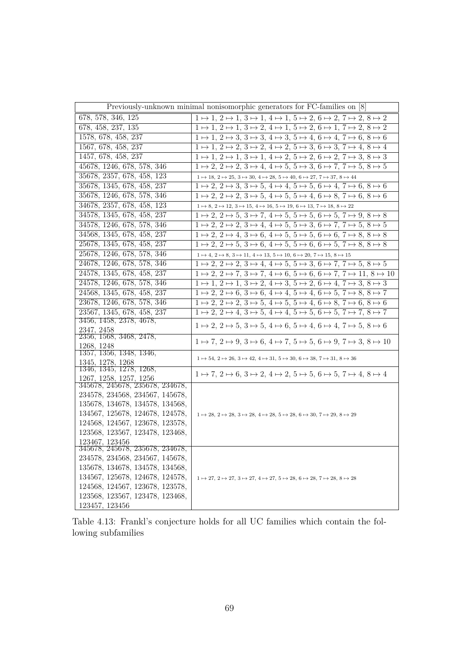| Previously-unknown minimal nonisomorphic generators for FC-families on [8] |                                                                                                                                       |  |
|----------------------------------------------------------------------------|---------------------------------------------------------------------------------------------------------------------------------------|--|
| 678, 578, 346, 125                                                         | $1 \mapsto 1, 2 \mapsto 1, 3 \mapsto 1, 4 \mapsto 1, 5 \mapsto 2, 6 \mapsto 2, 7 \mapsto 2, 8 \mapsto 2$                              |  |
| 678, 458, 237, 135                                                         | $1 \mapsto 1, 2 \mapsto 1, 3 \mapsto 2, 4 \mapsto 1, 5 \mapsto 2, 6 \mapsto 1, 7 \mapsto 2, 8 \mapsto 2$                              |  |
| 1578, 678, 458, 237                                                        | $1 \mapsto 1, 2 \mapsto 3, 3 \mapsto 3, 4 \mapsto 3, 5 \mapsto 4, 6 \mapsto 4, 7 \mapsto 6, 8 \mapsto 6$                              |  |
| 1567, 678, 458, 237                                                        | $1 \mapsto 1, 2 \mapsto 2, 3 \mapsto 2, 4 \mapsto 2, 5 \mapsto 3, 6 \mapsto 3, 7 \mapsto 4, 8 \mapsto 4$                              |  |
| 1457, 678, 458, 237                                                        | $1 \mapsto 1, 2 \mapsto 1, 3 \mapsto 1, 4 \mapsto 2, 5 \mapsto 2, 6 \mapsto 2, 7 \mapsto 3, 8 \mapsto 3$                              |  |
| 45678, 1246, 678, 578, 346                                                 | $1 \mapsto 2, 2 \mapsto 2, 3 \mapsto 4, 4 \mapsto 5, 5 \mapsto 3, 6 \mapsto 7, 7 \mapsto 5, 8 \mapsto 5$                              |  |
| 35678, 2357, 678, 458, 123                                                 | $1 \mapsto 18$ , $2 \mapsto 25$ , $3 \mapsto 30$ , $4 \mapsto 28$ , $5 \mapsto 40$ , $6 \mapsto 27$ , $7 \mapsto 37$ , $8 \mapsto 44$ |  |
| 35678, 1345, 678, 458, 237                                                 | $1 \mapsto 2, 2 \mapsto 3, 3 \mapsto 5, 4 \mapsto 4, 5 \mapsto 5, 6 \mapsto 4, 7 \mapsto 6, 8 \mapsto 6$                              |  |
| 35678, 1246, 678, 578, 346                                                 | $1 \mapsto 2, 2 \mapsto 2, 3 \mapsto 5, 4 \mapsto 5, 5 \mapsto 4, 6 \mapsto 8, 7 \mapsto 6, 8 \mapsto 6$                              |  |
| 34678, 2357, 678, 458, 123                                                 | $1 \mapsto 8, 2 \mapsto 12, 3 \mapsto 15, 4 \mapsto 16, 5 \mapsto 19, 6 \mapsto 13, 7 \mapsto 18, 8 \mapsto 22$                       |  |
| 34578, 1345, 678, 458, 237                                                 | $1 \mapsto 2, 2 \mapsto 5, 3 \mapsto 7, 4 \mapsto 5, 5 \mapsto 5, 6 \mapsto 5, 7 \mapsto 9, 8 \mapsto 8$                              |  |
| 34578, 1246, 678, 578, 346                                                 | $1 \mapsto 2, 2 \mapsto 2, 3 \mapsto 4, 4 \mapsto 5, 5 \mapsto 3, 6 \mapsto 7, 7 \mapsto 5, 8 \mapsto 5$                              |  |
| 34568, 1345, 678, 458, 237                                                 | $1 \mapsto 2$ , $2 \mapsto 4$ , $3 \mapsto 6$ , $4 \mapsto 5$ , $5 \mapsto 5$ , $6 \mapsto 6$ , $7 \mapsto 8$ , $8 \mapsto 8$         |  |
| 25678, 1345, 678, 458, 237                                                 | $1 \mapsto 2, 2 \mapsto 5, 3 \mapsto 6, 4 \mapsto 5, 5 \mapsto 6, 6 \mapsto 5, 7 \mapsto 8, 8 \mapsto 8$                              |  |
| 25678, 1246, 678, 578, 346                                                 | $1 \mapsto 4, 2 \mapsto 8, 3 \mapsto 11, 4 \mapsto 13, 5 \mapsto 10, 6 \mapsto 20, 7 \mapsto 15, 8 \mapsto 15$                        |  |
| 24678, 1246, 678, 578, 346                                                 | $1 \mapsto 2, 2 \mapsto 2, 3 \mapsto 4, 4 \mapsto 5, 5 \mapsto 3, 6 \mapsto 7, 7 \mapsto 5, 8 \mapsto 5$                              |  |
| 24578, 1345, 678, 458, 237                                                 | $1 \mapsto 2, 2 \mapsto 7, 3 \mapsto 7, 4 \mapsto 6, 5 \mapsto 6, 6 \mapsto 7, 7 \mapsto 11, 8 \mapsto 10$                            |  |
| 24578, 1246, 678, 578, 346                                                 | $1 \mapsto 1, 2 \mapsto 1, 3 \mapsto 2, 4 \mapsto 3, 5 \mapsto 2, 6 \mapsto 4, 7 \mapsto 3, 8 \mapsto 3$                              |  |
| 24568, 1345, 678, 458, 237                                                 | $1 \mapsto 2$ , $2 \mapsto 6$ , $3 \mapsto 6$ , $4 \mapsto 4$ , $5 \mapsto 4$ , $6 \mapsto 5$ , $7 \mapsto 8$ , $8 \mapsto 7$         |  |
| 23678, 1246, 678, 578, 346                                                 | $1 \mapsto 2, 2 \mapsto 2, 3 \mapsto 5, 4 \mapsto 5, 5 \mapsto 4, 6 \mapsto 8, 7 \mapsto 6, 8 \mapsto 6$                              |  |
| 23567, 1345, 678, 458, 237                                                 | $1 \mapsto 2, 2 \mapsto 4, 3 \mapsto 5, 4 \mapsto 4, 5 \mapsto 5, 6 \mapsto 5, 7 \mapsto 7, 8 \mapsto 7$                              |  |
| 3456, 1458, 2378, 4678,                                                    | $1 \mapsto 2, 2 \mapsto 5, 3 \mapsto 5, 4 \mapsto 6, 5 \mapsto 4, 6 \mapsto 4, 7 \mapsto 5, 8 \mapsto 6$                              |  |
| 2347, 2458<br>2356, 1568, 3468, 2478,                                      |                                                                                                                                       |  |
| 1268.1248                                                                  | $1 \mapsto 7, 2 \mapsto 9, 3 \mapsto 6, 4 \mapsto 7, 5 \mapsto 5, 6 \mapsto 9, 7 \mapsto 3, 8 \mapsto 10$                             |  |
| 1357, 1356, 1348, 1346,                                                    |                                                                                                                                       |  |
| 1345, 1278, 1268                                                           | $1 \mapsto 54$ , $2 \mapsto 26$ , $3 \mapsto 42$ , $4 \mapsto 31$ , $5 \mapsto 30$ , $6 \mapsto 38$ , $7 \mapsto 31$ , $8 \mapsto 36$ |  |
| 1346, 1345, 1278, 1268,                                                    | $1 \mapsto 7, 2 \mapsto 6, 3 \mapsto 2, 4 \mapsto 2, 5 \mapsto 5, 6 \mapsto 5, 7 \mapsto 4, 8 \mapsto 4$                              |  |
| 1267, 1258, 1257, 1256<br>345678, 245678, 235678, 234678,                  |                                                                                                                                       |  |
| 234578, 234568, 234567, 145678,                                            |                                                                                                                                       |  |
| 135678, 134678, 134578, 134568,                                            |                                                                                                                                       |  |
| 134567, 125678, 124678, 124578,                                            | $1 \mapsto 28$ , $2 \mapsto 28$ , $3 \mapsto 28$ , $4 \mapsto 28$ , $5 \mapsto 28$ , $6 \mapsto 30$ , $7 \mapsto 29$ , $8 \mapsto 29$ |  |
| 124568, 124567, 123678, 123578,                                            |                                                                                                                                       |  |
| 123568, 123567, 123478, 123468,                                            |                                                                                                                                       |  |
| 123467, 123456                                                             |                                                                                                                                       |  |
| 345678, 245678, 235678, 234678,                                            |                                                                                                                                       |  |
| 234578, 234568, 234567, 145678,                                            |                                                                                                                                       |  |
| 135678, 134678, 134578, 134568,                                            |                                                                                                                                       |  |
| 134567, 125678, 124678, 124578,                                            | $1 \mapsto 27, 2 \mapsto 27, 3 \mapsto 27, 4 \mapsto 27, 5 \mapsto 28, 6 \mapsto 28, 7 \mapsto 28, 8 \mapsto 28$                      |  |
| 124568, 124567, 123678, 123578,                                            |                                                                                                                                       |  |
| 123568, 123567, 123478, 123468,<br>123457, 123456                          |                                                                                                                                       |  |
|                                                                            |                                                                                                                                       |  |

Table 4.13: Frankl's conjecture holds for all UC families which contain the following subfamilies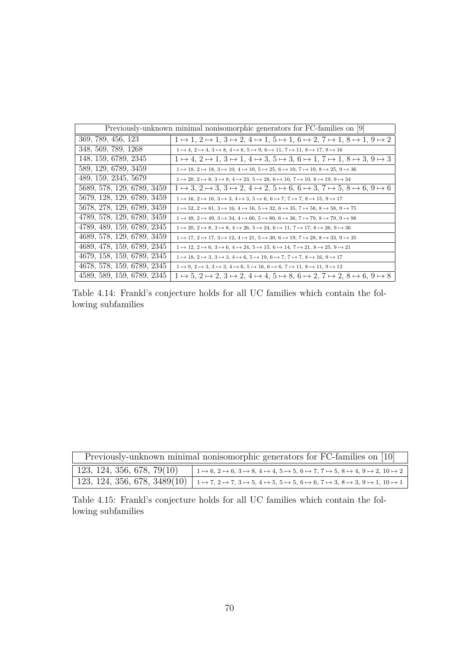| Previously-unknown minimal nonisomorphic generators for FC-families on [9] |                                                                                                                                                        |
|----------------------------------------------------------------------------|--------------------------------------------------------------------------------------------------------------------------------------------------------|
| 369, 789, 456, 123                                                         | $1 \mapsto 1, 2 \mapsto 1, 3 \mapsto 2, 4 \mapsto 1, 5 \mapsto 1, 6 \mapsto 2, 7 \mapsto 1, 8 \mapsto 1, 9 \mapsto 2$                                  |
| 348, 569, 789, 1268                                                        | $1 \mapsto 4$ , $2 \mapsto 4$ , $3 \mapsto 8$ , $4 \mapsto 8$ , $5 \mapsto 9$ , $6 \mapsto 11$ , $7 \mapsto 11$ , $8 \mapsto 17$ , $9 \mapsto 16$      |
| 148, 159, 6789, 2345                                                       | $1 \mapsto 4$ , $2 \mapsto 1$ , $3 \mapsto 1$ , $4 \mapsto 3$ , $5 \mapsto 3$ , $6 \mapsto 1$ , $7 \mapsto 1$ , $8 \mapsto 3$ , $9 \mapsto 3$          |
| 589, 129, 6789, 3459                                                       | $1 \mapsto 18, 2 \mapsto 18, 3 \mapsto 10, 4 \mapsto 10, 5 \mapsto 25, 6 \mapsto 10, 7 \mapsto 10, 8 \mapsto 25, 9 \mapsto 36$                         |
| 489, 159, 2345, 5679                                                       | $1 \mapsto 20, 2 \mapsto 8, 3 \mapsto 8, 4 \mapsto 23, 5 \mapsto 28, 6 \mapsto 10, 7 \mapsto 10, 8 \mapsto 19, 9 \mapsto 34$                           |
| 5689, 578, 129, 6789, 3459                                                 | $1 \mapsto 3, 2 \mapsto 3, 3 \mapsto 2, 4 \mapsto 2, 5 \mapsto 6, 6 \mapsto 3, 7 \mapsto 5, 8 \mapsto 6, 9 \mapsto 6$                                  |
| 5679, 128, 129, 6789, 3459                                                 | $1 \mapsto 16$ , $2 \mapsto 16$ , $3 \mapsto 3$ , $4 \mapsto 3$ , $5 \mapsto 6$ , $6 \mapsto 7$ , $7 \mapsto 7$ , $8 \mapsto 15$ , $9 \mapsto 17$      |
| 5678, 278, 129, 6789, 3459                                                 | $1 \mapsto 52$ , $2 \mapsto 81$ , $3 \mapsto 16$ , $4 \mapsto 16$ , $5 \mapsto 32$ , $6 \mapsto 35$ , $7 \mapsto 58$ , $8 \mapsto 58$ , $9 \mapsto 75$ |
| 4789, 578, 129, 6789, 3459                                                 | $1 \mapsto 49$ , $2 \mapsto 49$ , $3 \mapsto 34$ , $4 \mapsto 60$ , $5 \mapsto 80$ , $6 \mapsto 36$ , $7 \mapsto 79$ , $8 \mapsto 79$ , $9 \mapsto 98$ |
| 4789, 489, 159, 6789, 2345                                                 | $1 \mapsto 20, 2 \mapsto 8, 3 \mapsto 8, 4 \mapsto 26, 5 \mapsto 24, 6 \mapsto 11, 7 \mapsto 17, 8 \mapsto 26, 9 \mapsto 36$                           |
| 4689, 578, 129, 6789, 3459                                                 | $1 \mapsto 17, 2 \mapsto 17, 3 \mapsto 12, 4 \mapsto 21, 5 \mapsto 30, 6 \mapsto 19, 7 \mapsto 28, 8 \mapsto 33, 9 \mapsto 35$                         |
| 4689, 478, 159, 6789, 2345                                                 | $1 \mapsto 12, 2 \mapsto 6, 3 \mapsto 6, 4 \mapsto 24, 5 \mapsto 15, 6 \mapsto 14, 7 \mapsto 21, 8 \mapsto 25, 9 \mapsto 21$                           |
| 4679, 158, 159, 6789, 2345                                                 | $1 \mapsto 18$ , $2 \mapsto 3$ , $3 \mapsto 3$ , $4 \mapsto 6$ , $5 \mapsto 19$ , $6 \mapsto 7$ , $7 \mapsto 7$ , $8 \mapsto 16$ , $9 \mapsto 17$      |
| 4678, 578, 159, 6789, 2345                                                 | $1 \mapsto 9$ , $2 \mapsto 3$ , $3 \mapsto 3$ , $4 \mapsto 6$ , $5 \mapsto 16$ , $6 \mapsto 6$ , $7 \mapsto 11$ , $8 \mapsto 11$ , $9 \mapsto 12$      |
| 4589, 589, 159, 6789, 2345                                                 | $1 \mapsto 5$ , $2 \mapsto 2$ , $3 \mapsto 2$ , $4 \mapsto 4$ , $5 \mapsto 8$ , $6 \mapsto 2$ , $7 \mapsto 2$ , $8 \mapsto 6$ , $9 \mapsto 8$          |

Table 4.14: Frankl's conjecture holds for all UC families which contain the following subfamilies

| Previously-unknown minimal nonisomorphic generators for FC-families on [10] |                                                                                                                                                                                                                                                                               |  |
|-----------------------------------------------------------------------------|-------------------------------------------------------------------------------------------------------------------------------------------------------------------------------------------------------------------------------------------------------------------------------|--|
| $\overline{123, 124, 356, 678, 79(10)}$                                     | $\left.\vphantom{\hspace{15mm}}\right \hskip.75mm 1\mapsto 6,\hskip.75mm 2\mapsto 6,\hskip.75mm 3\mapsto 8,\hskip.75mm 4\mapsto 4,\hskip.75mm 5\mapsto 5,\hskip.75mm 6\mapsto 7,\hskip.75mm 7\mapsto 5,\hskip.75mm 8\mapsto 4,\hskip.75mm 9\mapsto 2,\hskip.75mm 10\mapsto 2$ |  |
|                                                                             | 123, 124, 356, 678, 3489(10) $\mid$ 1 $\mapsto$ 7, 2 $\mapsto$ 7, 3 $\mapsto$ 5, 4 $\mapsto$ 5, 5 $\mapsto$ 5, 6 $\mapsto$ 6, 7 $\mapsto$ 3, 8 $\mapsto$ 3, 9 $\mapsto$ 1, 10 $\mapsto$ 1                                                                                     |  |

Table 4.15: Frankl's conjecture holds for all UC families which contain the following subfamilies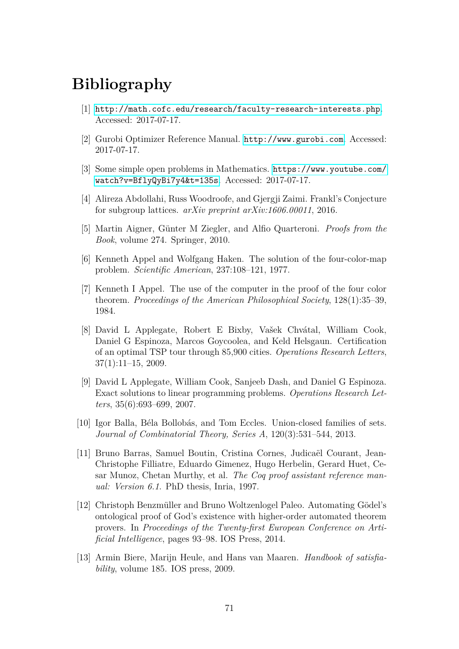## **Bibliography**

- [1] <http://math.cofc.edu/research/faculty-research-interests.php>. Accessed: 2017-07-17.
- [2] Gurobi Optimizer Reference Manual. <http://www.gurobi.com>. Accessed: 2017-07-17.
- [3] Some simple open problems in Mathematics. [https://www.youtube.com/](https://www.youtube.com/watch?v=BflyQyBi7y4&t=135s) [watch?v=BflyQyBi7y4&t=135s](https://www.youtube.com/watch?v=BflyQyBi7y4&t=135s). Accessed: 2017-07-17.
- [4] Alireza Abdollahi, Russ Woodroofe, and Gjergji Zaimi. Frankl's Conjecture for subgroup lattices. *arXiv preprint arXiv:1606.00011*, 2016.
- [5] Martin Aigner, Günter M Ziegler, and Alfio Quarteroni. *Proofs from the Book*, volume 274. Springer, 2010.
- [6] Kenneth Appel and Wolfgang Haken. The solution of the four-color-map problem. *Scientific American*, 237:108–121, 1977.
- [7] Kenneth I Appel. The use of the computer in the proof of the four color theorem. *Proceedings of the American Philosophical Society*, 128(1):35–39, 1984.
- [8] David L Applegate, Robert E Bixby, Vašek Chvátal, William Cook, Daniel G Espinoza, Marcos Goycoolea, and Keld Helsgaun. Certification of an optimal TSP tour through 85,900 cities. *Operations Research Letters*, 37(1):11–15, 2009.
- [9] David L Applegate, William Cook, Sanjeeb Dash, and Daniel G Espinoza. Exact solutions to linear programming problems. *Operations Research Letters*, 35(6):693–699, 2007.
- [10] Igor Balla, Béla Bollobás, and Tom Eccles. Union-closed families of sets. *Journal of Combinatorial Theory, Series A*, 120(3):531–544, 2013.
- [11] Bruno Barras, Samuel Boutin, Cristina Cornes, Judicaël Courant, Jean-Christophe Filliatre, Eduardo Gimenez, Hugo Herbelin, Gerard Huet, Cesar Munoz, Chetan Murthy, et al. *The Coq proof assistant reference manual: Version 6.1*. PhD thesis, Inria, 1997.
- [12] Christoph Benzmüller and Bruno Woltzenlogel Paleo. Automating Gödel's ontological proof of God's existence with higher-order automated theorem provers. In *Proceedings of the Twenty-first European Conference on Artificial Intelligence*, pages 93–98. IOS Press, 2014.
- [13] Armin Biere, Marijn Heule, and Hans van Maaren. *Handbook of satisfiability*, volume 185. IOS press, 2009.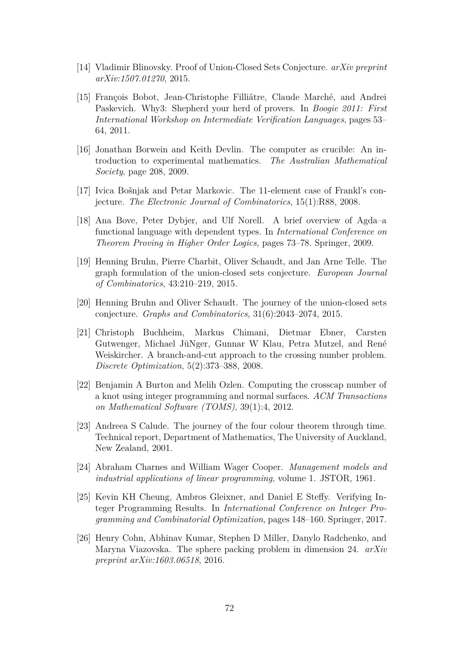- [14] Vladimir Blinovsky. Proof of Union-Closed Sets Conjecture. *arXiv preprint arXiv:1507.01270*, 2015.
- [15] François Bobot, Jean-Christophe Filliâtre, Claude Marché, and Andrei Paskevich. Why3: Shepherd your herd of provers. In *Boogie 2011: First International Workshop on Intermediate Verification Languages*, pages 53– 64, 2011.
- [16] Jonathan Borwein and Keith Devlin. The computer as crucible: An introduction to experimental mathematics. *The Australian Mathematical Society*, page 208, 2009.
- [17] Ivica Bošnjak and Petar Markovic. The 11-element case of Frankl's conjecture. *The Electronic Journal of Combinatorics*, 15(1):R88, 2008.
- [18] Ana Bove, Peter Dybjer, and Ulf Norell. A brief overview of Agda–a functional language with dependent types. In *International Conference on Theorem Proving in Higher Order Logics*, pages 73–78. Springer, 2009.
- [19] Henning Bruhn, Pierre Charbit, Oliver Schaudt, and Jan Arne Telle. The graph formulation of the union-closed sets conjecture. *European Journal of Combinatorics*, 43:210–219, 2015.
- [20] Henning Bruhn and Oliver Schaudt. The journey of the union-closed sets conjecture. *Graphs and Combinatorics*, 31(6):2043–2074, 2015.
- [21] Christoph Buchheim, Markus Chimani, Dietmar Ebner, Carsten Gutwenger, Michael JüNger, Gunnar W Klau, Petra Mutzel, and René Weiskircher. A branch-and-cut approach to the crossing number problem. *Discrete Optimization*, 5(2):373–388, 2008.
- [22] Benjamin A Burton and Melih Ozlen. Computing the crosscap number of a knot using integer programming and normal surfaces. *ACM Transactions on Mathematical Software (TOMS)*, 39(1):4, 2012.
- [23] Andreea S Calude. The journey of the four colour theorem through time. Technical report, Department of Mathematics, The University of Auckland, New Zealand, 2001.
- [24] Abraham Charnes and William Wager Cooper. *Management models and industrial applications of linear programming*, volume 1. JSTOR, 1961.
- [25] Kevin KH Cheung, Ambros Gleixner, and Daniel E Steffy. Verifying Integer Programming Results. In *International Conference on Integer Programming and Combinatorial Optimization*, pages 148–160. Springer, 2017.
- [26] Henry Cohn, Abhinav Kumar, Stephen D Miller, Danylo Radchenko, and Maryna Viazovska. The sphere packing problem in dimension 24. *arXiv preprint arXiv:1603.06518*, 2016.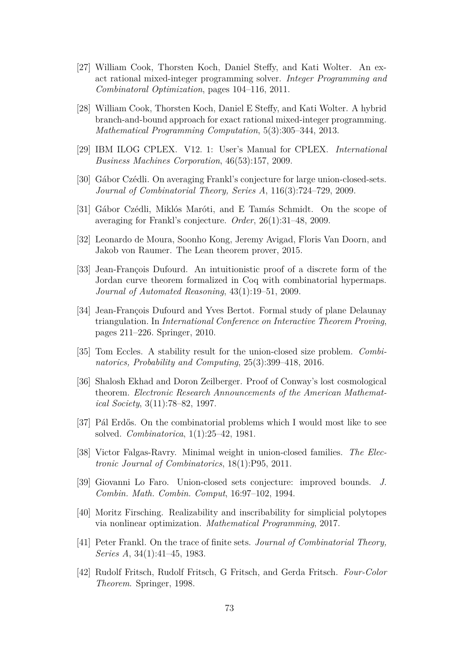- [27] William Cook, Thorsten Koch, Daniel Steffy, and Kati Wolter. An exact rational mixed-integer programming solver. *Integer Programming and Combinatoral Optimization*, pages 104–116, 2011.
- [28] William Cook, Thorsten Koch, Daniel E Steffy, and Kati Wolter. A hybrid branch-and-bound approach for exact rational mixed-integer programming. *Mathematical Programming Computation*, 5(3):305–344, 2013.
- [29] IBM ILOG CPLEX. V12. 1: User's Manual for CPLEX. *International Business Machines Corporation*, 46(53):157, 2009.
- [30] Gábor Czédli. On averaging Frankl's conjecture for large union-closed-sets. *Journal of Combinatorial Theory, Series A*, 116(3):724–729, 2009.
- [31] Gábor Czédli, Miklós Maróti, and E Tamás Schmidt. On the scope of averaging for Frankl's conjecture. *Order*, 26(1):31–48, 2009.
- [32] Leonardo de Moura, Soonho Kong, Jeremy Avigad, Floris Van Doorn, and Jakob von Raumer. The Lean theorem prover, 2015.
- [33] Jean-François Dufourd. An intuitionistic proof of a discrete form of the Jordan curve theorem formalized in Coq with combinatorial hypermaps. *Journal of Automated Reasoning*, 43(1):19–51, 2009.
- [34] Jean-François Dufourd and Yves Bertot. Formal study of plane Delaunay triangulation. In *International Conference on Interactive Theorem Proving*, pages 211–226. Springer, 2010.
- [35] Tom Eccles. A stability result for the union-closed size problem. *Combinatorics, Probability and Computing*, 25(3):399–418, 2016.
- [36] Shalosh Ekhad and Doron Zeilberger. Proof of Conway's lost cosmological theorem. *Electronic Research Announcements of the American Mathematical Society*, 3(11):78–82, 1997.
- [37] Pál Erdős. On the combinatorial problems which I would most like to see solved. *Combinatorica*, 1(1):25–42, 1981.
- [38] Victor Falgas-Ravry. Minimal weight in union-closed families. *The Electronic Journal of Combinatorics*, 18(1):P95, 2011.
- [39] Giovanni Lo Faro. Union-closed sets conjecture: improved bounds. *J. Combin. Math. Combin. Comput*, 16:97–102, 1994.
- [40] Moritz Firsching. Realizability and inscribability for simplicial polytopes via nonlinear optimization. *Mathematical Programming*, 2017.
- [41] Peter Frankl. On the trace of finite sets. *Journal of Combinatorial Theory, Series A*, 34(1):41–45, 1983.
- [42] Rudolf Fritsch, Rudolf Fritsch, G Fritsch, and Gerda Fritsch. *Four-Color Theorem*. Springer, 1998.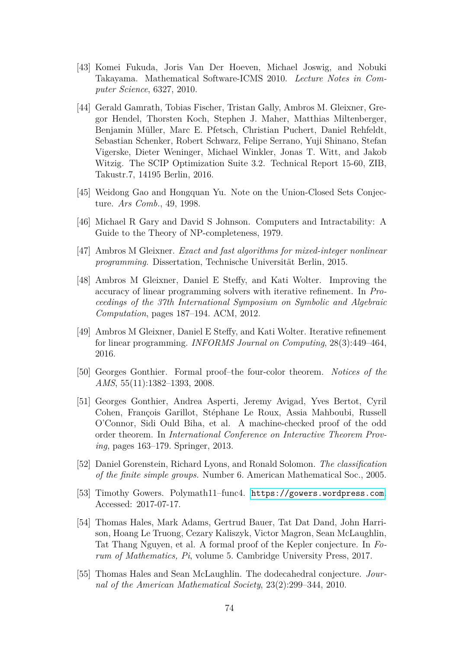- [43] Komei Fukuda, Joris Van Der Hoeven, Michael Joswig, and Nobuki Takayama. Mathematical Software-ICMS 2010. *Lecture Notes in Computer Science*, 6327, 2010.
- [44] Gerald Gamrath, Tobias Fischer, Tristan Gally, Ambros M. Gleixner, Gregor Hendel, Thorsten Koch, Stephen J. Maher, Matthias Miltenberger, Benjamin Müller, Marc E. Pfetsch, Christian Puchert, Daniel Rehfeldt, Sebastian Schenker, Robert Schwarz, Felipe Serrano, Yuji Shinano, Stefan Vigerske, Dieter Weninger, Michael Winkler, Jonas T. Witt, and Jakob Witzig. The SCIP Optimization Suite 3.2. Technical Report 15-60, ZIB, Takustr.7, 14195 Berlin, 2016.
- [45] Weidong Gao and Hongquan Yu. Note on the Union-Closed Sets Conjecture. *Ars Comb.*, 49, 1998.
- [46] Michael R Gary and David S Johnson. Computers and Intractability: A Guide to the Theory of NP-completeness, 1979.
- [47] Ambros M Gleixner. *Exact and fast algorithms for mixed-integer nonlinear programming*. Dissertation, Technische Universität Berlin, 2015.
- [48] Ambros M Gleixner, Daniel E Steffy, and Kati Wolter. Improving the accuracy of linear programming solvers with iterative refinement. In *Proceedings of the 37th International Symposium on Symbolic and Algebraic Computation*, pages 187–194. ACM, 2012.
- [49] Ambros M Gleixner, Daniel E Steffy, and Kati Wolter. Iterative refinement for linear programming. *INFORMS Journal on Computing*, 28(3):449–464, 2016.
- [50] Georges Gonthier. Formal proof–the four-color theorem. *Notices of the AMS*, 55(11):1382–1393, 2008.
- [51] Georges Gonthier, Andrea Asperti, Jeremy Avigad, Yves Bertot, Cyril Cohen, François Garillot, Stéphane Le Roux, Assia Mahboubi, Russell O'Connor, Sidi Ould Biha, et al. A machine-checked proof of the odd order theorem. In *International Conference on Interactive Theorem Proving*, pages 163–179. Springer, 2013.
- [52] Daniel Gorenstein, Richard Lyons, and Ronald Solomon. *The classification of the finite simple groups*. Number 6. American Mathematical Soc., 2005.
- [53] Timothy Gowers. Polymath11–func4. <https://gowers.wordpress.com>. Accessed: 2017-07-17.
- [54] Thomas Hales, Mark Adams, Gertrud Bauer, Tat Dat Dand, John Harrison, Hoang Le Truong, Cezary Kaliszyk, Victor Magron, Sean McLaughlin, Tat Thang Nguyen, et al. A formal proof of the Kepler conjecture. In *Forum of Mathematics, Pi*, volume 5. Cambridge University Press, 2017.
- [55] Thomas Hales and Sean McLaughlin. The dodecahedral conjecture. *Journal of the American Mathematical Society*, 23(2):299–344, 2010.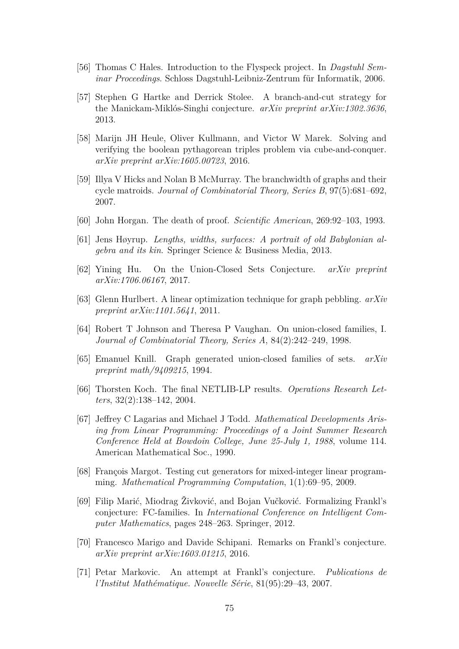- [56] Thomas C Hales. Introduction to the Flyspeck project. In *Dagstuhl Seminar Proceedings*. Schloss Dagstuhl-Leibniz-Zentrum für Informatik, 2006.
- [57] Stephen G Hartke and Derrick Stolee. A branch-and-cut strategy for the Manickam-Miklós-Singhi conjecture. *arXiv preprint arXiv:1302.3636*, 2013.
- [58] Marijn JH Heule, Oliver Kullmann, and Victor W Marek. Solving and verifying the boolean pythagorean triples problem via cube-and-conquer. *arXiv preprint arXiv:1605.00723*, 2016.
- [59] Illya V Hicks and Nolan B McMurray. The branchwidth of graphs and their cycle matroids. *Journal of Combinatorial Theory, Series B*, 97(5):681–692, 2007.
- [60] John Horgan. The death of proof. *Scientific American*, 269:92–103, 1993.
- [61] Jens Høyrup. *Lengths, widths, surfaces: A portrait of old Babylonian algebra and its kin*. Springer Science & Business Media, 2013.
- [62] Yining Hu. On the Union-Closed Sets Conjecture. *arXiv preprint arXiv:1706.06167*, 2017.
- [63] Glenn Hurlbert. A linear optimization technique for graph pebbling. *arXiv preprint arXiv:1101.5641*, 2011.
- [64] Robert T Johnson and Theresa P Vaughan. On union-closed families, I. *Journal of Combinatorial Theory, Series A*, 84(2):242–249, 1998.
- [65] Emanuel Knill. Graph generated union-closed families of sets. *arXiv preprint math/9409215*, 1994.
- [66] Thorsten Koch. The final NETLIB-LP results. *Operations Research Letters*, 32(2):138–142, 2004.
- [67] Jeffrey C Lagarias and Michael J Todd. *Mathematical Developments Arising from Linear Programming: Proceedings of a Joint Summer Research Conference Held at Bowdoin College, June 25-July 1, 1988*, volume 114. American Mathematical Soc., 1990.
- [68] François Margot. Testing cut generators for mixed-integer linear programming. *Mathematical Programming Computation*, 1(1):69–95, 2009.
- [69] Filip Marić, Miodrag Živković, and Bojan Vučković. Formalizing Frankl's conjecture: FC-families. In *International Conference on Intelligent Computer Mathematics*, pages 248–263. Springer, 2012.
- [70] Francesco Marigo and Davide Schipani. Remarks on Frankl's conjecture. *arXiv preprint arXiv:1603.01215*, 2016.
- [71] Petar Markovic. An attempt at Frankl's conjecture. *Publications de l'Institut Mathématique. Nouvelle Série*, 81(95):29–43, 2007.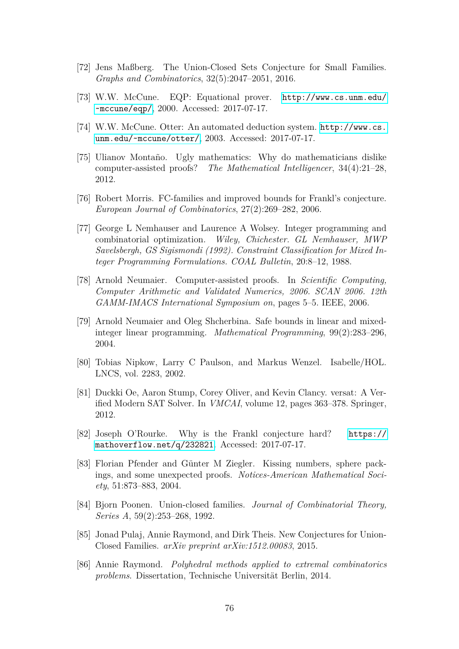- [72] Jens Maßberg. The Union-Closed Sets Conjecture for Small Families. *Graphs and Combinatorics*, 32(5):2047–2051, 2016.
- [73] W.W. McCune. EQP: Equational prover. [http://www.cs.unm.edu/](http://www.cs.unm.edu/~mccune/eqp/) [~mccune/eqp/](http://www.cs.unm.edu/~mccune/eqp/), 2000. Accessed: 2017-07-17.
- [74] W.W. McCune. Otter: An automated deduction system. [http://www.cs.](http://www.cs.unm.edu/~mccune/otter/) [unm.edu/~mccune/otter/](http://www.cs.unm.edu/~mccune/otter/), 2003. Accessed: 2017-07-17.
- [75] Ulianov Montaño. Ugly mathematics: Why do mathematicians dislike computer-assisted proofs? *The Mathematical Intelligencer*, 34(4):21–28, 2012.
- [76] Robert Morris. FC-families and improved bounds for Frankl's conjecture. *European Journal of Combinatorics*, 27(2):269–282, 2006.
- [77] George L Nemhauser and Laurence A Wolsey. Integer programming and combinatorial optimization. *Wiley, Chichester. GL Nemhauser, MWP Savelsbergh, GS Sigismondi (1992). Constraint Classification for Mixed Integer Programming Formulations. COAL Bulletin*, 20:8–12, 1988.
- [78] Arnold Neumaier. Computer-assisted proofs. In *Scientific Computing, Computer Arithmetic and Validated Numerics, 2006. SCAN 2006. 12th GAMM-IMACS International Symposium on*, pages 5–5. IEEE, 2006.
- [79] Arnold Neumaier and Oleg Shcherbina. Safe bounds in linear and mixedinteger linear programming. *Mathematical Programming*, 99(2):283–296, 2004.
- [80] Tobias Nipkow, Larry C Paulson, and Markus Wenzel. Isabelle/HOL. LNCS, vol. 2283, 2002.
- [81] Duckki Oe, Aaron Stump, Corey Oliver, and Kevin Clancy. versat: A Verified Modern SAT Solver. In *VMCAI*, volume 12, pages 363–378. Springer, 2012.
- [82] Joseph O'Rourke. Why is the Frankl conjecture hard? [https://](https://mathoverflow.net/q/232821) [mathoverflow.net/q/232821](https://mathoverflow.net/q/232821). Accessed: 2017-07-17.
- [83] Florian Pfender and Günter M Ziegler. Kissing numbers, sphere packings, and some unexpected proofs. *Notices-American Mathematical Society*, 51:873–883, 2004.
- [84] Bjorn Poonen. Union-closed families. *Journal of Combinatorial Theory, Series A*, 59(2):253–268, 1992.
- [85] Jonad Pulaj, Annie Raymond, and Dirk Theis. New Conjectures for Union-Closed Families. *arXiv preprint arXiv:1512.00083*, 2015.
- [86] Annie Raymond. *Polyhedral methods applied to extremal combinatorics problems*. Dissertation, Technische Universität Berlin, 2014.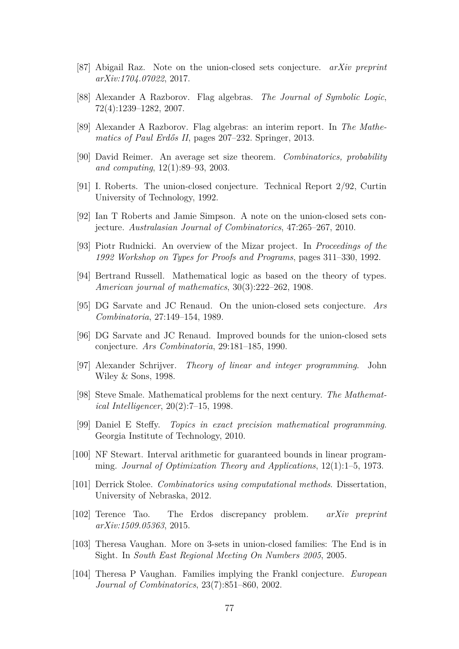- [87] Abigail Raz. Note on the union-closed sets conjecture. *arXiv preprint arXiv:1704.07022*, 2017.
- [88] Alexander A Razborov. Flag algebras. *The Journal of Symbolic Logic*, 72(4):1239–1282, 2007.
- [89] Alexander A Razborov. Flag algebras: an interim report. In *The Mathematics of Paul Erdős II*, pages 207–232. Springer, 2013.
- [90] David Reimer. An average set size theorem. *Combinatorics, probability and computing*, 12(1):89–93, 2003.
- [91] I. Roberts. The union-closed conjecture. Technical Report 2/92, Curtin University of Technology, 1992.
- [92] Ian T Roberts and Jamie Simpson. A note on the union-closed sets conjecture. *Australasian Journal of Combinatorics*, 47:265–267, 2010.
- [93] Piotr Rudnicki. An overview of the Mizar project. In *Proceedings of the 1992 Workshop on Types for Proofs and Programs*, pages 311–330, 1992.
- [94] Bertrand Russell. Mathematical logic as based on the theory of types. *American journal of mathematics*, 30(3):222–262, 1908.
- [95] DG Sarvate and JC Renaud. On the union-closed sets conjecture. *Ars Combinatoria*, 27:149–154, 1989.
- [96] DG Sarvate and JC Renaud. Improved bounds for the union-closed sets conjecture. *Ars Combinatoria*, 29:181–185, 1990.
- [97] Alexander Schrijver. *Theory of linear and integer programming*. John Wiley & Sons, 1998.
- [98] Steve Smale. Mathematical problems for the next century. *The Mathematical Intelligencer*, 20(2):7–15, 1998.
- [99] Daniel E Steffy. *Topics in exact precision mathematical programming*. Georgia Institute of Technology, 2010.
- [100] NF Stewart. Interval arithmetic for guaranteed bounds in linear programming. *Journal of Optimization Theory and Applications*, 12(1):1–5, 1973.
- [101] Derrick Stolee. *Combinatorics using computational methods*. Dissertation, University of Nebraska, 2012.
- [102] Terence Tao. The Erdos discrepancy problem. *arXiv preprint arXiv:1509.05363*, 2015.
- [103] Theresa Vaughan. More on 3-sets in union-closed families: The End is in Sight. In *South East Regional Meeting On Numbers 2005*, 2005.
- [104] Theresa P Vaughan. Families implying the Frankl conjecture. *European Journal of Combinatorics*, 23(7):851–860, 2002.